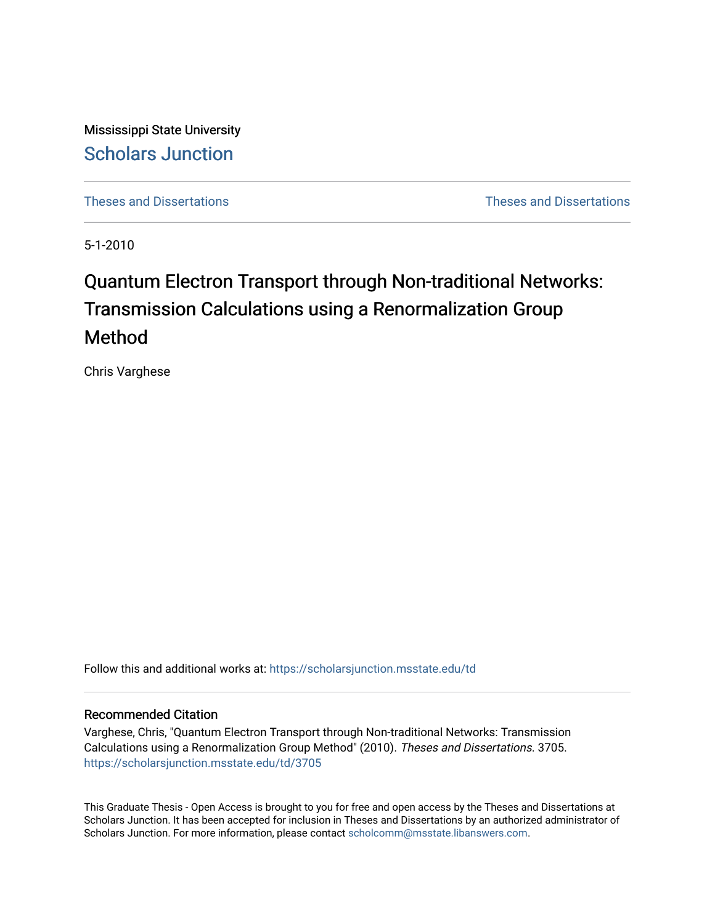Mississippi State University [Scholars Junction](https://scholarsjunction.msstate.edu/) 

[Theses and Dissertations](https://scholarsjunction.msstate.edu/td) [Theses and Dissertations](https://scholarsjunction.msstate.edu/theses-dissertations) 

5-1-2010

# Quantum Electron Transport through Non-traditional Networks: Transmission Calculations using a Renormalization Group Method

Chris Varghese

Follow this and additional works at: [https://scholarsjunction.msstate.edu/td](https://scholarsjunction.msstate.edu/td?utm_source=scholarsjunction.msstate.edu%2Ftd%2F3705&utm_medium=PDF&utm_campaign=PDFCoverPages) 

#### Recommended Citation

Varghese, Chris, "Quantum Electron Transport through Non-traditional Networks: Transmission Calculations using a Renormalization Group Method" (2010). Theses and Dissertations. 3705. [https://scholarsjunction.msstate.edu/td/3705](https://scholarsjunction.msstate.edu/td/3705?utm_source=scholarsjunction.msstate.edu%2Ftd%2F3705&utm_medium=PDF&utm_campaign=PDFCoverPages) 

This Graduate Thesis - Open Access is brought to you for free and open access by the Theses and Dissertations at Scholars Junction. It has been accepted for inclusion in Theses and Dissertations by an authorized administrator of Scholars Junction. For more information, please contact [scholcomm@msstate.libanswers.com.](mailto:scholcomm@msstate.libanswers.com)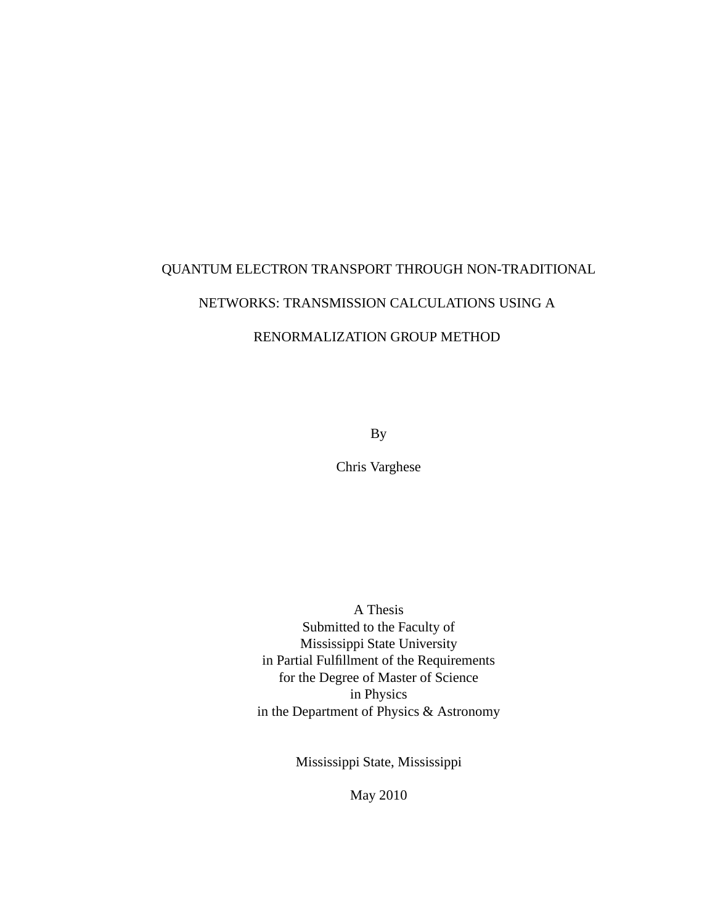# QUANTUM ELECTRON TRANSPORT THROUGH NON-TRADITIONAL

# NETWORKS: TRANSMISSION CALCULATIONS USING A

## RENORMALIZATION GROUP METHOD

By

Chris Varghese

A Thesis Submitted to the Faculty of Mississippi State University in Partial Fulfillment of the Requirements for the Degree of Master of Science in Physics in the Department of Physics & Astronomy

Mississippi State, Mississippi

May 2010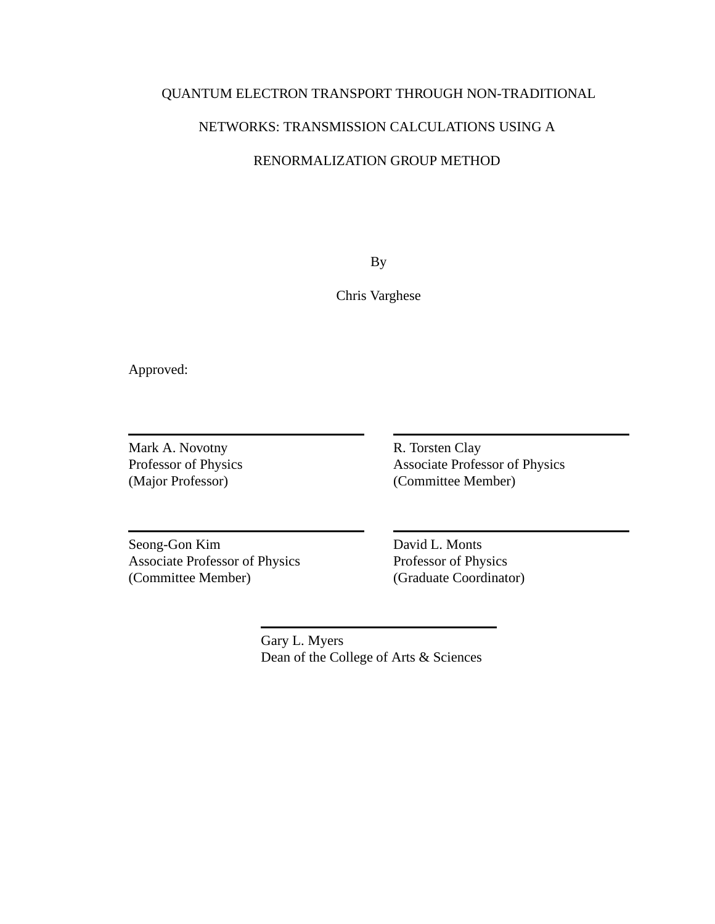## QUANTUM ELECTRON TRANSPORT THROUGH NON-TRADITIONAL

## NETWORKS: TRANSMISSION CALCULATIONS USING A

#### RENORMALIZATION GROUP METHOD

By

Chris Varghese

Approved:

Mark A. Novotny Professor of Physics (Major Professor)

R. Torsten Clay Associate Professor of Physics (Committee Member)

Seong-Gon Kim Associate Professor of Physics (Committee Member)

David L. Monts Professor of Physics (Graduate Coordinator)

Gary L. Myers Dean of the College of Arts & Sciences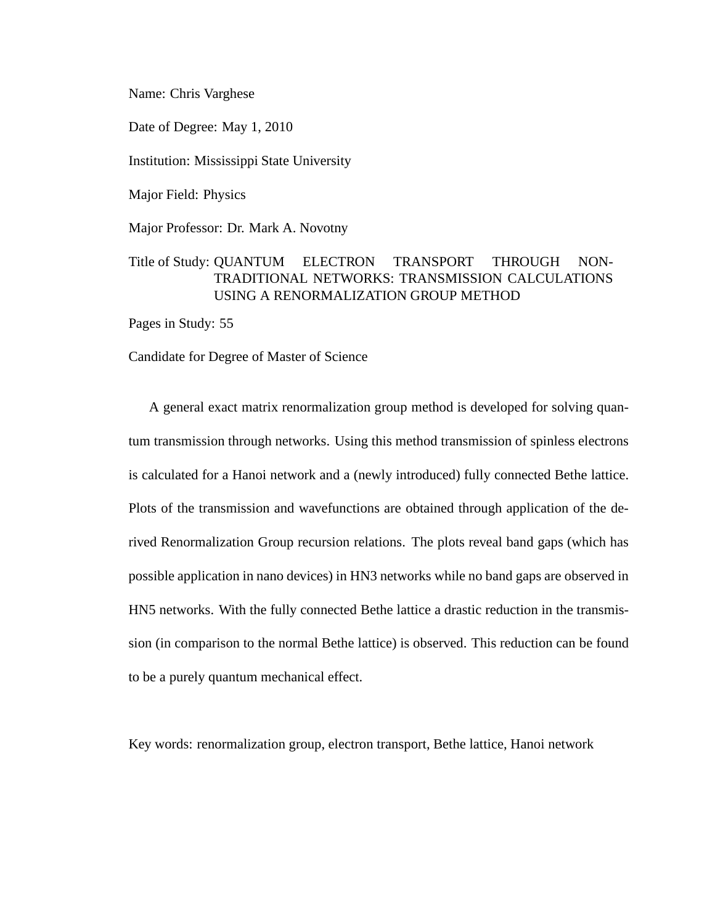Name: Chris Varghese

Date of Degree: May 1, 2010

Institution: Mississippi State University

Major Field: Physics

Major Professor: Dr. Mark A. Novotny

## Title of Study: QUANTUM ELECTRON TRANSPORT THROUGH NON-TRADITIONAL NETWORKS: TRANSMISSION CALCULATIONS USING A RENORMALIZATION GROUP METHOD

Pages in Study: 55

Candidate for Degree of Master of Science

A general exact matrix renormalization group method is developed for solving quantum transmission through networks. Using this method transmission of spinless electrons is calculated for a Hanoi network and a (newly introduced) fully connected Bethe lattice. Plots of the transmission and wavefunctions are obtained through application of the derived Renormalization Group recursion relations. The plots reveal band gaps (which has possible application in nano devices) in HN3 networks while no band gaps are observed in HN5 networks. With the fully connected Bethe lattice a drastic reduction in the transmission (in comparison to the normal Bethe lattice) is observed. This reduction can be found to be a purely quantum mechanical effect.

Key words: renormalization group, electron transport, Bethe lattice, Hanoi network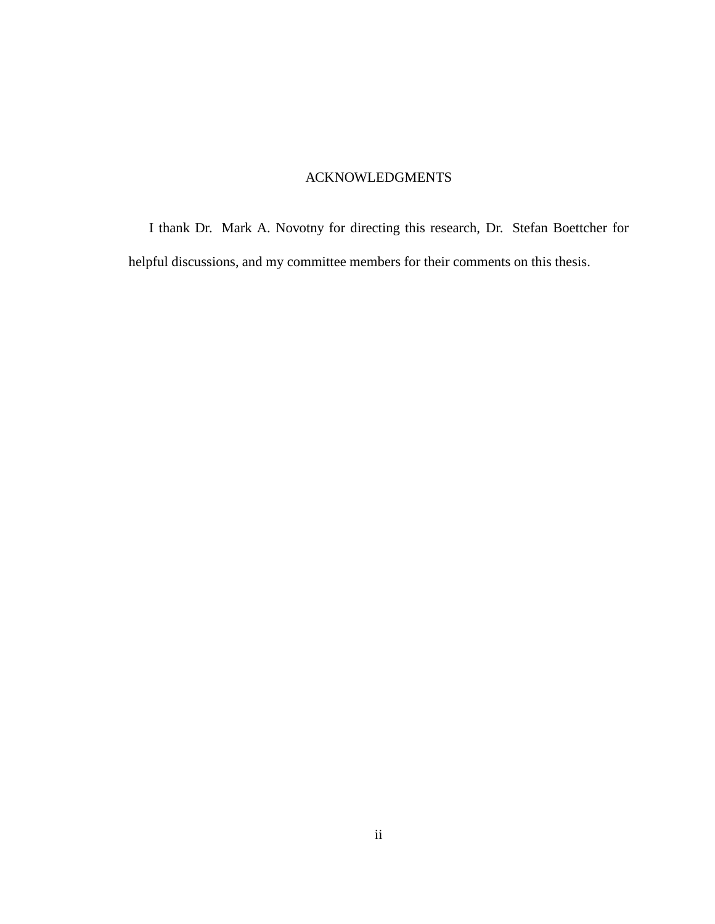## ACKNOWLEDGMENTS

I thank Dr. Mark A. Novotny for directing this research, Dr. Stefan Boettcher for helpful discussions, and my committee members for their comments on this thesis.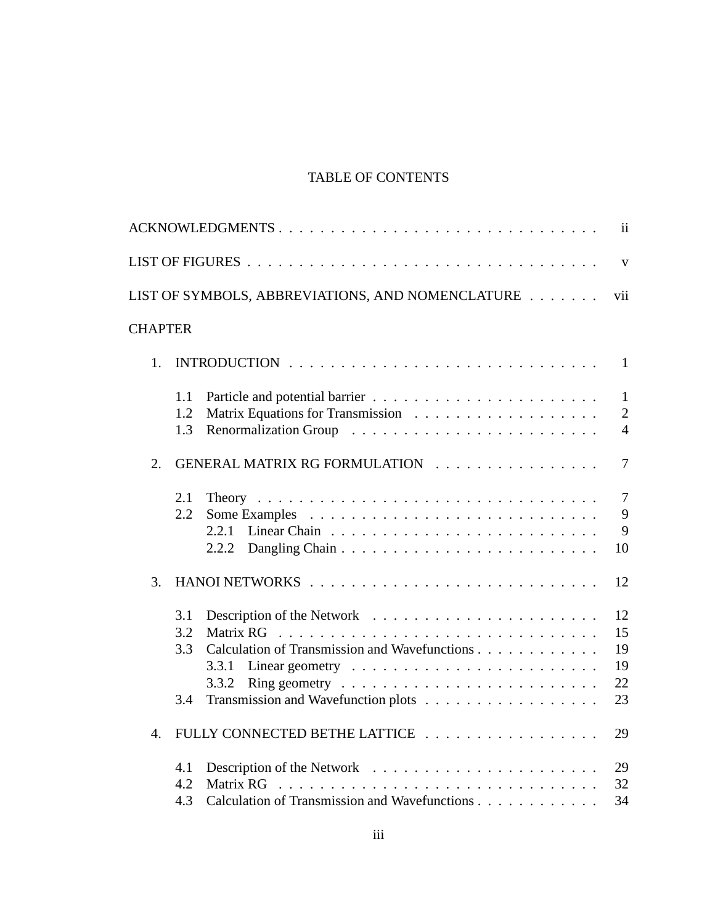# TABLE OF CONTENTS

| ACKNOWLEDGMENTS                                                                                                                                                  | $\mathbf{ii}$                                    |
|------------------------------------------------------------------------------------------------------------------------------------------------------------------|--------------------------------------------------|
|                                                                                                                                                                  | $\mathbf{V}$                                     |
| LIST OF SYMBOLS, ABBREVIATIONS, AND NOMENCLATURE                                                                                                                 | vii                                              |
| <b>CHAPTER</b>                                                                                                                                                   |                                                  |
| 1.                                                                                                                                                               | $\mathbf{1}$                                     |
| 1.1<br>1.2<br>1.3                                                                                                                                                | $\mathbf{1}$<br>$\overline{2}$<br>$\overline{4}$ |
| GENERAL MATRIX RG FORMULATION<br>2.                                                                                                                              | $\overline{7}$                                   |
| 2.1<br>2.2<br>2.2.1<br>2.2.2                                                                                                                                     | $\overline{7}$<br>9<br>9<br>10                   |
| 3.                                                                                                                                                               | 12                                               |
| 3.1<br>3.2<br>Calculation of Transmission and Wavefunctions<br>3.3<br>Linear geometry $\dots \dots \dots \dots \dots \dots \dots \dots$<br>3.3.1<br>3.3.2<br>3.4 | 12<br>15<br>19<br>19<br>22<br>23                 |
| FULLY CONNECTED BETHE LATTICE<br>$\overline{4}$ .                                                                                                                | 29                                               |
| 4.1<br>4.2<br>Matrix RG<br>Calculation of Transmission and Wavefunctions<br>4.3                                                                                  | 29<br>32<br>34                                   |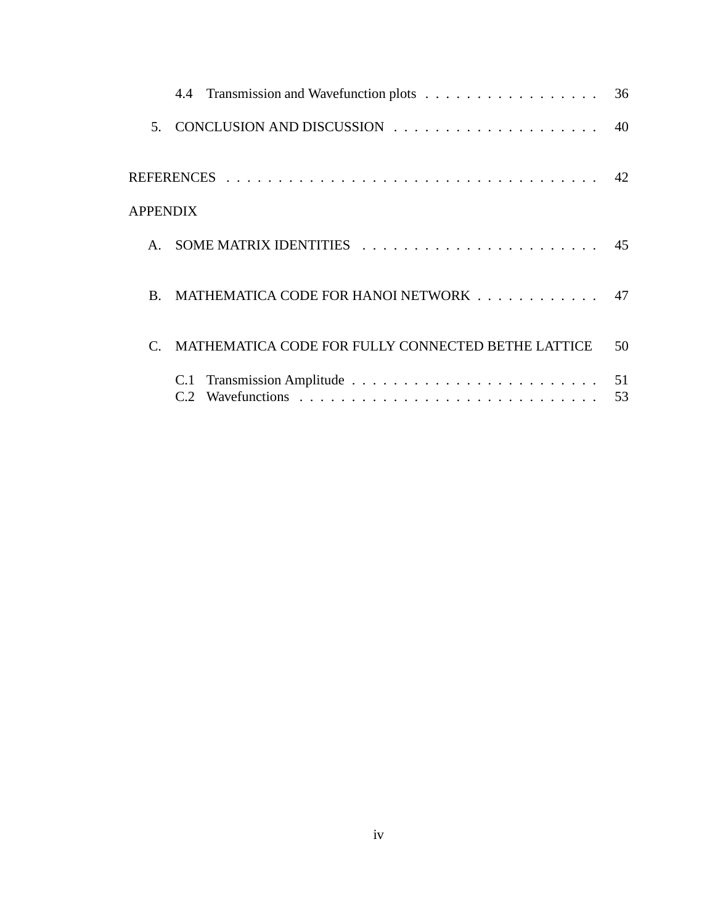|                 |                                                    | 40       |
|-----------------|----------------------------------------------------|----------|
|                 |                                                    |          |
| <b>APPENDIX</b> |                                                    |          |
| $\mathbf{A}$    |                                                    |          |
| $\bf{B}$        | MATHEMATICA CODE FOR HANOI NETWORK 47              |          |
|                 | MATHEMATICA CODE FOR FULLY CONNECTED BETHE LATTICE | 50       |
|                 | C.1<br>C2                                          | 51<br>53 |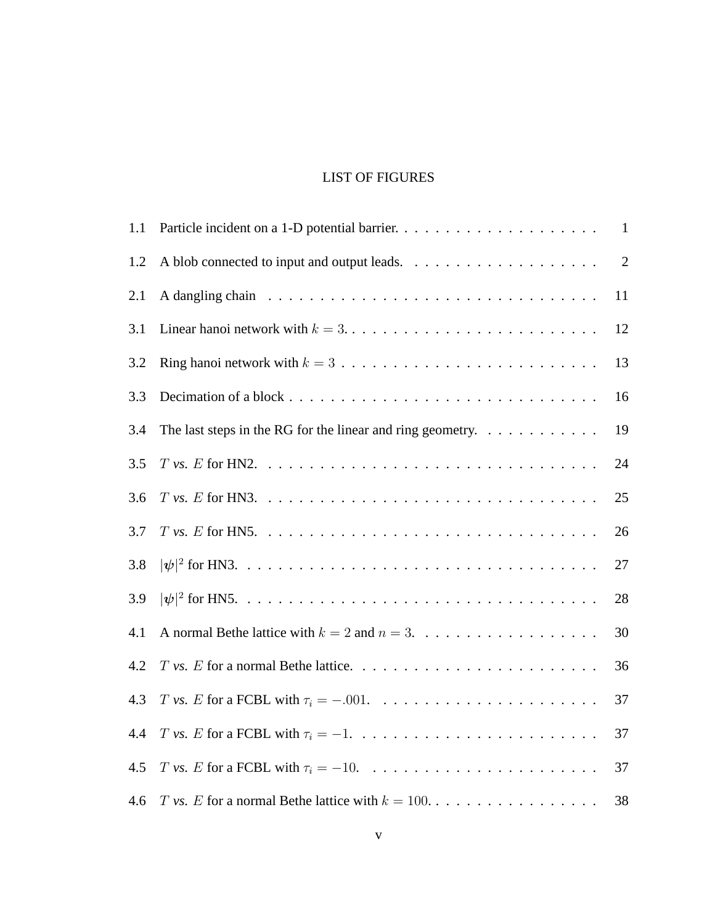# LIST OF FIGURES

| 1.1 |                                                                                           | $\mathbf{1}$ |
|-----|-------------------------------------------------------------------------------------------|--------------|
| 1.2 |                                                                                           | $\mathbf{2}$ |
| 2.1 |                                                                                           | 11           |
| 3.1 | Linear hanoi network with $k = 3, \ldots, \ldots, \ldots, \ldots, \ldots, \ldots, \ldots$ | 12           |
| 3.2 | Ring hanoi network with $k = 3, \ldots, \ldots, \ldots, \ldots, \ldots, \ldots, \ldots$   | 13           |
| 3.3 |                                                                                           | 16           |
| 3.4 | The last steps in the RG for the linear and ring geometry. $\dots \dots \dots \dots$      | 19           |
| 3.5 |                                                                                           | 24           |
| 3.6 |                                                                                           | 25           |
| 3.7 |                                                                                           | 26           |
| 3.8 |                                                                                           | 27           |
| 3.9 |                                                                                           | 28           |
| 4.1 |                                                                                           | 30           |
| 4.2 |                                                                                           | 36           |
| 4.3 |                                                                                           | 37           |
| 4.4 |                                                                                           | 37           |
| 4.5 |                                                                                           | 37           |
| 4.6 |                                                                                           | 38           |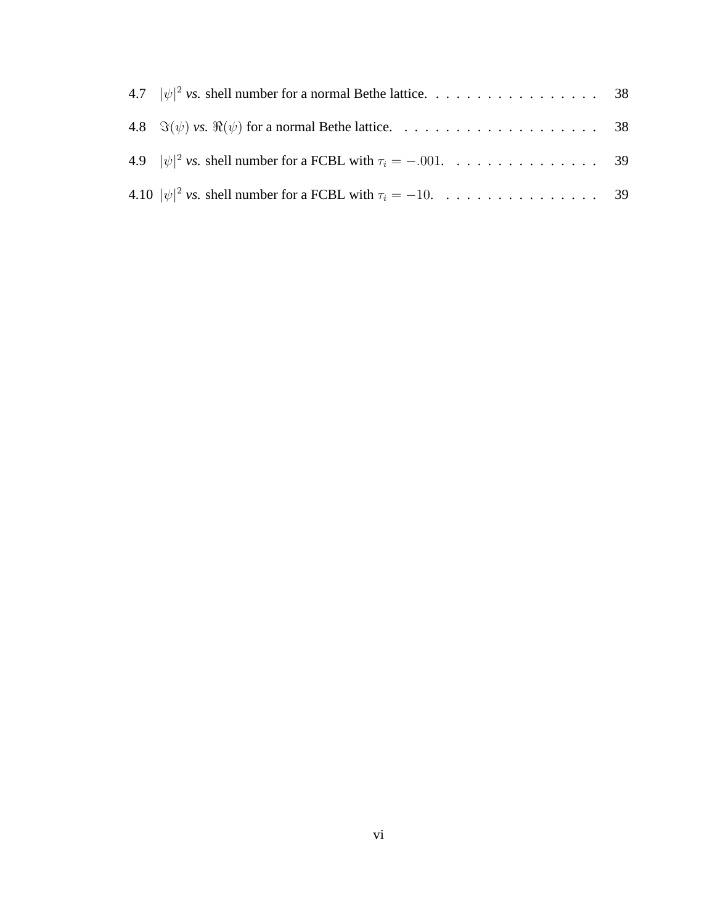| 4.10 $ \psi ^2$ vs. shell number for a FCBL with $\tau_i = -10$ . 39 |  |
|----------------------------------------------------------------------|--|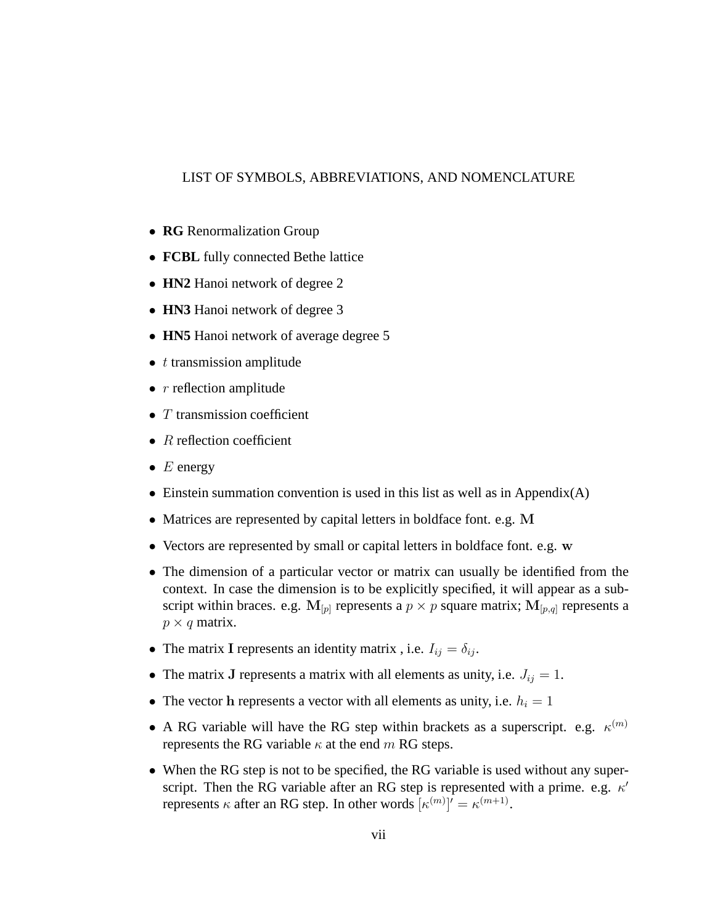#### LIST OF SYMBOLS, ABBREVIATIONS, AND NOMENCLATURE

- **RG** Renormalization Group
- **FCBL** fully connected Bethe lattice
- **HN2** Hanoi network of degree 2
- **HN3** Hanoi network of degree 3
- **HN5** Hanoi network of average degree 5
- $\bullet$  t transmission amplitude
- $r$  reflection amplitude
- $T$  transmission coefficient
- $R$  reflection coefficient
- $E$  energy
- Einstein summation convention is used in this list as well as in Appendix(A)
- Matrices are represented by capital letters in boldface font. e.g. M
- Vectors are represented by small or capital letters in boldface font. e.g. w
- The dimension of a particular vector or matrix can usually be identified from the context. In case the dimension is to be explicitly specified, it will appear as a subscript within braces. e.g.  $M_{[p]}$  represents a  $p \times p$  square matrix;  $M_{[p,q]}$  represents a  $p \times q$  matrix.
- The matrix I represents an identity matrix, i.e.  $I_{ij} = \delta_{ij}$ .
- The matrix J represents a matrix with all elements as unity, i.e.  $J_{ij} = 1$ .
- The vector h represents a vector with all elements as unity, i.e.  $h_i = 1$
- A RG variable will have the RG step within brackets as a superscript. e.g.  $\kappa^{(m)}$ represents the RG variable  $\kappa$  at the end m RG steps.
- When the RG step is not to be specified, the RG variable is used without any superscript. Then the RG variable after an RG step is represented with a prime. e.g.  $\kappa'$ represents  $\kappa$  after an RG step. In other words  $\kappa^{(m)}$ ] $\kappa^{(m+1)}$ .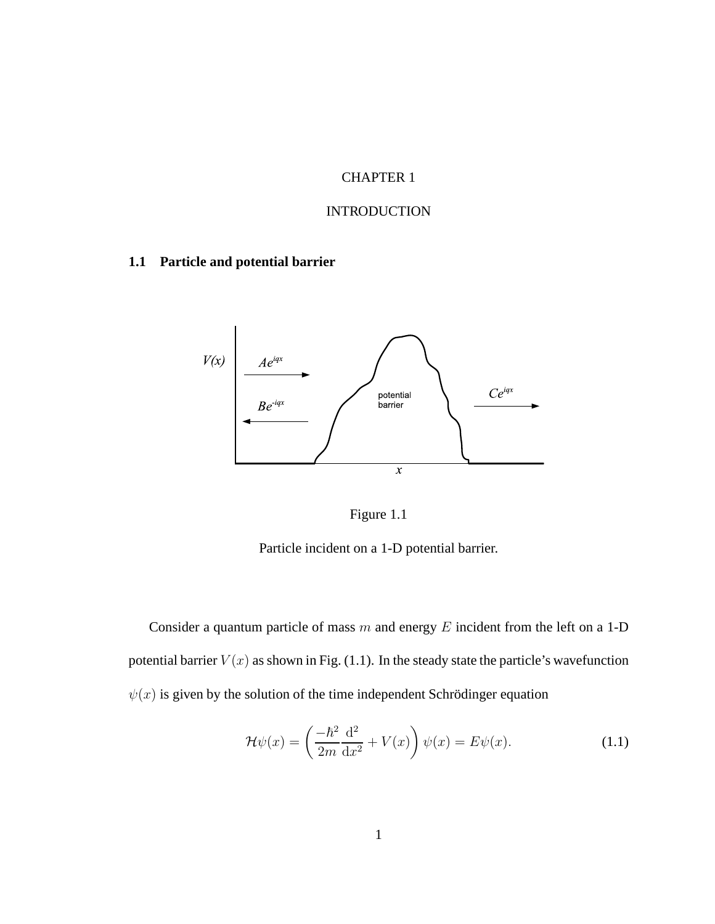# CHAPTER 1

## INTRODUCTION

# **1.1 Particle and potential barrier**





Particle incident on a 1-D potential barrier.

Consider a quantum particle of mass  $m$  and energy  $E$  incident from the left on a 1-D potential barrier  $V(x)$  as shown in Fig. (1.1). In the steady state the particle's wavefunction  $\psi(x)$  is given by the solution of the time independent Schrödinger equation

$$
\mathcal{H}\psi(x) = \left(\frac{-\hbar^2}{2m}\frac{\mathrm{d}^2}{\mathrm{d}x^2} + V(x)\right)\psi(x) = E\psi(x). \tag{1.1}
$$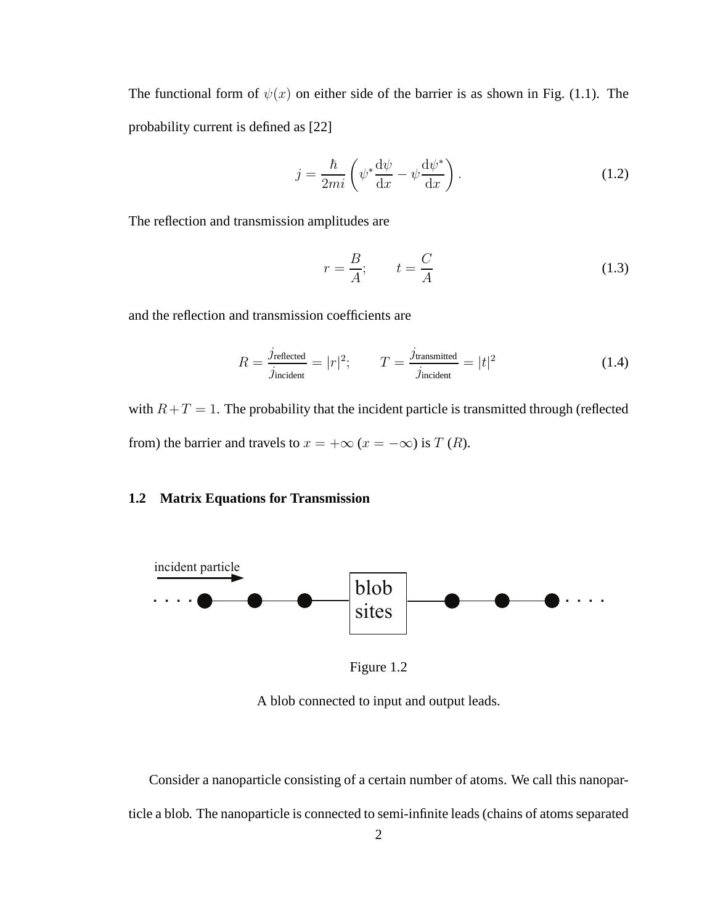The functional form of  $\psi(x)$  on either side of the barrier is as shown in Fig. (1.1). The probability current is defined as [22]

$$
j = \frac{\hbar}{2mi} \left( \psi^* \frac{d\psi}{dx} - \psi \frac{d\psi^*}{dx} \right).
$$
 (1.2)

The reflection and transmission amplitudes are

$$
r = \frac{B}{A}; \qquad t = \frac{C}{A}
$$
 (1.3)

and the reflection and transmission coefficients are

$$
R = \frac{j_{\text{reflected}}}{j_{\text{incident}}} = |r|^2; \qquad T = \frac{j_{\text{transmitted}}}{j_{\text{incident}}} = |t|^2 \tag{1.4}
$$

with  $R+T=1$ . The probability that the incident particle is transmitted through (reflected from) the barrier and travels to  $x = +\infty$  ( $x = -\infty$ ) is T (R).

#### **1.2 Matrix Equations for Transmission**



Figure 1.2

A blob connected to input and output leads.

Consider a nanoparticle consisting of a certain number of atoms. We call this nanoparticle a blob. The nanoparticle is connected to semi-infinite leads (chains of atoms separated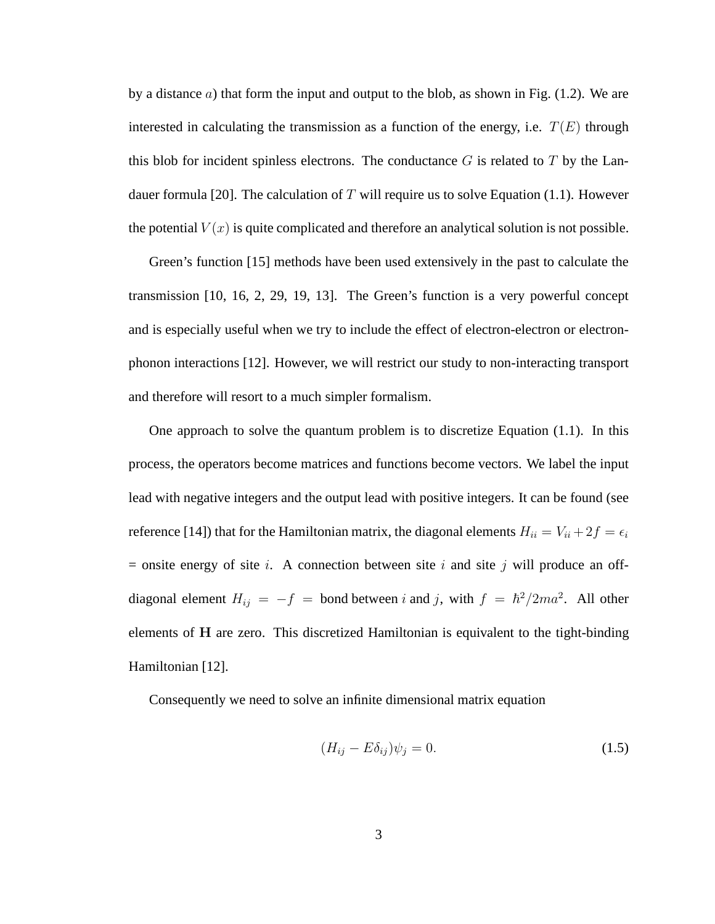by a distance  $a$ ) that form the input and output to the blob, as shown in Fig. (1.2). We are interested in calculating the transmission as a function of the energy, i.e.  $T(E)$  through this blob for incident spinless electrons. The conductance  $G$  is related to  $T$  by the Landauer formula [20]. The calculation of T will require us to solve Equation (1.1). However the potential  $V(x)$  is quite complicated and therefore an analytical solution is not possible.

Green's function [15] methods have been used extensively in the past to calculate the transmission [10, 16, 2, 29, 19, 13]. The Green's function is a very powerful concept and is especially useful when we try to include the effect of electron-electron or electronphonon interactions [12]. However, we will restrict our study to non-interacting transport and therefore will resort to a much simpler formalism.

One approach to solve the quantum problem is to discretize Equation  $(1.1)$ . In this process, the operators become matrices and functions become vectors. We label the input lead with negative integers and the output lead with positive integers. It can be found (see reference [14]) that for the Hamiltonian matrix, the diagonal elements  $H_{ii} = V_{ii} + 2f = \epsilon_i$  $=$  onsite energy of site *i*. A connection between site *i* and site *j* will produce an offdiagonal element  $H_{ij} = -f$  = bond between i and j, with  $f = \hbar^2/2ma^2$ . All other elements of H are zero. This discretized Hamiltonian is equivalent to the tight-binding Hamiltonian [12].

Consequently we need to solve an infinite dimensional matrix equation

$$
(H_{ij} - E\delta_{ij})\psi_j = 0.
$$
\n(1.5)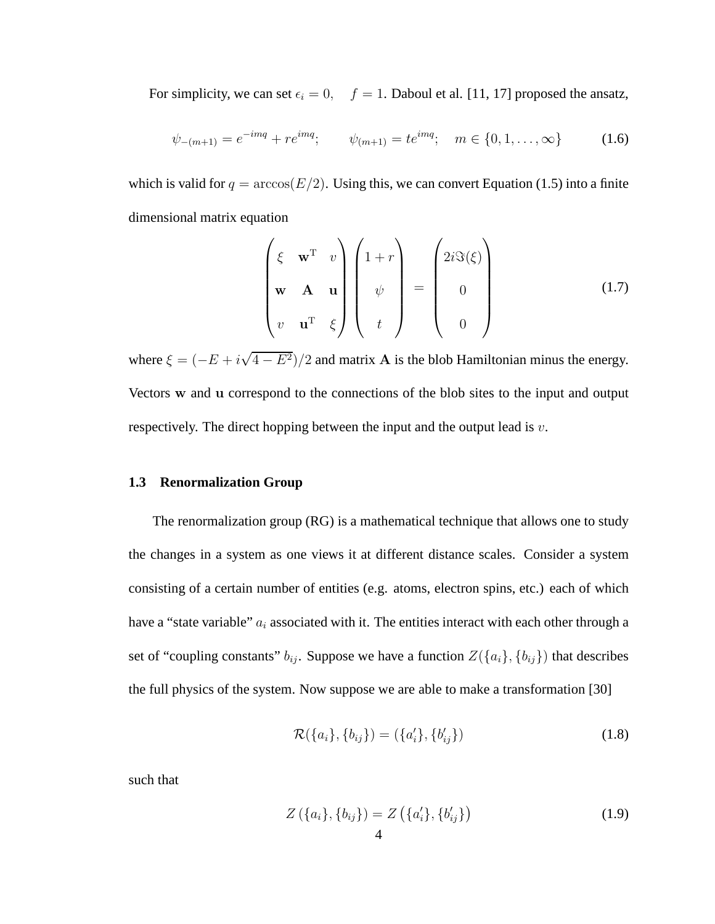For simplicity, we can set  $\epsilon_i = 0$ ,  $f = 1$ . Daboul et al. [11, 17] proposed the ansatz,

$$
\psi_{-(m+1)} = e^{-imq} + re^{imq}; \qquad \psi_{(m+1)} = te^{imq}; \quad m \in \{0, 1, \dots, \infty\}
$$
 (1.6)

which is valid for  $q = \arccos(E/2)$ . Using this, we can convert Equation (1.5) into a finite dimensional matrix equation

$$
\begin{pmatrix} \xi & \mathbf{w}^{\mathrm{T}} & v \\ \mathbf{w} & \mathbf{A} & \mathbf{u} \\ v & \mathbf{u}^{\mathrm{T}} & \xi \end{pmatrix} \begin{pmatrix} 1+r \\ \psi \\ t \end{pmatrix} = \begin{pmatrix} 2i\Im(\xi) \\ 0 \\ 0 \end{pmatrix}
$$
(1.7)

where  $\xi = (-E + i\sqrt{4 - E^2})/2$  and matrix **A** is the blob Hamiltonian minus the energy. Vectors w and u correspond to the connections of the blob sites to the input and output respectively. The direct hopping between the input and the output lead is  $v$ .

#### **1.3 Renormalization Group**

The renormalization group (RG) is a mathematical technique that allows one to study the changes in a system as one views it at different distance scales. Consider a system consisting of a certain number of entities (e.g. atoms, electron spins, etc.) each of which have a "state variable"  $a_i$  associated with it. The entities interact with each other through a set of "coupling constants"  $b_{ij}$ . Suppose we have a function  $Z({a_i}, {b_{ij}})$  that describes the full physics of the system. Now suppose we are able to make a transformation [30]

$$
\mathcal{R}(\{a_i\}, \{b_{ij}\}) = (\{a'_i\}, \{b'_{ij}\})
$$
\n(1.8)

such that

$$
Z(\lbrace a_i \rbrace, \lbrace b_{ij} \rbrace) = Z(\lbrace a'_i \rbrace, \lbrace b'_{ij} \rbrace)
$$
\n(1.9)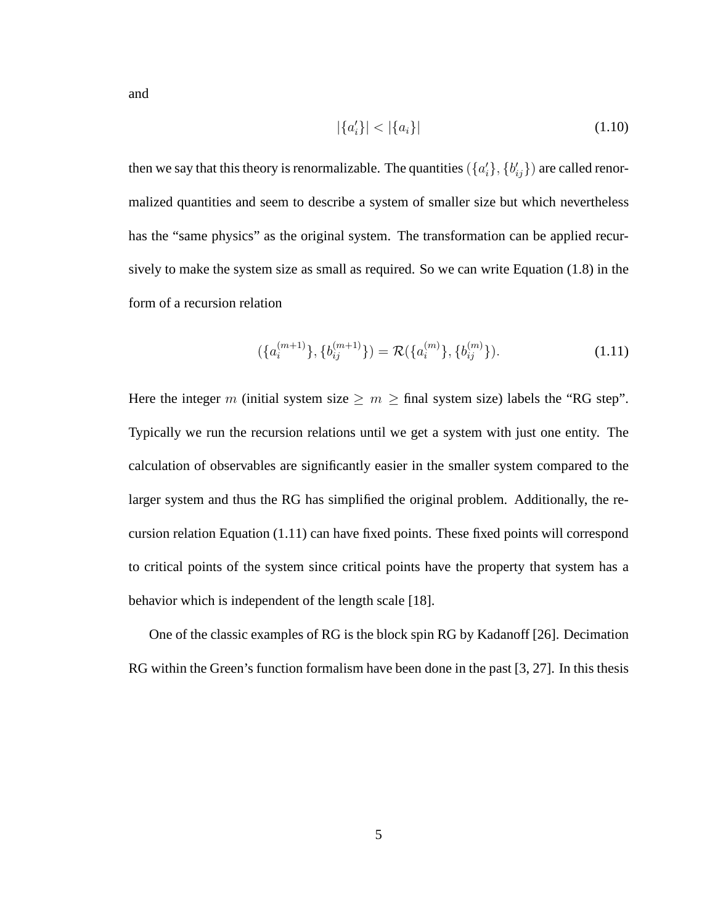and

$$
|\{a_i'\}| < |\{a_i\}| \tag{1.10}
$$

then we say that this theory is renormalizable. The quantities ( $\{a_i^{\prime}\}$  $\{b_{ij}'\}$  are called renormalized quantities and seem to describe a system of smaller size but which nevertheless has the "same physics" as the original system. The transformation can be applied recursively to make the system size as small as required. So we can write Equation (1.8) in the form of a recursion relation

$$
(\{a_i^{(m+1)}\}, \{b_{ij}^{(m+1)}\}) = \mathcal{R}(\{a_i^{(m)}\}, \{b_{ij}^{(m)}\}).
$$
\n(1.11)

Here the integer m (initial system size  $\geq m \geq \text{final}$  system size) labels the "RG step". Typically we run the recursion relations until we get a system with just one entity. The calculation of observables are significantly easier in the smaller system compared to the larger system and thus the RG has simplified the original problem. Additionally, the recursion relation Equation (1.11) can have fixed points. These fixed points will correspond to critical points of the system since critical points have the property that system has a behavior which is independent of the length scale [18].

One of the classic examples of RG is the block spin RG by Kadanoff [26]. Decimation RG within the Green's function formalism have been done in the past [3, 27]. In this thesis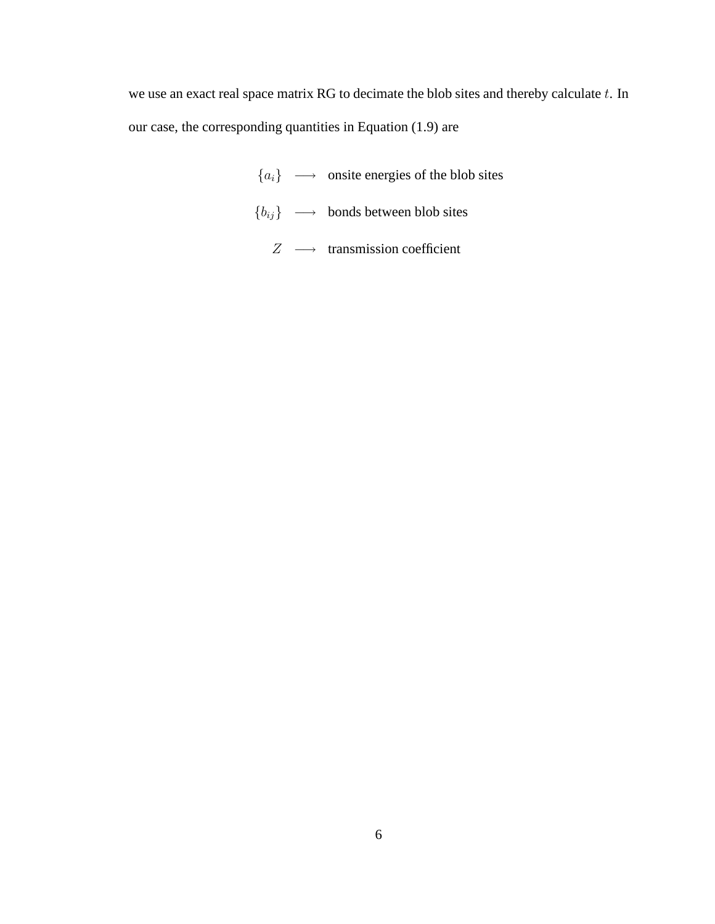we use an exact real space matrix RG to decimate the blob sites and thereby calculate  $t$ . In our case, the corresponding quantities in Equation (1.9) are

> ${a_i} \longrightarrow$  onsite energies of the blob sites  ${b_{ij}} \longrightarrow$  bonds between blob sites  $Z \longrightarrow$  transmission coefficient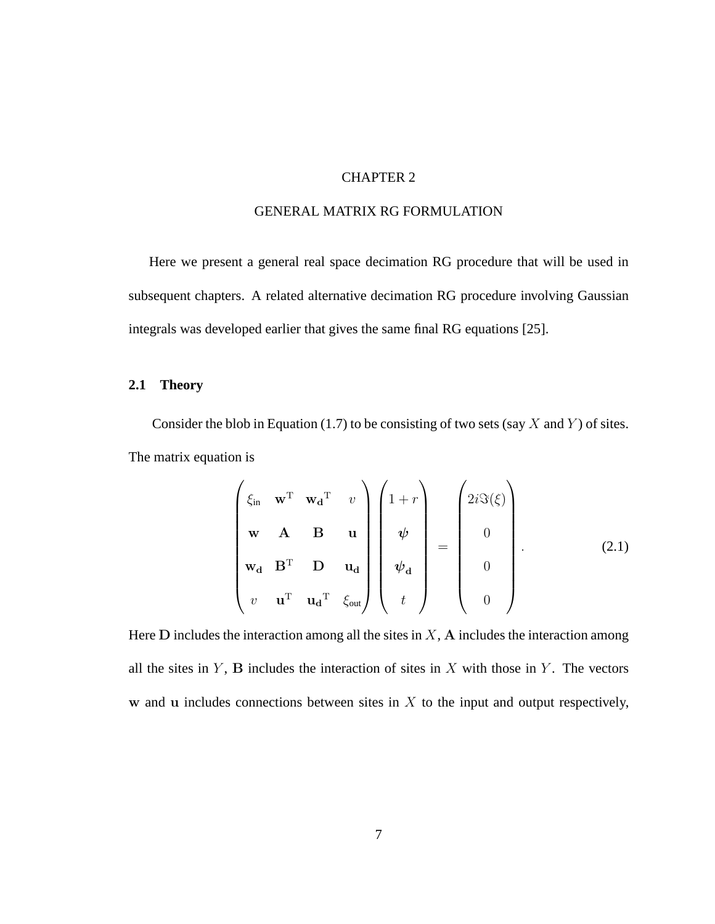## CHAPTER 2

### GENERAL MATRIX RG FORMULATION

Here we present a general real space decimation RG procedure that will be used in subsequent chapters. A related alternative decimation RG procedure involving Gaussian integrals was developed earlier that gives the same final RG equations [25].

## **2.1 Theory**

Consider the blob in Equation (1.7) to be consisting of two sets (say X and Y) of sites. The matrix equation is

$$
\begin{pmatrix}\n\xi_{\text{in}} & \mathbf{w}^{\text{T}} & \mathbf{w}_{\mathbf{d}}^{\text{T}} & v \\
\mathbf{w} & \mathbf{A} & \mathbf{B} & \mathbf{u} \\
\mathbf{w}_{\mathbf{d}} & \mathbf{B}^{\text{T}} & \mathbf{D} & \mathbf{u}_{\mathbf{d}} \\
v & \mathbf{u}^{\text{T}} & \mathbf{u}_{\mathbf{d}}^{\text{T}} & \xi_{\text{out}}\n\end{pmatrix}\n\begin{pmatrix}\n1+r \\
\psi \\
\psi \\
\psi \\
t\n\end{pmatrix} = \begin{pmatrix}\n2i\Im(\xi) \\
0 \\
0 \\
0\n\end{pmatrix}.
$$
\n(2.1)

Here  $D$  includes the interaction among all the sites in  $X$ ,  $A$  includes the interaction among all the sites in  $Y$ ,  $B$  includes the interaction of sites in  $X$  with those in  $Y$ . The vectors w and u includes connections between sites in  $X$  to the input and output respectively,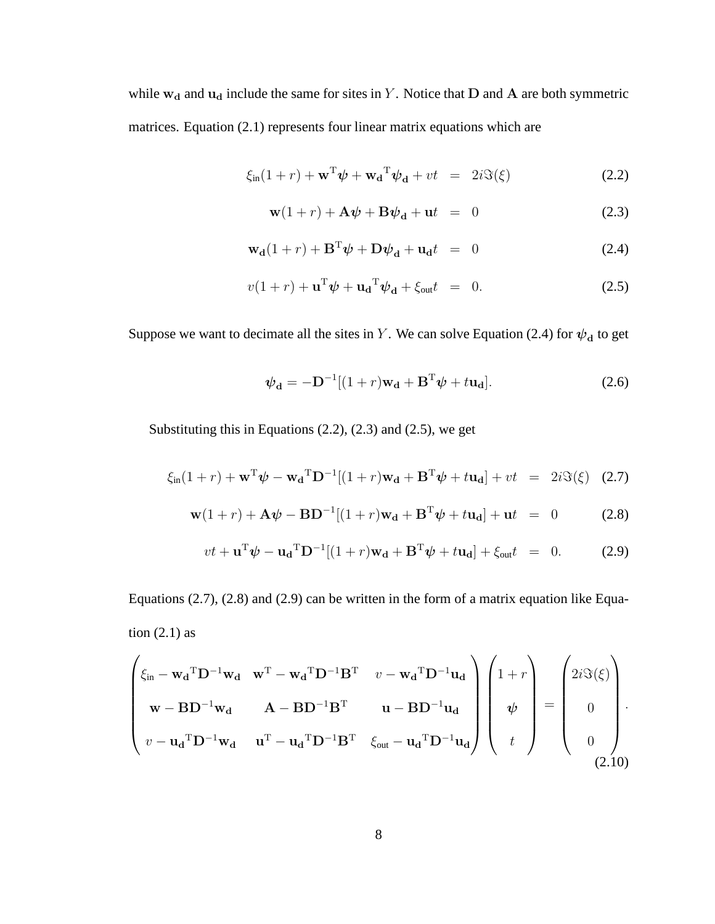while  $w_d$  and  $u_d$  include the same for sites in Y. Notice that D and A are both symmetric matrices. Equation (2.1) represents four linear matrix equations which are

$$
\xi_{\rm in}(1+r) + \mathbf{w}^{\mathrm{T}} \boldsymbol{\psi} + \mathbf{w}_{\mathbf{d}}^{\mathrm{T}} \boldsymbol{\psi}_{\mathbf{d}} + vt = 2i \Im(\xi)
$$
 (2.2)

$$
\mathbf{w}(1+r) + \mathbf{A}\boldsymbol{\psi} + \mathbf{B}\boldsymbol{\psi}_d + \mathbf{u}t = 0 \tag{2.3}
$$

$$
\mathbf{w_d}(1+r) + \mathbf{B}^{\mathrm{T}}\boldsymbol{\psi} + \mathbf{D}\boldsymbol{\psi}_d + \mathbf{u_d}t = 0 \qquad (2.4)
$$

$$
v(1+r) + \mathbf{u}^{\mathrm{T}}\boldsymbol{\psi} + \mathbf{u}_{\mathbf{d}}{}^{\mathrm{T}}\boldsymbol{\psi}_{\mathbf{d}} + \xi_{\text{out}}t = 0.
$$
 (2.5)

Suppose we want to decimate all the sites in Y. We can solve Equation (2.4) for  $\psi_d$  to get

$$
\psi_{\mathbf{d}} = -\mathbf{D}^{-1}[(1+r)\mathbf{w}_{\mathbf{d}} + \mathbf{B}^{\mathrm{T}}\psi + t\mathbf{u}_{\mathbf{d}}].
$$
\n(2.6)

Substituting this in Equations (2.2), (2.3) and (2.5), we get

$$
\xi_{\text{in}}(1+r) + \mathbf{w}^{\text{T}}\boldsymbol{\psi} - \mathbf{w}_{\mathbf{d}}^{\text{T}}\mathbf{D}^{-1}[(1+r)\mathbf{w}_{\mathbf{d}} + \mathbf{B}^{\text{T}}\boldsymbol{\psi} + t\mathbf{u}_{\mathbf{d}}] + vt = 2i\Im(\xi)
$$
 (2.7)

$$
\mathbf{w}(1+r) + \mathbf{A}\boldsymbol{\psi} - \mathbf{B}\mathbf{D}^{-1}[(1+r)\mathbf{w_d} + \mathbf{B}^T\boldsymbol{\psi} + t\mathbf{u_d}] + \mathbf{u}t = 0 \qquad (2.8)
$$

$$
vt + \mathbf{u}^{\mathrm{T}}\boldsymbol{\psi} - \mathbf{u}_{\mathbf{d}}{}^{\mathrm{T}}\mathbf{D}^{-1}[(1+r)\mathbf{w}_{\mathbf{d}} + \mathbf{B}^{\mathrm{T}}\boldsymbol{\psi} + t\mathbf{u}_{\mathbf{d}}] + \xi_{\text{out}}t = 0. \tag{2.9}
$$

Equations (2.7), (2.8) and (2.9) can be written in the form of a matrix equation like Equation  $(2.1)$  as

$$
\begin{pmatrix}\n\xi_{\text{in}} - \mathbf{w_d}^T \mathbf{D}^{-1} \mathbf{w_d} & \mathbf{w}^T - \mathbf{w_d}^T \mathbf{D}^{-1} \mathbf{B}^T & v - \mathbf{w_d}^T \mathbf{D}^{-1} \mathbf{u_d} \\
\mathbf{w} - \mathbf{B} \mathbf{D}^{-1} \mathbf{w_d} & \mathbf{A} - \mathbf{B} \mathbf{D}^{-1} \mathbf{B}^T & \mathbf{u} - \mathbf{B} \mathbf{D}^{-1} \mathbf{u_d} \\
v - \mathbf{u_d}^T \mathbf{D}^{-1} \mathbf{w_d} & \mathbf{u}^T - \mathbf{u_d}^T \mathbf{D}^{-1} \mathbf{B}^T & \xi_{\text{out}} - \mathbf{u_d}^T \mathbf{D}^{-1} \mathbf{u_d}\n\end{pmatrix}\n\begin{pmatrix}\n1+r \\
\psi \\
\psi \\
\end{pmatrix} = \begin{pmatrix}\n2i\Im(\xi) \\
0 \\
0 \\
\end{pmatrix}.
$$
\n(2.10)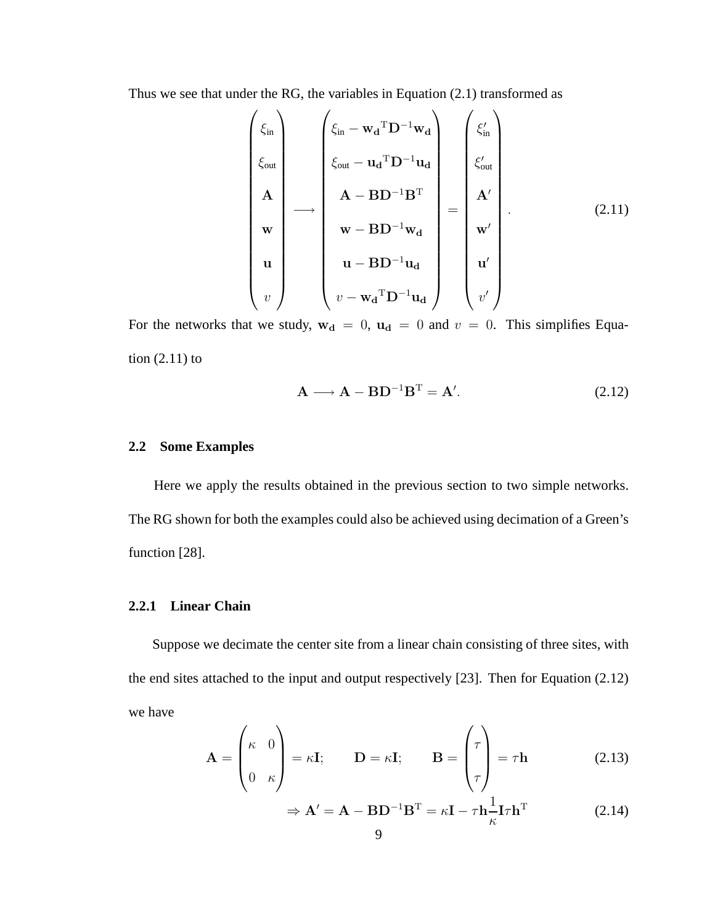Thus we see that under the RG, the variables in Equation (2.1) transformed as

$$
\begin{pmatrix}\n\xi_{\text{in}} \\
\xi_{\text{out}} \\
A \\
\vdots \\
W \\
w\n\end{pmatrix}\n\longrightarrow\n\begin{pmatrix}\n\xi_{\text{in}} - \mathbf{w_d}^{\mathrm{T}} \mathbf{D}^{-1} \mathbf{w_d} \\
\xi_{\text{out}} - \mathbf{u_d}^{\mathrm{T}} \mathbf{D}^{-1} \mathbf{u_d} \\
A - \mathbf{B} \mathbf{D}^{-1} \mathbf{B}^{\mathrm{T}} \\
\vdots \\
\mathbf{w} - \mathbf{B} \mathbf{D}^{-1} \mathbf{w_d} \\
\vdots \\
\mathbf{w} - \mathbf{B} \mathbf{D}^{-1} \mathbf{u_d} \\
\vdots \\
\mathbf{w} - \mathbf{w_d}^{\mathrm{T}} \mathbf{D}^{-1} \mathbf{u_d}\n\end{pmatrix}\n=\n\begin{pmatrix}\n\xi_{\text{in}} \\
\xi_{\text{out}} \\
A' \\
\vdots \\
\mathbf{w}' \\
\vdots \\
\mathbf{w}' \\
\vdots\n\end{pmatrix}.
$$
\n(2.11)

For the networks that we study,  $w_d = 0$ ,  $u_d = 0$  and  $v = 0$ . This simplifies Equation (2.11) to

$$
\mathbf{A} \longrightarrow \mathbf{A} - \mathbf{B} \mathbf{D}^{-1} \mathbf{B}^{\mathrm{T}} = \mathbf{A}^{\prime}.
$$
 (2.12)

#### **2.2 Some Examples**

Here we apply the results obtained in the previous section to two simple networks. The RG shown for both the examples could also be achieved using decimation of a Green's function [28].

## **2.2.1 Linear Chain**

Suppose we decimate the center site from a linear chain consisting of three sites, with the end sites attached to the input and output respectively [23]. Then for Equation (2.12) we have

$$
\mathbf{A} = \begin{pmatrix} \kappa & 0 \\ 0 & \kappa \end{pmatrix} = \kappa \mathbf{I}; \qquad \mathbf{D} = \kappa \mathbf{I}; \qquad \mathbf{B} = \begin{pmatrix} \tau \\ \tau \\ \tau \end{pmatrix} = \tau \mathbf{h} \tag{2.13}
$$

$$
\Rightarrow \mathbf{A}' = \mathbf{A} - \mathbf{B} \mathbf{D}^{-1} \mathbf{B}^{\mathrm{T}} = \kappa \mathbf{I} - \tau \mathbf{h} \frac{1}{\kappa} \mathbf{I} \tau \mathbf{h}^{\mathrm{T}}
$$
(2.14)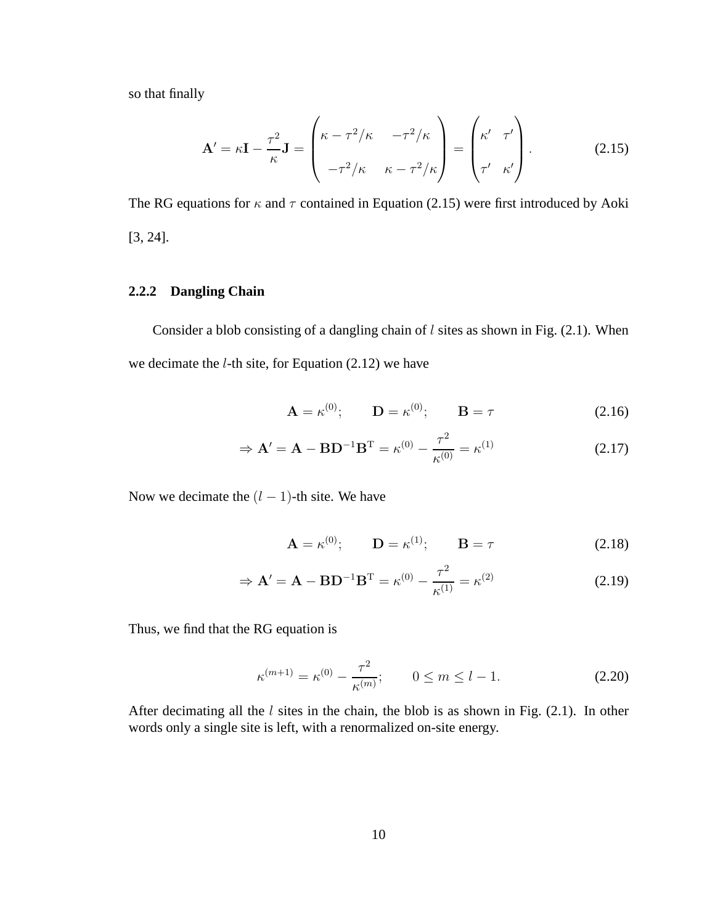so that finally

$$
\mathbf{A}' = \kappa \mathbf{I} - \frac{\tau^2}{\kappa} \mathbf{J} = \begin{pmatrix} \kappa - \tau^2 / \kappa & -\tau^2 / \kappa \\ -\tau^2 / \kappa & \kappa - \tau^2 / \kappa \end{pmatrix} = \begin{pmatrix} \kappa' & \tau' \\ \tau' & \kappa' \end{pmatrix} . \tag{2.15}
$$

The RG equations for  $\kappa$  and  $\tau$  contained in Equation (2.15) were first introduced by Aoki [3, 24].

## **2.2.2 Dangling Chain**

Consider a blob consisting of a dangling chain of  $l$  sites as shown in Fig. (2.1). When we decimate the  $l$ -th site, for Equation (2.12) we have

$$
\mathbf{A} = \kappa^{(0)}; \qquad \mathbf{D} = \kappa^{(0)}; \qquad \mathbf{B} = \tau \tag{2.16}
$$

$$
\Rightarrow \mathbf{A}' = \mathbf{A} - \mathbf{B} \mathbf{D}^{-1} \mathbf{B}^{\mathrm{T}} = \kappa^{(0)} - \frac{\tau^2}{\kappa^{(0)}} = \kappa^{(1)} \tag{2.17}
$$

Now we decimate the  $(l - 1)$ -th site. We have

$$
\mathbf{A} = \kappa^{(0)}; \qquad \mathbf{D} = \kappa^{(1)}; \qquad \mathbf{B} = \tau \tag{2.18}
$$

$$
\Rightarrow \mathbf{A}' = \mathbf{A} - \mathbf{B} \mathbf{D}^{-1} \mathbf{B}^{\mathrm{T}} = \kappa^{(0)} - \frac{\tau^2}{\kappa^{(1)}} = \kappa^{(2)} \tag{2.19}
$$

Thus, we find that the RG equation is

$$
\kappa^{(m+1)} = \kappa^{(0)} - \frac{\tau^2}{\kappa^{(m)}}; \qquad 0 \le m \le l - 1.
$$
 (2.20)

After decimating all the  $l$  sites in the chain, the blob is as shown in Fig. (2.1). In other words only a single site is left, with a renormalized on-site energy.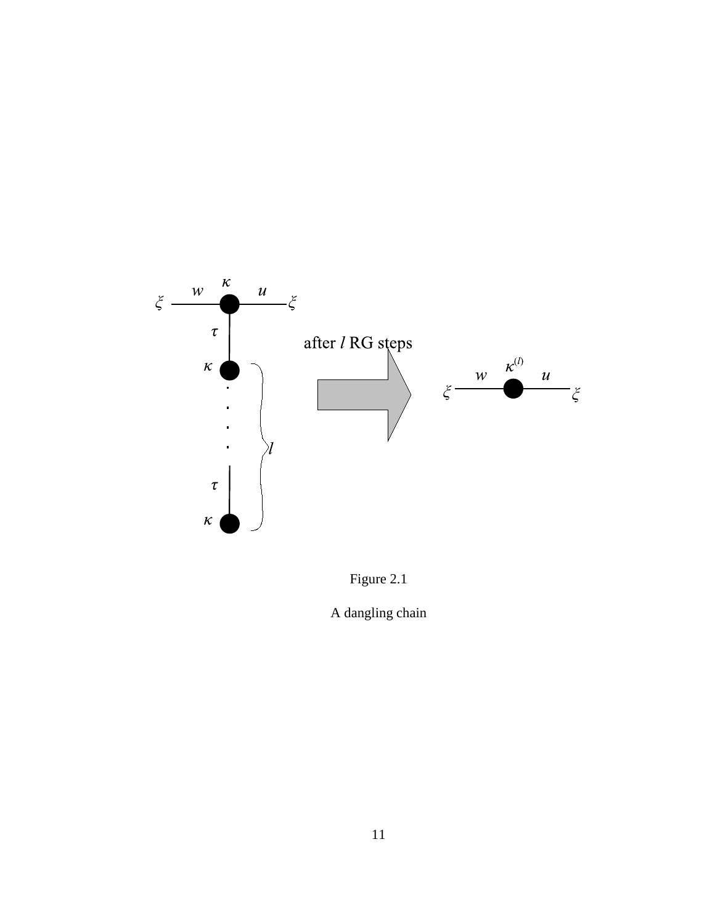



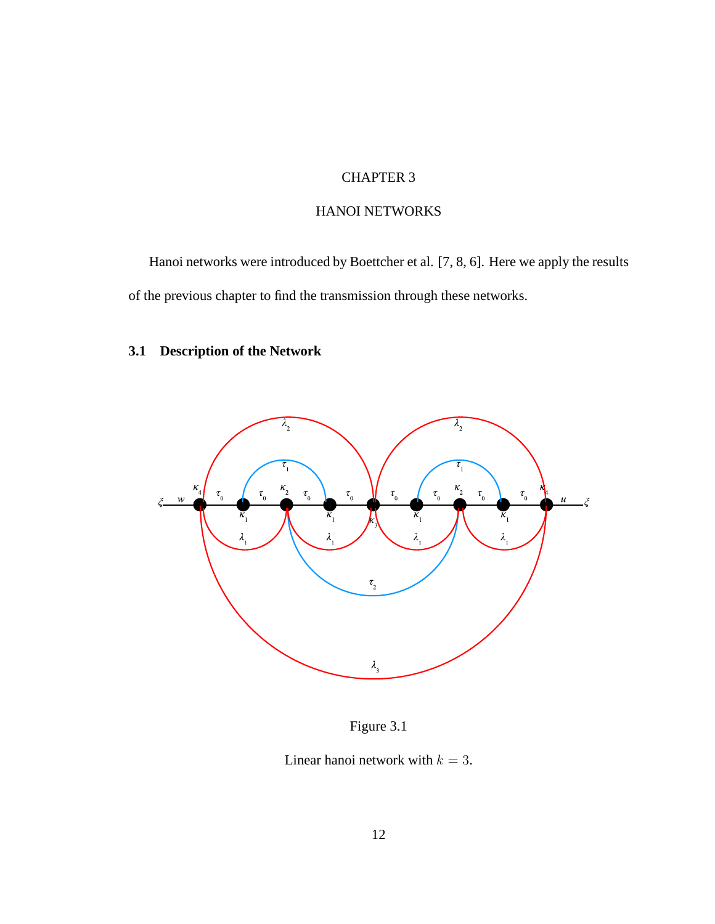# CHAPTER 3

## HANOI NETWORKS

Hanoi networks were introduced by Boettcher et al. [7, 8, 6]. Here we apply the results of the previous chapter to find the transmission through these networks.

# **3.1 Description of the Network**



Figure 3.1

Linear hanoi network with  $k = 3$ .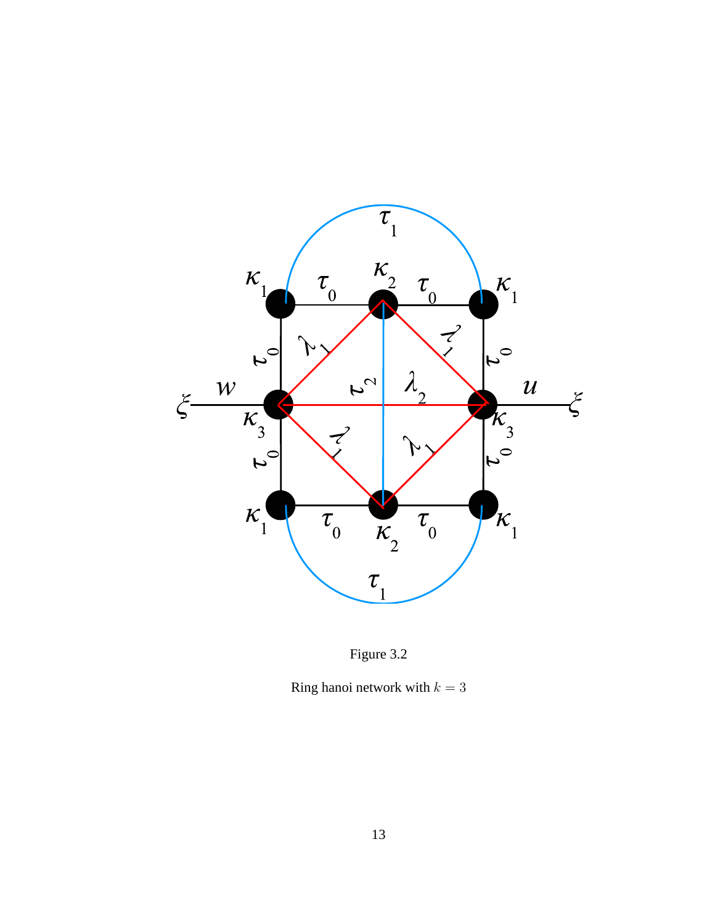



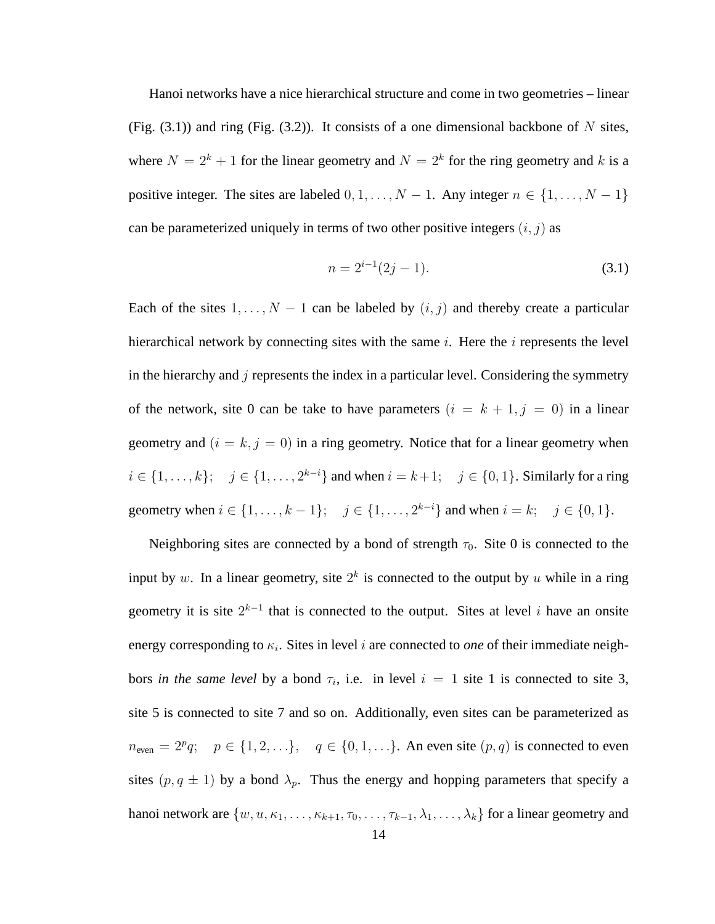Hanoi networks have a nice hierarchical structure and come in two geometries – linear (Fig.  $(3.1)$ ) and ring (Fig.  $(3.2)$ ). It consists of a one dimensional backbone of N sites, where  $N = 2<sup>k</sup> + 1$  for the linear geometry and  $N = 2<sup>k</sup>$  for the ring geometry and k is a positive integer. The sites are labeled  $0, 1, \ldots, N - 1$ . Any integer  $n \in \{1, \ldots, N - 1\}$ can be parameterized uniquely in terms of two other positive integers  $(i, j)$  as

$$
n = 2^{i-1}(2j - 1).
$$
 (3.1)

Each of the sites  $1, \ldots, N - 1$  can be labeled by  $(i, j)$  and thereby create a particular hierarchical network by connecting sites with the same  $i$ . Here the  $i$  represents the level in the hierarchy and  $j$  represents the index in a particular level. Considering the symmetry of the network, site 0 can be take to have parameters  $(i = k + 1, j = 0)$  in a linear geometry and  $(i = k, j = 0)$  in a ring geometry. Notice that for a linear geometry when *i* ∈ {1, . . . , *k*}; *j* ∈ {1, . . . , 2<sup>*k*-*i*</sup>} and when *i* = *k* + 1; *j* ∈ {0, 1}. Similarly for a ring geometry when  $i \in \{1, ..., k-1\}$ ;  $j \in \{1, ..., 2^{k-i}\}$  and when  $i = k$ ;  $j \in \{0, 1\}$ .

Neighboring sites are connected by a bond of strength  $\tau_0$ . Site 0 is connected to the input by w. In a linear geometry, site  $2^k$  is connected to the output by u while in a ring geometry it is site  $2^{k-1}$  that is connected to the output. Sites at level i have an onsite energy corresponding to  $\kappa_i$ . Sites in level i are connected to *one* of their immediate neighbors *in the same level* by a bond  $\tau_i$ , i.e. in level  $i = 1$  site 1 is connected to site 3, site 5 is connected to site 7 and so on. Additionally, even sites can be parameterized as  $n_{\text{even}} = 2^p q; \quad p \in \{1, 2, \ldots\}, \quad q \in \{0, 1, \ldots\}.$  An even site  $(p, q)$  is connected to even sites  $(p, q \pm 1)$  by a bond  $\lambda_p$ . Thus the energy and hopping parameters that specify a hanoi network are  $\{w, u, \kappa_1, \ldots, \kappa_{k+1}, \tau_0, \ldots, \tau_{k-1}, \lambda_1, \ldots, \lambda_k\}$  for a linear geometry and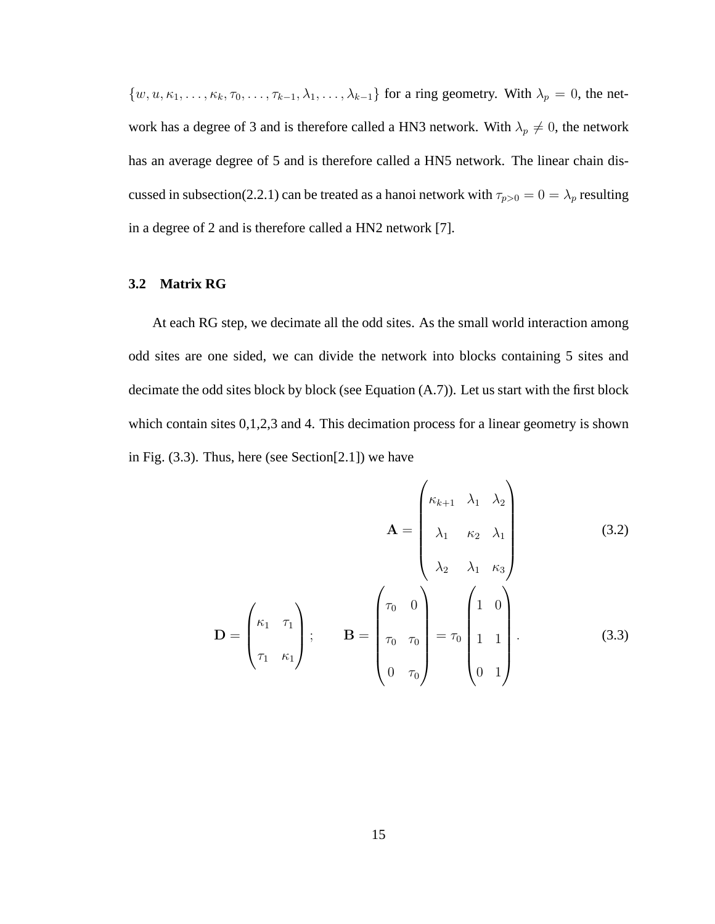$\{w, u, \kappa_1, \ldots, \kappa_k, \tau_0, \ldots, \tau_{k-1}, \lambda_1, \ldots, \lambda_{k-1}\}\$  for a ring geometry. With  $\lambda_p = 0$ , the network has a degree of 3 and is therefore called a HN3 network. With  $\lambda_p \neq 0$ , the network has an average degree of 5 and is therefore called a HN5 network. The linear chain discussed in subsection(2.2.1) can be treated as a hanoi network with  $\tau_{p>0} = 0 = \lambda_p$  resulting in a degree of 2 and is therefore called a HN2 network [7].

### **3.2 Matrix RG**

At each RG step, we decimate all the odd sites. As the small world interaction among odd sites are one sided, we can divide the network into blocks containing 5 sites and decimate the odd sites block by block (see Equation (A.7)). Let us start with the first block which contain sites 0,1,2,3 and 4. This decimation process for a linear geometry is shown in Fig.  $(3.3)$ . Thus, here (see Section $[2.1]$ ) we have

$$
\mathbf{A} = \begin{pmatrix} \kappa_{k+1} & \lambda_1 & \lambda_2 \\ \lambda_1 & \kappa_2 & \lambda_1 \\ \lambda_2 & \lambda_1 & \kappa_3 \end{pmatrix} \tag{3.2}
$$
\n
$$
\mathbf{D} = \begin{pmatrix} \kappa_1 & \tau_1 \\ \tau_1 & \kappa_1 \end{pmatrix}; \qquad \mathbf{B} = \begin{pmatrix} \tau_0 & 0 \\ \tau_0 & \tau_0 \\ 0 & \tau_0 \end{pmatrix} = \tau_0 \begin{pmatrix} 1 & 0 \\ 1 & 1 \\ 0 & 1 \end{pmatrix}. \tag{3.3}
$$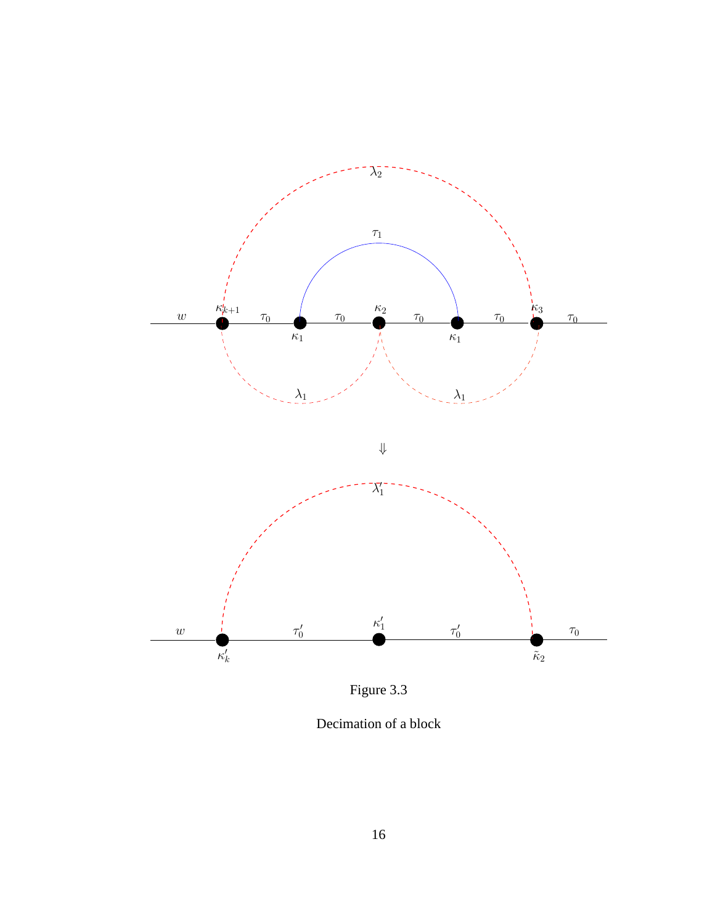

Figure 3.3

Decimation of a block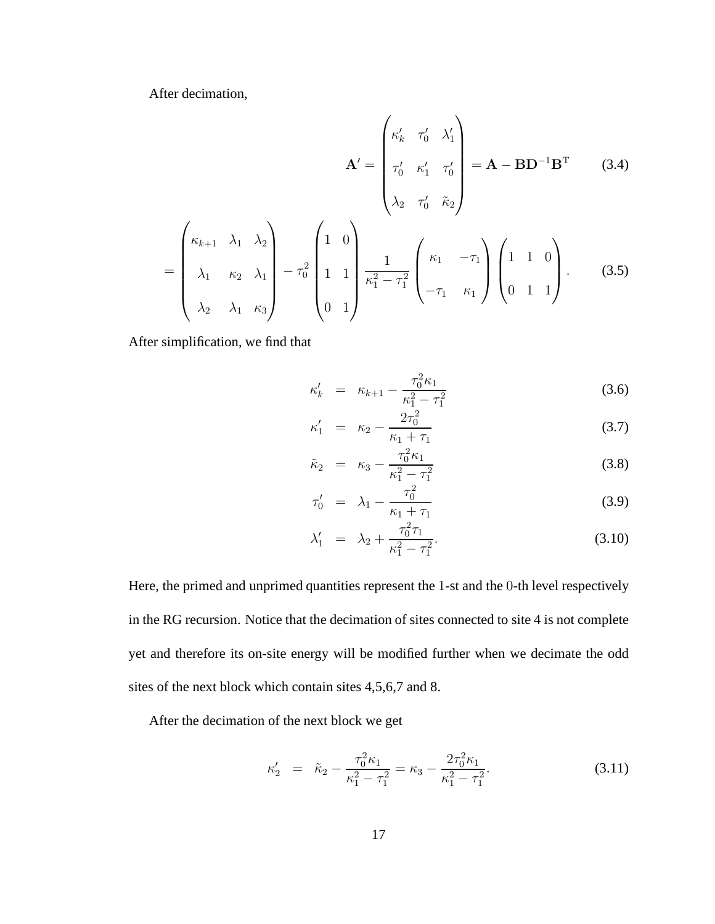After decimation,

$$
\mathbf{A}' = \begin{pmatrix} \kappa'_k & \tau'_0 & \lambda'_1 \\ \tau'_0 & \kappa'_1 & \tau'_0 \\ \lambda_2 & \tau'_0 & \tilde{\kappa}_2 \end{pmatrix} = \mathbf{A} - \mathbf{B} \mathbf{D}^{-1} \mathbf{B}^{\mathrm{T}} \tag{3.4}
$$

$$
= \begin{pmatrix} \kappa_{k+1} & \lambda_1 & \lambda_2 \\ \lambda_1 & \kappa_2 & \lambda_1 \\ \lambda_2 & \lambda_1 & \kappa_3 \end{pmatrix} - \tau_0^2 \begin{pmatrix} 1 & 0 \\ 1 & 1 \\ 0 & 1 \end{pmatrix} \frac{1}{\kappa_1^2 - \tau_1^2} \begin{pmatrix} \kappa_1 & -\tau_1 \\ -\tau_1 & \kappa_1 \end{pmatrix} \begin{pmatrix} 1 & 1 & 0 \\ 0 & 1 & 1 \end{pmatrix} . \tag{3.5}
$$

After simplification, we find that

$$
\kappa'_{k} = \kappa_{k+1} - \frac{\tau_0^2 \kappa_1}{\kappa_1^2 - \tau_1^2} \tag{3.6}
$$

$$
\kappa_1' = \kappa_2 - \frac{2\tau_0^2}{\kappa_1 + \tau_1} \tag{3.7}
$$

$$
\tilde{\kappa}_2 = \kappa_3 - \frac{\tau_0^2 \kappa_1}{\kappa_1^2 - \tau_1^2} \tag{3.8}
$$

$$
\tau_0' = \lambda_1 - \frac{\tau_0^2}{\kappa_1 + \tau_1} \tag{3.9}
$$

$$
\lambda_1' = \lambda_2 + \frac{\tau_0^2 \tau_1}{\kappa_1^2 - \tau_1^2}.
$$
\n(3.10)

Here, the primed and unprimed quantities represent the 1-st and the 0-th level respectively in the RG recursion. Notice that the decimation of sites connected to site 4 is not complete yet and therefore its on-site energy will be modified further when we decimate the odd sites of the next block which contain sites 4,5,6,7 and 8.

After the decimation of the next block we get

$$
\kappa_2' = \tilde{\kappa}_2 - \frac{\tau_0^2 \kappa_1}{\kappa_1^2 - \tau_1^2} = \kappa_3 - \frac{2\tau_0^2 \kappa_1}{\kappa_1^2 - \tau_1^2}.
$$
\n(3.11)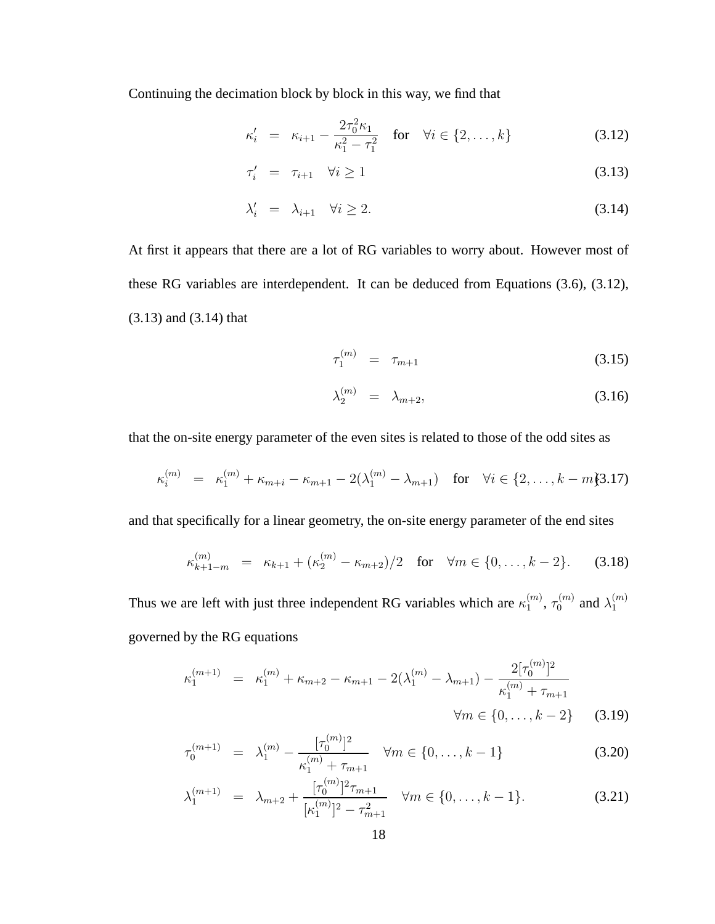Continuing the decimation block by block in this way, we find that

$$
\kappa'_{i} = \kappa_{i+1} - \frac{2\tau_{0}^{2}\kappa_{1}}{\kappa_{1}^{2} - \tau_{1}^{2}} \quad \text{for} \quad \forall i \in \{2, ..., k\}
$$
 (3.12)

$$
\tau'_i = \tau_{i+1} \quad \forall i \ge 1 \tag{3.13}
$$

$$
\lambda_i' = \lambda_{i+1} \quad \forall i \ge 2. \tag{3.14}
$$

At first it appears that there are a lot of RG variables to worry about. However most of these RG variables are interdependent. It can be deduced from Equations (3.6), (3.12), (3.13) and (3.14) that

$$
\tau_1^{(m)} = \tau_{m+1} \tag{3.15}
$$

$$
\lambda_2^{(m)} = \lambda_{m+2}, \tag{3.16}
$$

that the on-site energy parameter of the even sites is related to those of the odd sites as

$$
\kappa_i^{(m)} = \kappa_1^{(m)} + \kappa_{m+i} - \kappa_{m+1} - 2(\lambda_1^{(m)} - \lambda_{m+1}) \quad \text{for} \quad \forall i \in \{2, \dots, k-m\} \quad 3.17)
$$

and that specifically for a linear geometry, the on-site energy parameter of the end sites

$$
\kappa_{k+1-m}^{(m)} = \kappa_{k+1} + (\kappa_2^{(m)} - \kappa_{m+2})/2 \quad \text{for} \quad \forall m \in \{0, \dots, k-2\}. \tag{3.18}
$$

Thus we are left with just three independent RG variables which are  $\kappa_1^{(m)}$  $_1^{(m)},\,\tau_0^{(m)}$  $\lambda_0^{(m)}$  and  $\lambda_1^{(m)}$ 1 governed by the RG equations

$$
\kappa_1^{(m+1)} = \kappa_1^{(m)} + \kappa_{m+2} - \kappa_{m+1} - 2(\lambda_1^{(m)} - \lambda_{m+1}) - \frac{2[\tau_0^{(m)}]^2}{\kappa_1^{(m)} + \tau_{m+1}}
$$
  

$$
\forall m \in \{0, \dots, k-2\} \qquad (3.19)
$$

$$
\tau_0^{(m+1)} = \lambda_1^{(m)} - \frac{[\tau_0^{(m)}]^2}{\kappa_1^{(m)} + \tau_{m+1}} \quad \forall m \in \{0, \dots, k-1\}
$$
\n(3.20)

$$
\lambda_1^{(m+1)} = \lambda_{m+2} + \frac{[\tau_0^{(m)}]^2 \tau_{m+1}}{[\kappa_1^{(m)}]^2 - \tau_{m+1}^2} \quad \forall m \in \{0, \dots, k-1\}.
$$
 (3.21)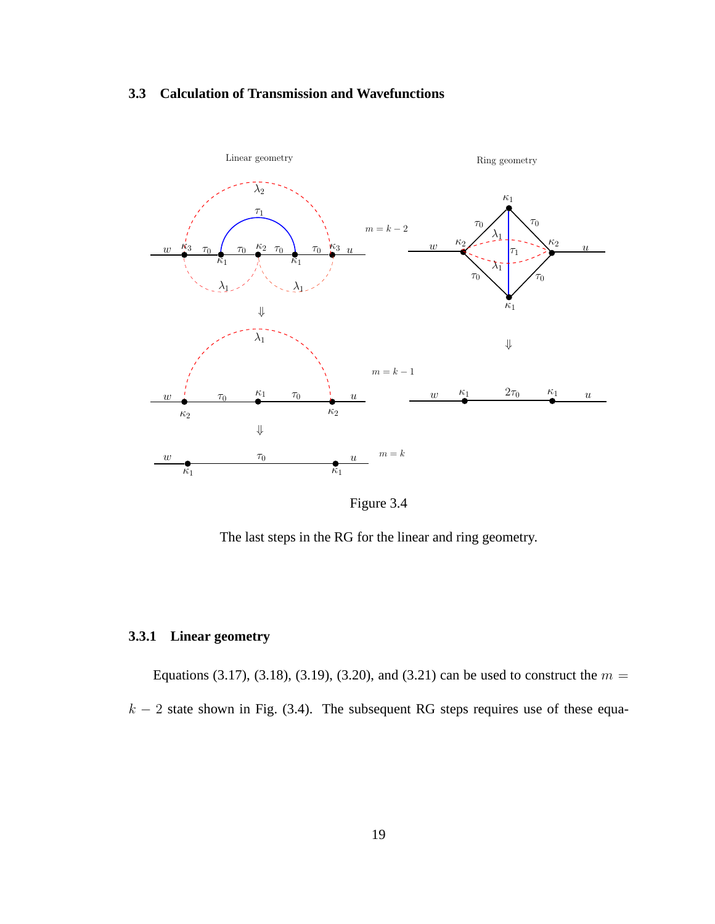## **3.3 Calculation of Transmission and Wavefunctions**



Figure 3.4

The last steps in the RG for the linear and ring geometry.

# **3.3.1 Linear geometry**

Equations (3.17), (3.18), (3.19), (3.20), and (3.21) can be used to construct the  $m =$  $k - 2$  state shown in Fig. (3.4). The subsequent RG steps requires use of these equa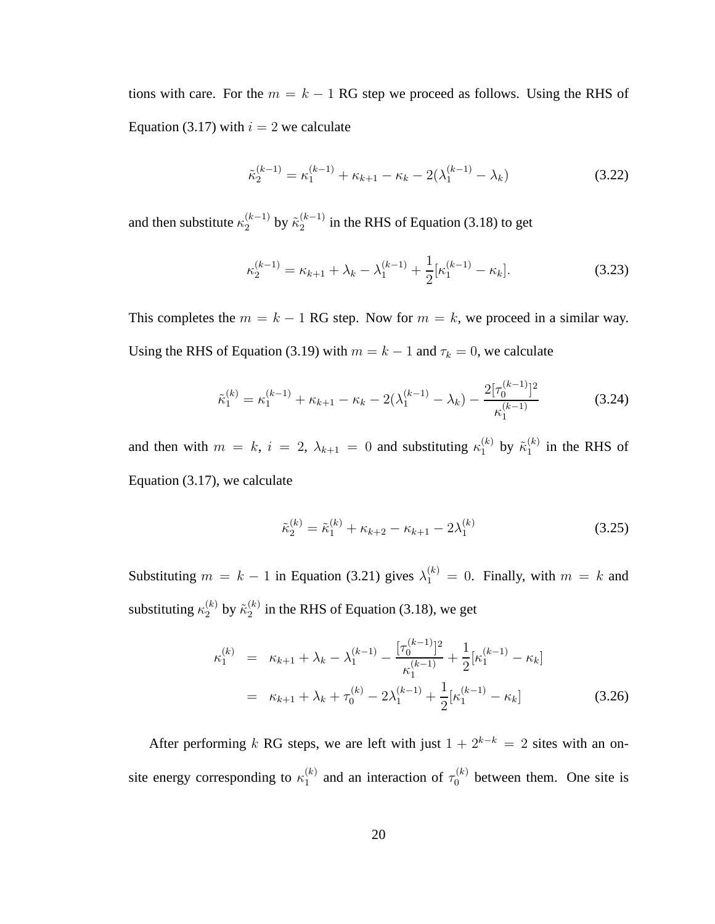tions with care. For the  $m = k - 1$  RG step we proceed as follows. Using the RHS of Equation (3.17) with  $i = 2$  we calculate

$$
\tilde{\kappa}_2^{(k-1)} = \kappa_1^{(k-1)} + \kappa_{k+1} - \kappa_k - 2(\lambda_1^{(k-1)} - \lambda_k)
$$
\n(3.22)

and then substitute  $\kappa_2^{(k-1)}$  $\zeta_2^{(k-1)}$  by  $\tilde{\kappa}_2^{(k-1)}$  $\binom{k-1}{2}$  in the RHS of Equation (3.18) to get

$$
\kappa_2^{(k-1)} = \kappa_{k+1} + \lambda_k - \lambda_1^{(k-1)} + \frac{1}{2} [\kappa_1^{(k-1)} - \kappa_k].
$$
\n(3.23)

This completes the  $m = k - 1$  RG step. Now for  $m = k$ , we proceed in a similar way. Using the RHS of Equation (3.19) with  $m = k - 1$  and  $\tau_k = 0$ , we calculate

$$
\tilde{\kappa}_1^{(k)} = \kappa_1^{(k-1)} + \kappa_{k+1} - \kappa_k - 2(\lambda_1^{(k-1)} - \lambda_k) - \frac{2[\tau_0^{(k-1)}]^2}{\kappa_1^{(k-1)}} \tag{3.24}
$$

and then with  $m = k$ ,  $i = 2$ ,  $\lambda_{k+1} = 0$  and substituting  $\kappa_1^{(k)}$  $\mathfrak{h}_1^{(k)}$  by  $\tilde{\kappa}_1^{(k)}$  $_1^{(\kappa)}$  in the RHS of Equation (3.17), we calculate

$$
\tilde{\kappa}_2^{(k)} = \tilde{\kappa}_1^{(k)} + \kappa_{k+2} - \kappa_{k+1} - 2\lambda_1^{(k)}
$$
\n(3.25)

Substituting  $m = k - 1$  in Equation (3.21) gives  $\lambda_1^{(k)} = 0$ . Finally, with  $m = k$  and substituting  $\kappa_2^{(k)}$  by  $\tilde{\kappa}_2^{(k)}$  $\binom{k}{2}$  in the RHS of Equation (3.18), we get

$$
\kappa_1^{(k)} = \kappa_{k+1} + \lambda_k - \lambda_1^{(k-1)} - \frac{[\tau_0^{(k-1)}]^2}{\kappa_1^{(k-1)}} + \frac{1}{2} [\kappa_1^{(k-1)} - \kappa_k]
$$
  
=  $\kappa_{k+1} + \lambda_k + \tau_0^{(k)} - 2\lambda_1^{(k-1)} + \frac{1}{2} [\kappa_1^{(k-1)} - \kappa_k]$  (3.26)

After performing k RG steps, we are left with just  $1 + 2^{k-k} = 2$  sites with an onsite energy corresponding to  $\kappa_1^{(k)}$  $\tau_1^{(k)}$  and an interaction of  $\tau_0^{(k)}$  $\int_0^{(k)}$  between them. One site is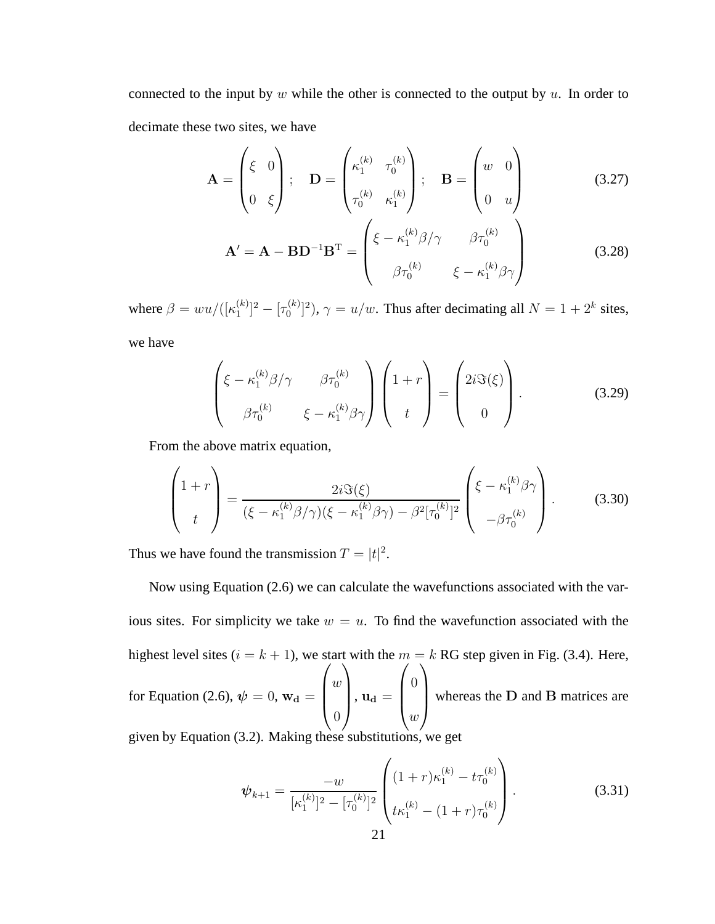connected to the input by  $w$  while the other is connected to the output by  $u$ . In order to decimate these two sites, we have

$$
\mathbf{A} = \begin{pmatrix} \xi & 0 \\ 0 & \xi \end{pmatrix}; \quad \mathbf{D} = \begin{pmatrix} \kappa_1^{(k)} & \tau_0^{(k)} \\ \tau_0^{(k)} & \kappa_1^{(k)} \end{pmatrix}; \quad \mathbf{B} = \begin{pmatrix} w & 0 \\ 0 & u \end{pmatrix}
$$
(3.27)

$$
\mathbf{A}' = \mathbf{A} - \mathbf{B} \mathbf{D}^{-1} \mathbf{B}^{\mathrm{T}} = \begin{pmatrix} \xi - \kappa_1^{(k)} \beta / \gamma & \beta \tau_0^{(k)} \\ \beta \tau_0^{(k)} & \xi - \kappa_1^{(k)} \beta \gamma \end{pmatrix}
$$
(3.28)

where  $\beta = w u / ([\kappa_1^{(k)})$  $\binom{k}{1}^2 - \binom{k}{0}$  $\mathbb{R}^{(k)}_{0}$  ( $\gamma = u/w$ . Thus after decimating all  $N = 1 + 2^{k}$  sites, we have

$$
\begin{pmatrix} \xi - \kappa_1^{(k)} \beta / \gamma & \beta \tau_0^{(k)} \\ \beta \tau_0^{(k)} & \xi - \kappa_1^{(k)} \beta \gamma \end{pmatrix} \begin{pmatrix} 1+r \\ t \end{pmatrix} = \begin{pmatrix} 2i\Im(\xi) \\ 0 \end{pmatrix}.
$$
 (3.29)

From the above matrix equation,

$$
\begin{pmatrix} 1+r \\ t \end{pmatrix} = \frac{2i\Im(\xi)}{(\xi - \kappa_1^{(k)}\beta/\gamma)(\xi - \kappa_1^{(k)}\beta\gamma) - \beta^2[\tau_0^{(k)}]^2} \begin{pmatrix} \xi - \kappa_1^{(k)}\beta\gamma \\ -\beta\tau_0^{(k)} \end{pmatrix}.
$$
 (3.30)

Thus we have found the transmission  $T = |t|^2$ .

Now using Equation (2.6) we can calculate the wavefunctions associated with the various sites. For simplicity we take  $w = u$ . To find the wavefunction associated with the highest level sites ( $i = k + 1$ ), we start with the  $m = k$  RG step given in Fig. (3.4). Here, for Equation (2.6),  $\psi = 0$ ,  $w_d =$  $\sqrt{ }$  $\vert$  $\omega$ 0  $\setminus$  $\Bigg),\, u_{\rm d} =$  $\sqrt{ }$  $\vert$ 0  $\omega$  $\setminus$ whereas the D and B matrices are

given by Equation (3.2). Making these substitutions, we get

$$
\psi_{k+1} = \frac{-w}{[\kappa_1^{(k)}]^2 - [\tau_0^{(k)}]^2} \begin{pmatrix} (1+r)\kappa_1^{(k)} - t\tau_0^{(k)} \\ t\kappa_1^{(k)} - (1+r)\tau_0^{(k)} \end{pmatrix} . \tag{3.31}
$$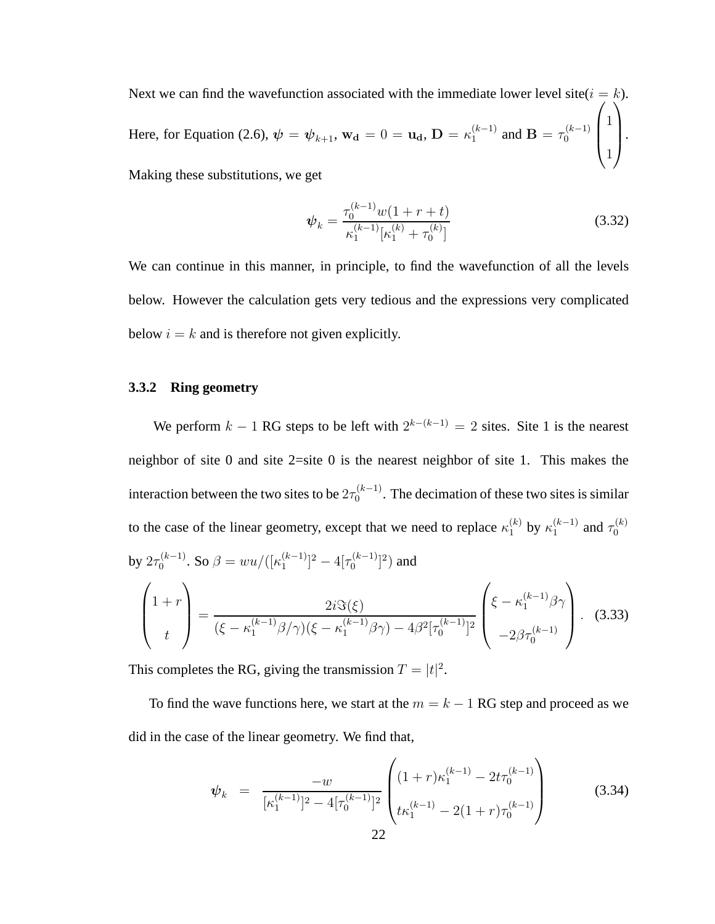Next we can find the wavefunction associated with the immediate lower level site( $i = k$ ). Here, for Equation (2.6),  $\psi = \psi_{k+1}$ ,  $w_d = 0 = u_d$ ,  $D = \kappa_1^{(k-1)}$  $j_1^{(k-1)}$  and  $\mathbf{B} = \tau_0^{(k-1)}$  $\mathbf{0}$  $\sqrt{ }$  $\overline{\phantom{a}}$ 1 1  $\setminus$  $\vert \cdot$ Making these substitutions, we get

$$
\psi_k = \frac{\tau_0^{(k-1)} w (1 + r + t)}{\kappa_1^{(k-1)} [\kappa_1^{(k)} + \tau_0^{(k)}]}
$$
(3.32)

We can continue in this manner, in principle, to find the wavefunction of all the levels below. However the calculation gets very tedious and the expressions very complicated below  $i = k$  and is therefore not given explicitly.

#### **3.3.2 Ring geometry**

We perform  $k-1$  RG steps to be left with  $2^{k-(k-1)} = 2$  sites. Site 1 is the nearest neighbor of site 0 and site 2=site 0 is the nearest neighbor of site 1. This makes the interaction between the two sites to be  $2\tau_0^{(k-1)}$  $\int_0^{(k-1)}$ . The decimation of these two sites is similar to the case of the linear geometry, except that we need to replace  $\kappa_1^{(k)}$  by  $\kappa_1^{(k-1)}$  $\binom{k-1}{1}$  and  $\tau_0^{(k)}$ 0 by  $2\tau_0^{(k-1)}$  $\int_0^{(k-1)}$ . So  $\beta = w u / ([\kappa_1^{(k-1)}$  $\binom{k-1}{1}^2 - 4\lceil \tau_0^{(k-1)} \rceil$  $\binom{(k-1)}{0}$  and  $\sqrt{ }$  $\vert$  $1+r$ t  $\setminus$  $= \frac{2i\Im(\xi)}{(\xi - \kappa_1^{(k-1)}\beta/\gamma)(\xi - \kappa_1^{(k-1)}\zeta)}$  $(\xi - \kappa_1^{(k-1)} \beta / \gamma)(\xi - \kappa_1^{(k-1)} \beta \gamma) - 4 \beta^2 [\tau_0^{(k-1)}$  $\binom{k-1}{0}$ <sup>2</sup>  $\sqrt{ }$  $\overline{\phantom{a}}$  $\xi - \kappa_1^{(k-1)} \beta \gamma$  $-2\beta\tau_0^{(k-1)}$  $\setminus$  $\Bigg| \cdot (3.33)$ 

This completes the RG, giving the transmission  $T = |t|^2$ .

To find the wave functions here, we start at the  $m = k - 1$  RG step and proceed as we did in the case of the linear geometry. We find that,

$$
\psi_k = \frac{-w}{[\kappa_1^{(k-1)}]^2 - 4[\tau_0^{(k-1)}]^2} \begin{pmatrix} (1+r)\kappa_1^{(k-1)} - 2t\tau_0^{(k-1)} \\ t\kappa_1^{(k-1)} - 2(1+r)\tau_0^{(k-1)} \end{pmatrix}
$$
(3.34)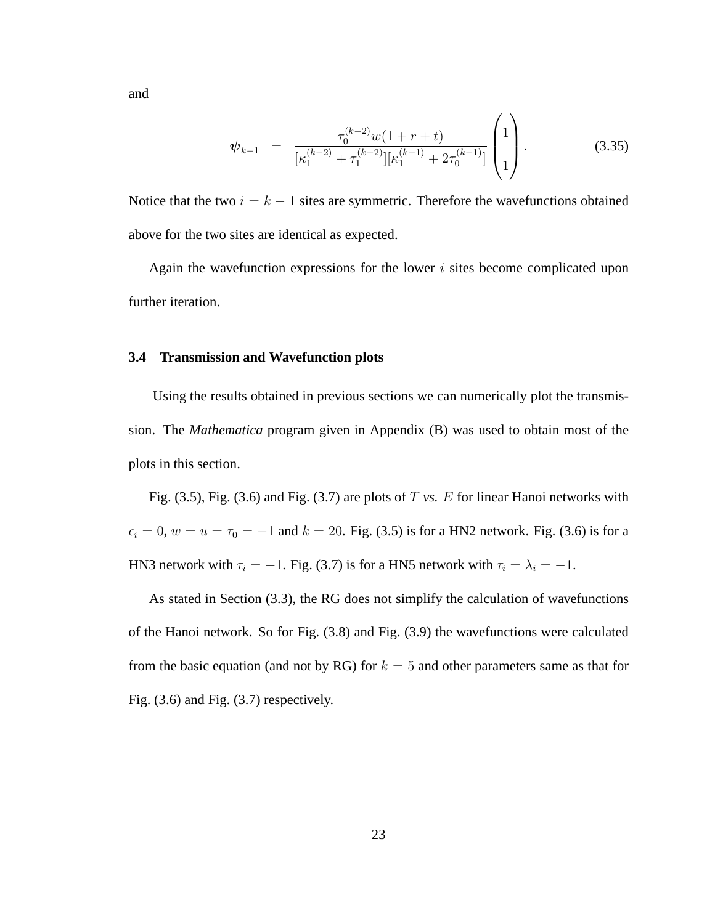and

$$
\psi_{k-1} = \frac{\tau_0^{(k-2)}w(1+r+t)}{[\kappa_1^{(k-2)} + \tau_1^{(k-2)}][\kappa_1^{(k-1)} + 2\tau_0^{(k-1)}]} \begin{pmatrix} 1 \\ 1 \\ 1 \end{pmatrix}.
$$
\n(3.35)

Notice that the two  $i = k - 1$  sites are symmetric. Therefore the wavefunctions obtained above for the two sites are identical as expected.

Again the wavefunction expressions for the lower  $i$  sites become complicated upon further iteration.

#### **3.4 Transmission and Wavefunction plots**

Using the results obtained in previous sections we can numerically plot the transmission. The *Mathematica* program given in Appendix (B) was used to obtain most of the plots in this section.

Fig. (3.5), Fig. (3.6) and Fig. (3.7) are plots of T *vs.* E for linear Hanoi networks with  $\epsilon_i = 0$ ,  $w = u = \tau_0 = -1$  and  $k = 20$ . Fig. (3.5) is for a HN2 network. Fig. (3.6) is for a HN3 network with  $\tau_i = -1$ . Fig. (3.7) is for a HN5 network with  $\tau_i = \lambda_i = -1$ .

As stated in Section (3.3), the RG does not simplify the calculation of wavefunctions of the Hanoi network. So for Fig. (3.8) and Fig. (3.9) the wavefunctions were calculated from the basic equation (and not by RG) for  $k = 5$  and other parameters same as that for Fig. (3.6) and Fig. (3.7) respectively.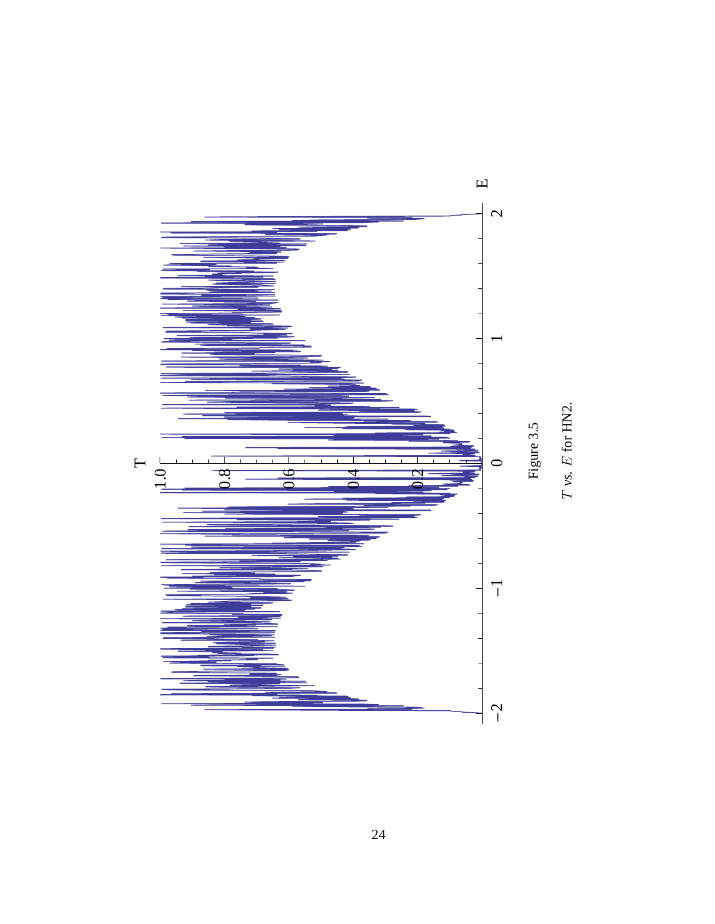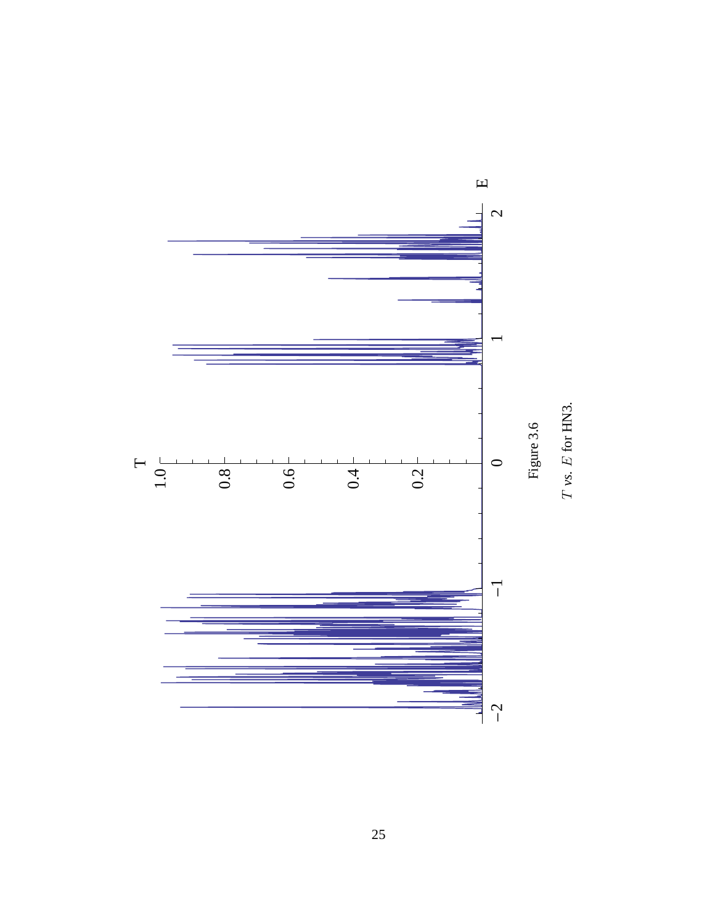![](_page_34_Figure_0.jpeg)

![](_page_34_Figure_1.jpeg)

25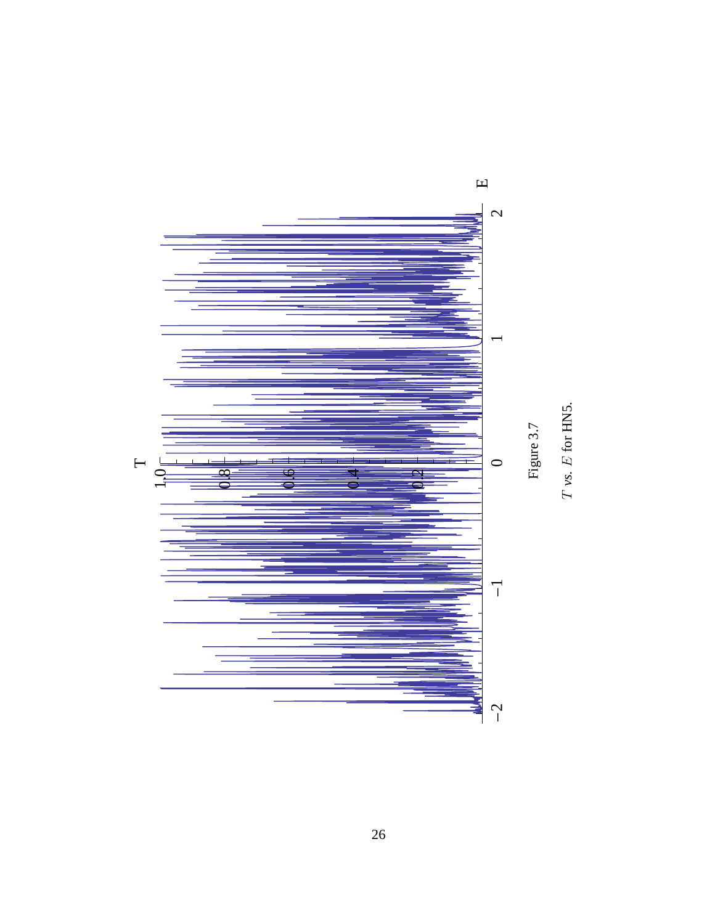![](_page_35_Figure_0.jpeg)

 $T$   $\nu s$ .  $E$  for HNS.

26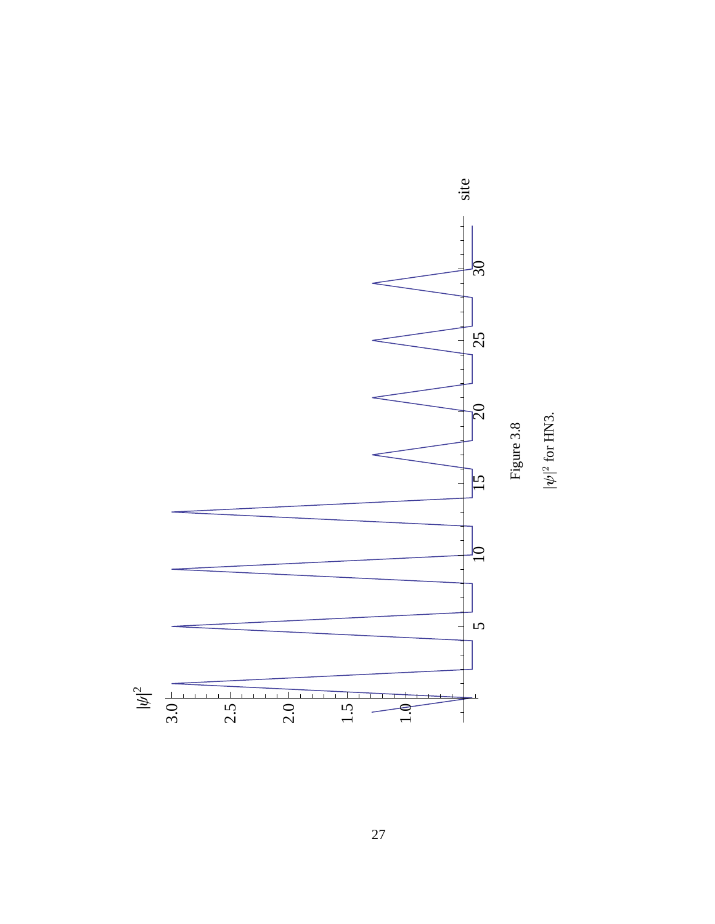![](_page_36_Figure_0.jpeg)

 $|\psi|^2$  for HN3.

27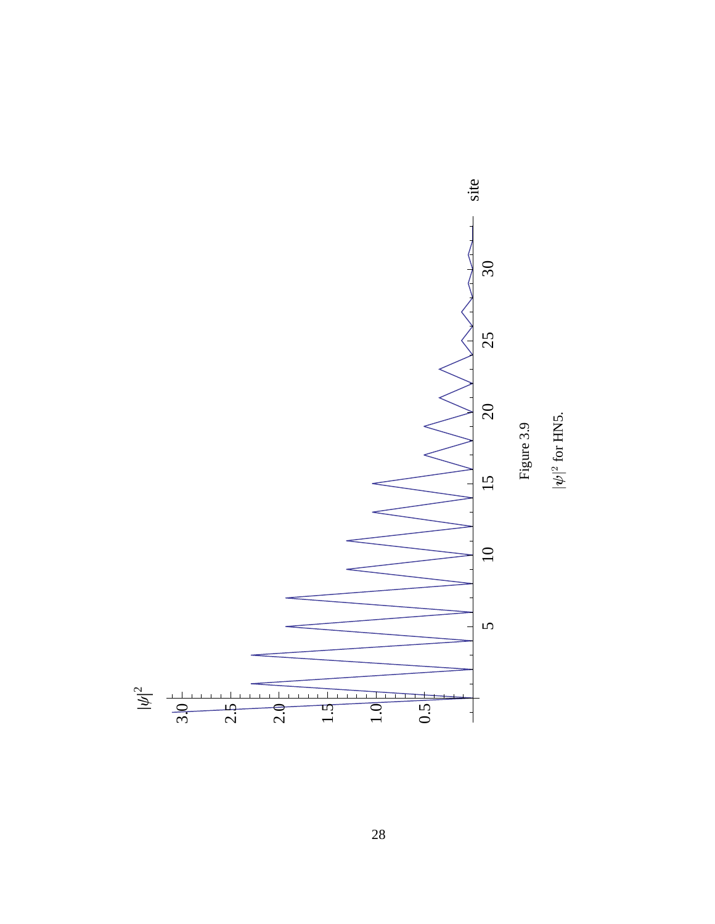![](_page_37_Figure_0.jpeg)

28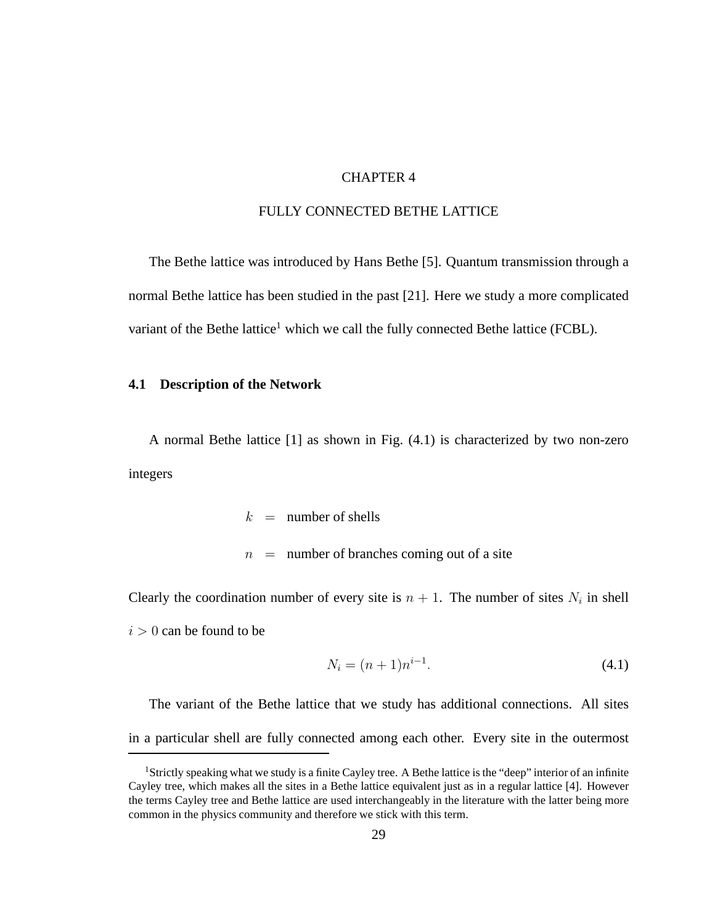#### CHAPTER 4

## FULLY CONNECTED BETHE LATTICE

The Bethe lattice was introduced by Hans Bethe [5]. Quantum transmission through a normal Bethe lattice has been studied in the past [21]. Here we study a more complicated variant of the Bethe lattice<sup>1</sup> which we call the fully connected Bethe lattice (FCBL).

#### **4.1 Description of the Network**

A normal Bethe lattice [1] as shown in Fig. (4.1) is characterized by two non-zero integers

 $k =$  number of shells

 $n =$  number of branches coming out of a site

Clearly the coordination number of every site is  $n + 1$ . The number of sites  $N_i$  in shell  $i > 0$  can be found to be

$$
N_i = (n+1)n^{i-1}.
$$
\n(4.1)

The variant of the Bethe lattice that we study has additional connections. All sites in a particular shell are fully connected among each other. Every site in the outermost

<sup>1</sup>Strictly speaking what we study is a finite Cayley tree. A Bethe lattice is the "deep" interior of an infinite Cayley tree, which makes all the sites in a Bethe lattice equivalent just as in a regular lattice [4]. However the terms Cayley tree and Bethe lattice are used interchangeably in the literature with the latter being more common in the physics community and therefore we stick with this term.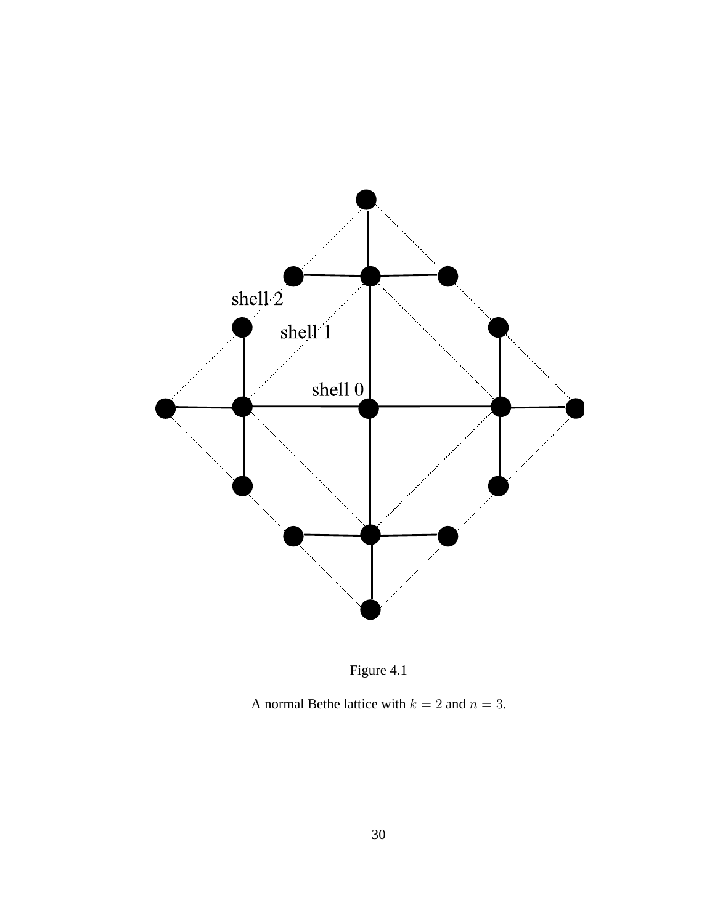![](_page_39_Figure_0.jpeg)

![](_page_39_Figure_1.jpeg)

A normal Bethe lattice with  $k = 2$  and  $n = 3$ .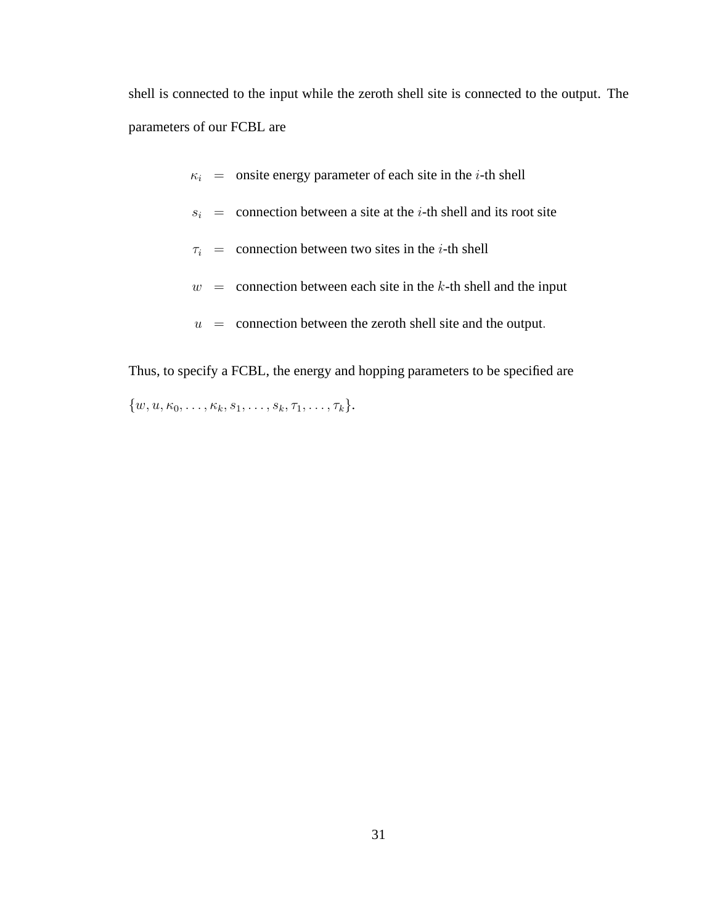shell is connected to the input while the zeroth shell site is connected to the output. The parameters of our FCBL are

- $\kappa_i$  = onsite energy parameter of each site in the *i*-th shell
- $s_i$  = connection between a site at the *i*-th shell and its root site
- $\tau_i$  = connection between two sites in the *i*-th shell
- $w =$  connection between each site in the k-th shell and the input
- $u =$  connection between the zeroth shell site and the output.

Thus, to specify a FCBL, the energy and hopping parameters to be specified are  $\{w, u, \kappa_0, \ldots, \kappa_k, s_1, \ldots, s_k, \tau_1, \ldots, \tau_k\}.$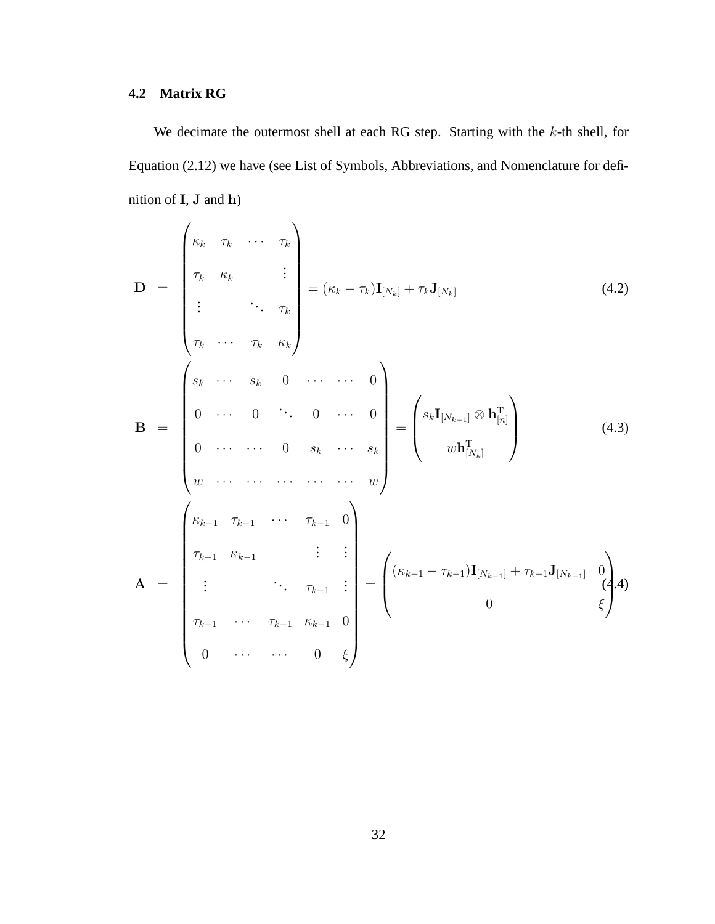# **4.2 Matrix RG**

We decimate the outermost shell at each RG step. Starting with the  $k$ -th shell, for Equation (2.12) we have (see List of Symbols, Abbreviations, and Nomenclature for definition of I, J and h)

$$
\mathbf{D} = \begin{pmatrix} \kappa_k & \tau_k & \cdots & \tau_k \\ \tau_k & \kappa_k & & \vdots \\ \vdots & & \ddots & \tau_k \\ \tau_k & \cdots & \tau_k & \kappa_k \end{pmatrix} = (\kappa_k - \tau_k) \mathbf{I}_{[N_k]} + \tau_k \mathbf{J}_{[N_k]} \qquad (4.2)
$$
\n
$$
\mathbf{B} = \begin{pmatrix} s_k & \cdots & s_k & 0 & \cdots & \cdots & 0 \\ 0 & \cdots & 0 & \ddots & 0 & \cdots & 0 \\ 0 & \cdots & 0 & 0 & \kappa_k & \cdots & s_k \\ \vdots & & \ddots & 0 & \kappa_k & \cdots & s_k \\ w & \cdots & \cdots & \cdots & \cdots & \cdots & w \end{pmatrix} = \begin{pmatrix} s_k \mathbf{I}_{[N_{k-1}]} \otimes \mathbf{h}_{[n]}^{\mathrm{T}} \\ \vdots \\ \vdots \\ \vdots \\ \vdots \\ \tau_{k-1} & \kappa_{k-1} & \cdots & \tau_{k-1} & 0 \\ \vdots & & \ddots & \tau_{k-1} & \vdots \\ \tau_{k-1} & \cdots & \tau_{k-1} & \tau_{k-1} & 0 \\ 0 & \cdots & \cdots & 0 & \xi \end{pmatrix} = \begin{pmatrix} (\kappa_{k-1} - \tau_{k-1}) \mathbf{I}_{[N_{k-1}]} + \tau_{k-1} \mathbf{J}_{[N_{k-1}]} \quad 0 \\ 0 \\ 0 \\ \vdots \\ 0 \end{pmatrix} \tag{4.3}
$$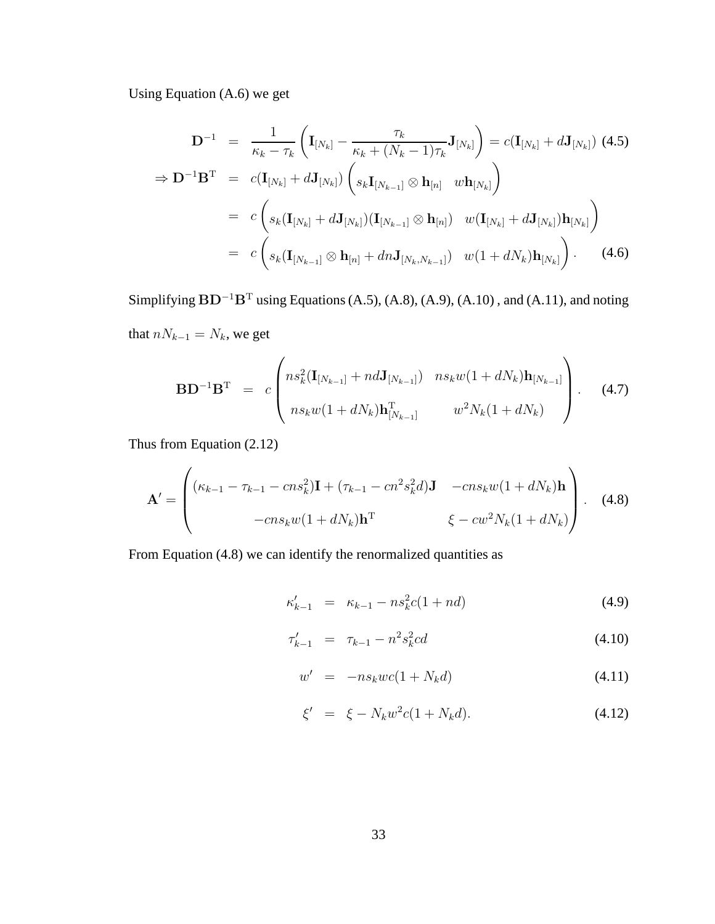Using Equation (A.6) we get

$$
\mathbf{D}^{-1} = \frac{1}{\kappa_k - \tau_k} \left( \mathbf{I}_{[N_k]} - \frac{\tau_k}{\kappa_k + (N_k - 1)\tau_k} \mathbf{J}_{[N_k]} \right) = c(\mathbf{I}_{[N_k]} + d\mathbf{J}_{[N_k]}) \quad (4.5)
$$
  
\n
$$
\Rightarrow \mathbf{D}^{-1} \mathbf{B}^{\mathrm{T}} = c(\mathbf{I}_{[N_k]} + d\mathbf{J}_{[N_k]}) \left( s_k \mathbf{I}_{[N_{k-1}]} \otimes \mathbf{h}_{[n]} \quad w \mathbf{h}_{[N_k]} \right)
$$
  
\n
$$
= c \left( s_k (\mathbf{I}_{[N_k]} + d\mathbf{J}_{[N_k]}) (\mathbf{I}_{[N_{k-1}]} \otimes \mathbf{h}_{[n]}) \quad w(\mathbf{I}_{[N_k]} + d\mathbf{J}_{[N_k]}) \mathbf{h}_{[N_k]} \right)
$$
  
\n
$$
= c \left( s_k (\mathbf{I}_{[N_{k-1}]} \otimes \mathbf{h}_{[n]} + dn \mathbf{J}_{[N_k, N_{k-1}]}) \quad w(1 + dN_k) \mathbf{h}_{[N_k]} \right). \quad (4.6)
$$

Simplifying  $BD^{-1}B^{T}$  using Equations (A.5), (A.8), (A.9), (A.10), and (A.11), and noting that  $nN_{k-1} = N_k$ , we get

$$
\mathbf{BD}^{-1}\mathbf{B}^{\mathrm{T}} = c \begin{pmatrix} n s_k^2 (\mathbf{I}_{[N_{k-1}]} + n d \mathbf{J}_{[N_{k-1}]}) & n s_k w (1 + d N_k) \mathbf{h}_{[N_{k-1}]} \\ n s_k w (1 + d N_k) \mathbf{h}_{[N_{k-1}]}^{\mathrm{T}} & w^2 N_k (1 + d N_k) \end{pmatrix} . \tag{4.7}
$$

Thus from Equation (2.12)

$$
\mathbf{A}' = \begin{pmatrix} (\kappa_{k-1} - \tau_{k-1} - cn s_k^2) \mathbf{I} + (\tau_{k-1} - cn^2 s_k^2 d) \mathbf{J} & -cn s_k w (1 + dN_k) \mathbf{h} \\ -cn s_k w (1 + dN_k) \mathbf{h}^{\mathrm{T}} & \xi - cu^2 N_k (1 + dN_k) \end{pmatrix} .
$$
 (4.8)

From Equation (4.8) we can identify the renormalized quantities as

$$
\kappa'_{k-1} = \kappa_{k-1} - n s_k^2 c (1 + nd) \tag{4.9}
$$

$$
\tau_{k-1}' = \tau_{k-1} - n^2 s_k^2 c d \tag{4.10}
$$

$$
w' = -ns_kwc(1 + N_kd)
$$
 (4.11)

$$
\xi' = \xi - N_k w^2 c (1 + N_k d). \tag{4.12}
$$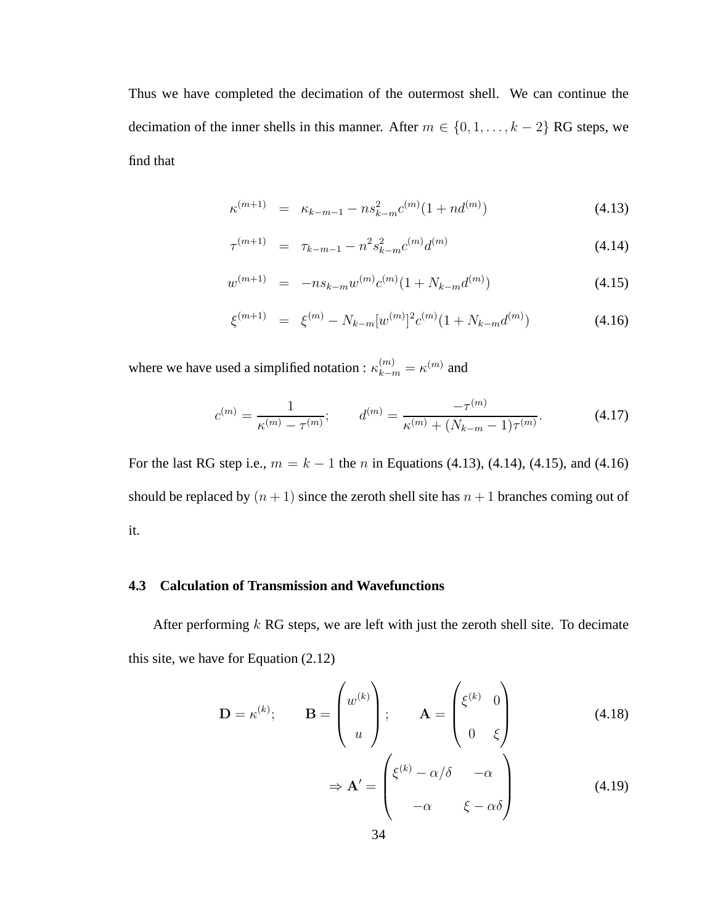Thus we have completed the decimation of the outermost shell. We can continue the decimation of the inner shells in this manner. After  $m \in \{0, 1, \ldots, k-2\}$  RG steps, we find that

$$
\kappa^{(m+1)} = \kappa_{k-m-1} - n s_{k-m}^2 c^{(m)} (1 + n d^{(m)}) \tag{4.13}
$$

$$
\tau^{(m+1)} = \tau_{k-m-1} - n^2 s_{k-m}^2 c^{(m)} d^{(m)} \tag{4.14}
$$

$$
w^{(m+1)} = -n s_{k-m} w^{(m)} c^{(m)} (1 + N_{k-m} d^{(m)}) \tag{4.15}
$$

$$
\xi^{(m+1)} = \xi^{(m)} - N_{k-m} [w^{(m)}]^2 c^{(m)} (1 + N_{k-m} d^{(m)}) \tag{4.16}
$$

where we have used a simplified notation :  $\kappa_{k-m}^{(m)} = \kappa^{(m)}$  and

$$
c^{(m)} = \frac{1}{\kappa^{(m)} - \tau^{(m)}}; \qquad d^{(m)} = \frac{-\tau^{(m)}}{\kappa^{(m)} + (N_{k-m} - 1)\tau^{(m)}}.
$$
 (4.17)

For the last RG step i.e.,  $m = k - 1$  the n in Equations (4.13), (4.14), (4.15), and (4.16) should be replaced by  $(n + 1)$  since the zeroth shell site has  $n + 1$  branches coming out of it.

#### **4.3 Calculation of Transmission and Wavefunctions**

After performing  $k$  RG steps, we are left with just the zeroth shell site. To decimate this site, we have for Equation (2.12)

$$
\mathbf{D} = \kappa^{(k)}; \qquad \mathbf{B} = \begin{pmatrix} w^{(k)} \\ u \end{pmatrix}; \qquad \mathbf{A} = \begin{pmatrix} \xi^{(k)} & 0 \\ 0 & \xi \end{pmatrix}
$$
(4.18)  

$$
\Rightarrow \mathbf{A}' = \begin{pmatrix} \xi^{(k)} - \alpha/\delta & -\alpha \\ -\alpha & \xi - \alpha\delta \end{pmatrix}
$$
(4.19)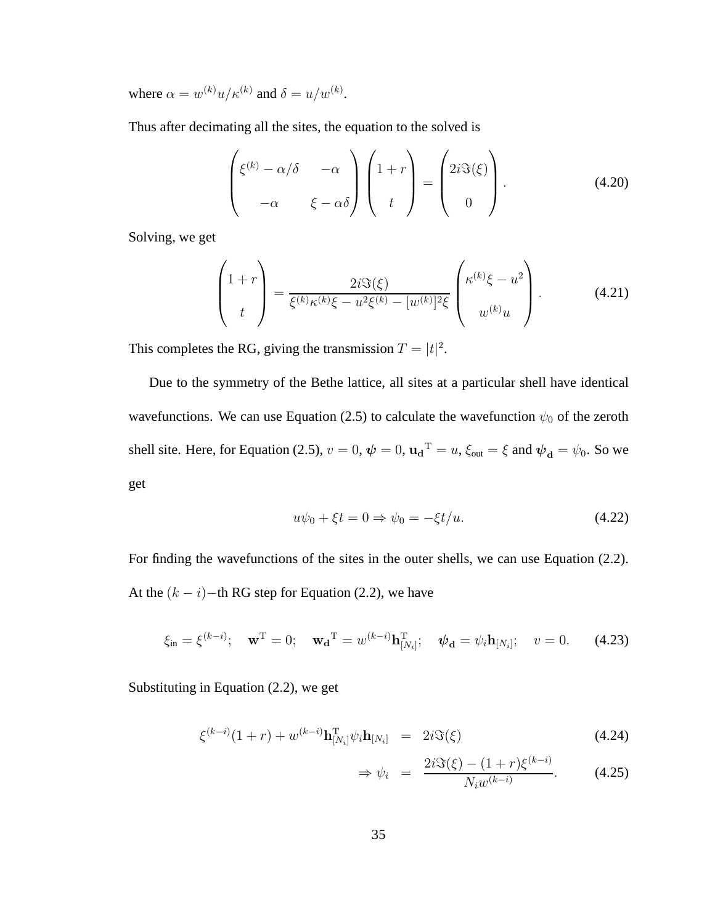where  $\alpha = w^{(k)}u/\kappa^{(k)}$  and  $\delta = u/w^{(k)}$ .

Thus after decimating all the sites, the equation to the solved is

$$
\begin{pmatrix} \xi^{(k)} - \alpha/\delta & -\alpha \\ -\alpha & \xi - \alpha\delta \end{pmatrix} \begin{pmatrix} 1+r \\ t \end{pmatrix} = \begin{pmatrix} 2i\Im(\xi) \\ 0 \end{pmatrix}.
$$
 (4.20)

Solving, we get

$$
\begin{pmatrix} 1+r \\ t \end{pmatrix} = \frac{2i\Im(\xi)}{\xi^{(k)}\kappa^{(k)}\xi - u^2\xi^{(k)} - [w^{(k)}]^2\xi} \begin{pmatrix} \kappa^{(k)}\xi - u^2 \\ w^{(k)}u \end{pmatrix}.
$$
 (4.21)

This completes the RG, giving the transmission  $T = |t|^2$ .

Due to the symmetry of the Bethe lattice, all sites at a particular shell have identical wavefunctions. We can use Equation (2.5) to calculate the wavefunction  $\psi_0$  of the zeroth shell site. Here, for Equation (2.5),  $v = 0$ ,  $\psi = 0$ ,  $\mathbf{u_d}^T = u$ ,  $\xi_{out} = \xi$  and  $\psi_d = \psi_0$ . So we get

$$
u\psi_0 + \xi t = 0 \Rightarrow \psi_0 = -\xi t/u. \tag{4.22}
$$

For finding the wavefunctions of the sites in the outer shells, we can use Equation (2.2). At the  $(k - i)$ −th RG step for Equation (2.2), we have

$$
\xi_{\rm in} = \xi^{(k-i)}; \quad \mathbf{w}^{\rm T} = 0; \quad \mathbf{w_d}^{\rm T} = w^{(k-i)} \mathbf{h}_{[N_i]}^{\rm T}; \quad \boldsymbol{\psi_d} = \psi_i \mathbf{h}_{[N_i]}; \quad v = 0.
$$
 (4.23)

Substituting in Equation (2.2), we get

$$
\xi^{(k-i)}(1+r) + w^{(k-i)} \mathbf{h}_{[N_i]}^{\mathrm{T}} \psi_i \mathbf{h}_{[N_i]} = 2i \Im(\xi)
$$
\n(4.24)

$$
\Rightarrow \psi_i = \frac{2i\Im(\xi) - (1+r)\xi^{(k-i)}}{N_i w^{(k-i)}}.
$$
 (4.25)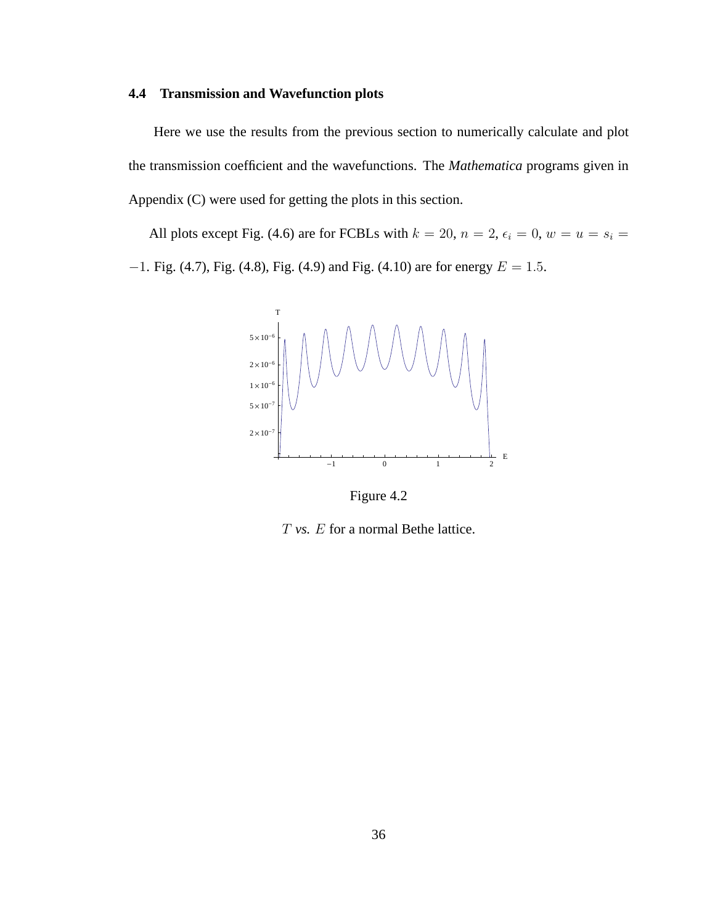## **4.4 Transmission and Wavefunction plots**

Here we use the results from the previous section to numerically calculate and plot the transmission coefficient and the wavefunctions. The *Mathematica* programs given in Appendix (C) were used for getting the plots in this section.

All plots except Fig. (4.6) are for FCBLs with  $k = 20$ ,  $n = 2$ ,  $\epsilon_i = 0$ ,  $w = u = s_i =$  $-1$ . Fig. (4.7), Fig. (4.8), Fig. (4.9) and Fig. (4.10) are for energy  $E = 1.5$ .

![](_page_45_Figure_3.jpeg)

Figure 4.2

T *vs.* E for a normal Bethe lattice.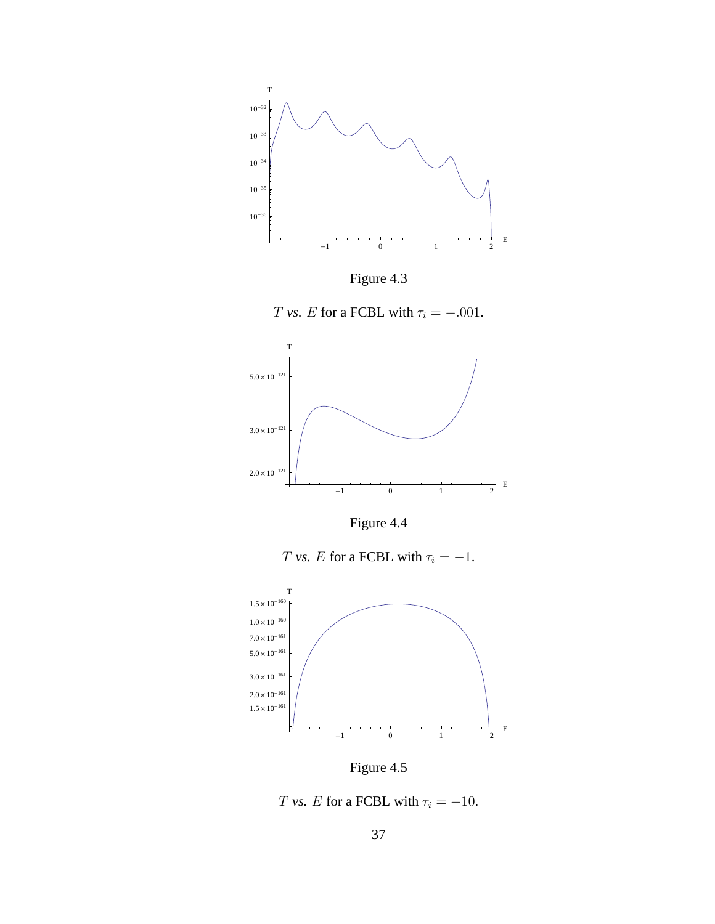![](_page_46_Figure_0.jpeg)

![](_page_46_Figure_1.jpeg)

![](_page_46_Figure_2.jpeg)

![](_page_46_Figure_3.jpeg)

Figure 4.4

 $T$   $vs.$   $E$  for a FCBL with  $\tau_i = -1.$ 

![](_page_46_Figure_6.jpeg)

Figure 4.5

![](_page_46_Figure_8.jpeg)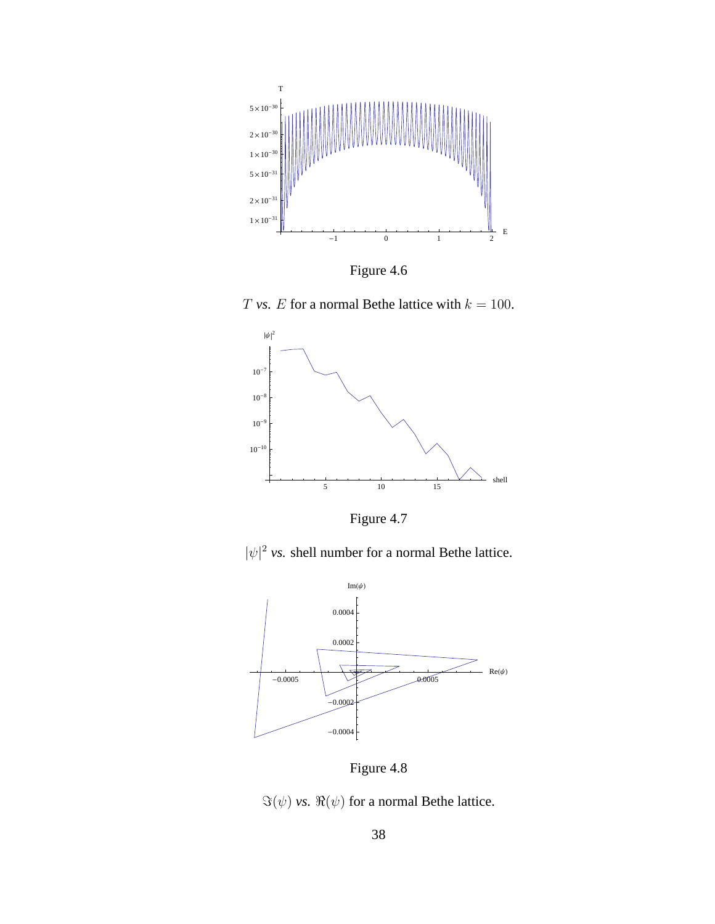![](_page_47_Figure_0.jpeg)

Figure 4.6

T *vs.* E for a normal Bethe lattice with  $k = 100$ .

![](_page_47_Figure_3.jpeg)

Figure 4.7

 $|\psi|^2$  *vs.* shell number for a normal Bethe lattice.

![](_page_47_Figure_6.jpeg)

Figure 4.8

 $\Im(\psi)$  *vs.*  $\Re(\psi)$  for a normal Bethe lattice.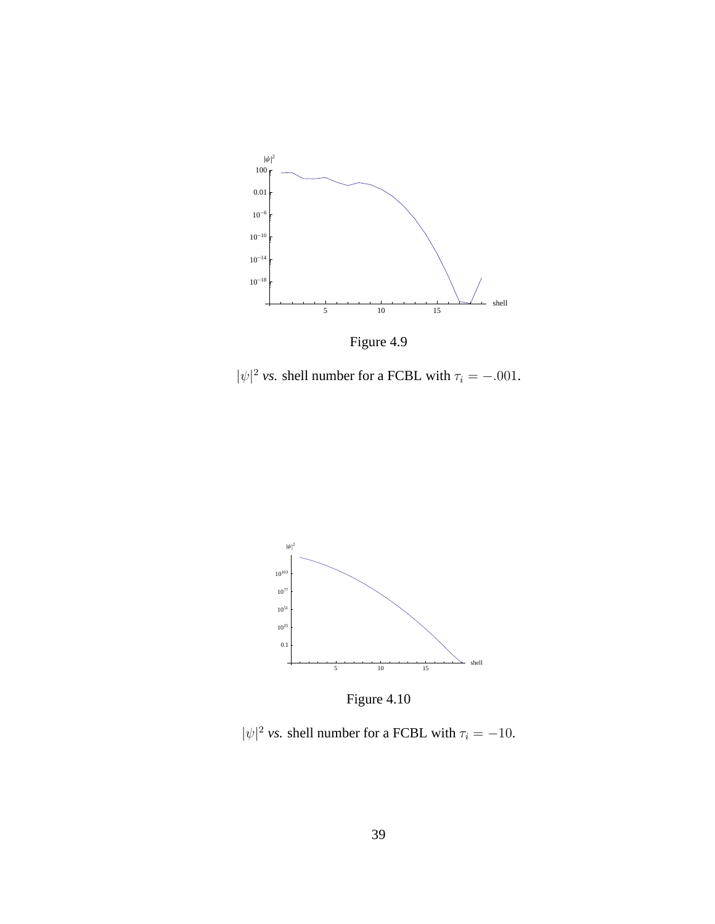![](_page_48_Figure_0.jpeg)

Figure 4.9

 $|\psi|^2$  *vs.* shell number for a FCBL with  $\tau_i = -.001$ .

![](_page_48_Figure_3.jpeg)

Figure 4.10

 $|\psi|^2$  *vs.* shell number for a FCBL with  $\tau_i = -10$ .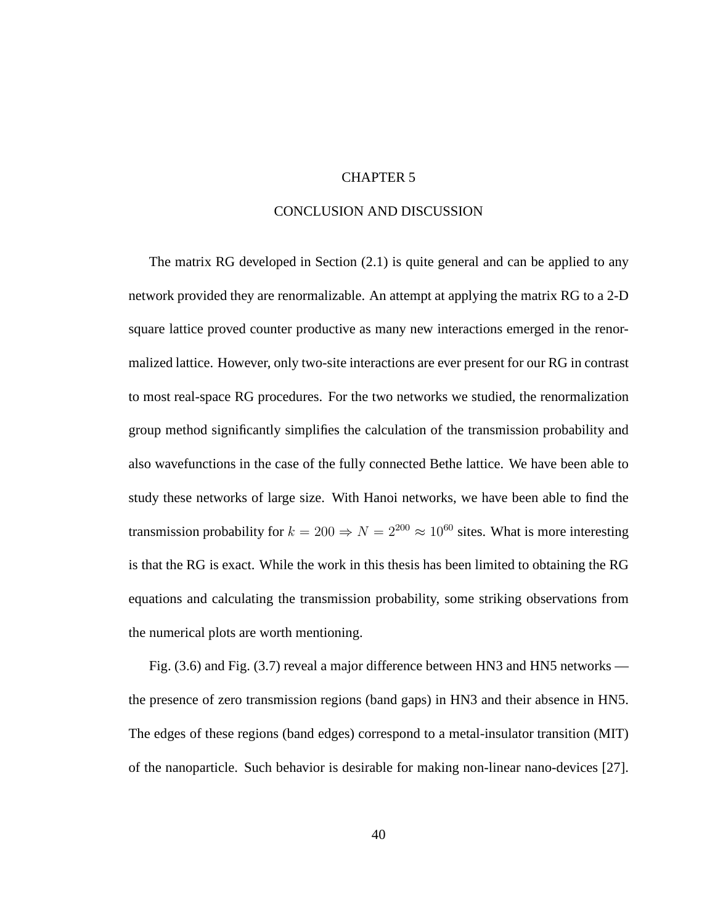#### CHAPTER 5

## CONCLUSION AND DISCUSSION

The matrix RG developed in Section (2.1) is quite general and can be applied to any network provided they are renormalizable. An attempt at applying the matrix RG to a 2-D square lattice proved counter productive as many new interactions emerged in the renormalized lattice. However, only two-site interactions are ever present for our RG in contrast to most real-space RG procedures. For the two networks we studied, the renormalization group method significantly simplifies the calculation of the transmission probability and also wavefunctions in the case of the fully connected Bethe lattice. We have been able to study these networks of large size. With Hanoi networks, we have been able to find the transmission probability for  $k = 200 \Rightarrow N = 2^{200} \approx 10^{60}$  sites. What is more interesting is that the RG is exact. While the work in this thesis has been limited to obtaining the RG equations and calculating the transmission probability, some striking observations from the numerical plots are worth mentioning.

Fig. (3.6) and Fig. (3.7) reveal a major difference between HN3 and HN5 networks the presence of zero transmission regions (band gaps) in HN3 and their absence in HN5. The edges of these regions (band edges) correspond to a metal-insulator transition (MIT) of the nanoparticle. Such behavior is desirable for making non-linear nano-devices [27].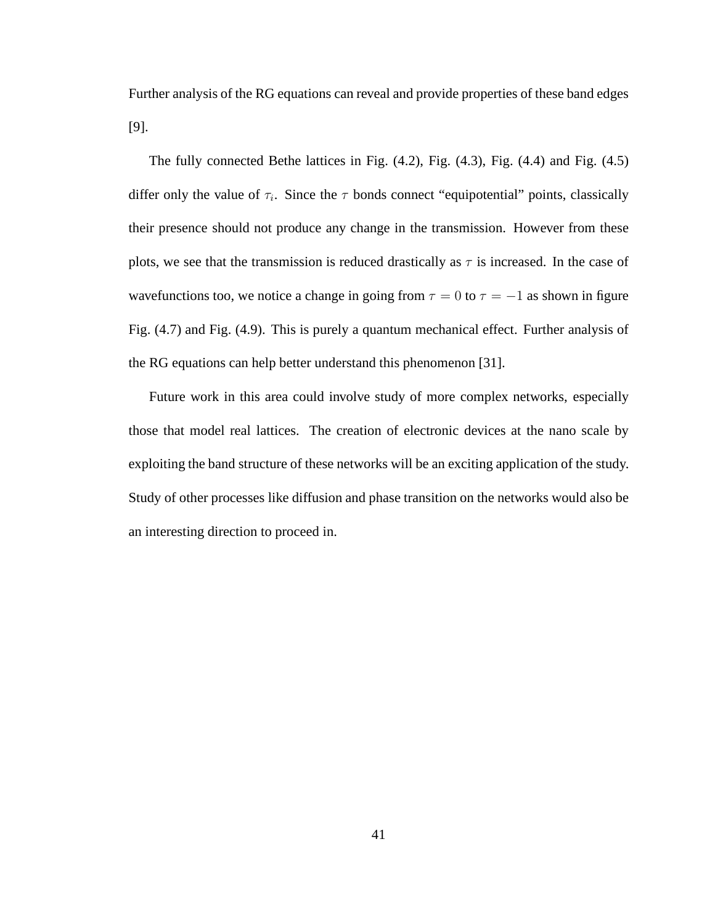Further analysis of the RG equations can reveal and provide properties of these band edges [9].

The fully connected Bethe lattices in Fig. (4.2), Fig. (4.3), Fig. (4.4) and Fig. (4.5) differ only the value of  $\tau_i$ . Since the  $\tau$  bonds connect "equipotential" points, classically their presence should not produce any change in the transmission. However from these plots, we see that the transmission is reduced drastically as  $\tau$  is increased. In the case of wavefunctions too, we notice a change in going from  $\tau = 0$  to  $\tau = -1$  as shown in figure Fig. (4.7) and Fig. (4.9). This is purely a quantum mechanical effect. Further analysis of the RG equations can help better understand this phenomenon [31].

Future work in this area could involve study of more complex networks, especially those that model real lattices. The creation of electronic devices at the nano scale by exploiting the band structure of these networks will be an exciting application of the study. Study of other processes like diffusion and phase transition on the networks would also be an interesting direction to proceed in.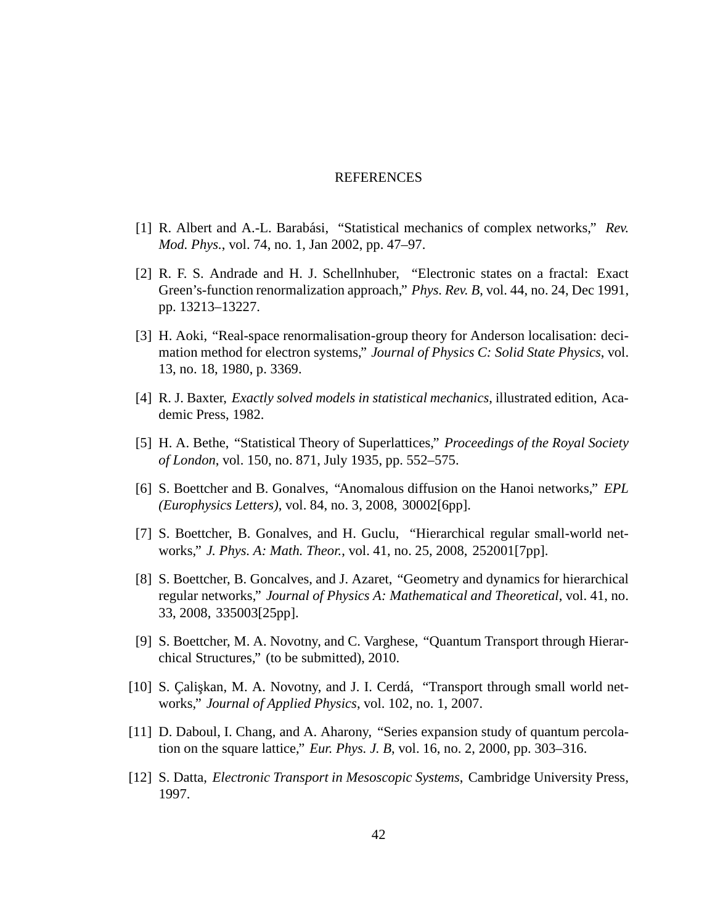#### REFERENCES

- [1] R. Albert and A.-L. Barabási, "Statistical mechanics of complex networks," *Rev. Mod. Phys.*, vol. 74, no. 1, Jan 2002, pp. 47–97.
- [2] R. F. S. Andrade and H. J. Schellnhuber, "Electronic states on a fractal: Exact Green's-function renormalization approach," *Phys. Rev. B*, vol. 44, no. 24, Dec 1991, pp. 13213–13227.
- [3] H. Aoki, "Real-space renormalisation-group theory for Anderson localisation: decimation method for electron systems," *Journal of Physics C: Solid State Physics*, vol. 13, no. 18, 1980, p. 3369.
- [4] R. J. Baxter, *Exactly solved models in statistical mechanics*, illustrated edition, Academic Press, 1982.
- [5] H. A. Bethe, "Statistical Theory of Superlattices," *Proceedings of the Royal Society of London*, vol. 150, no. 871, July 1935, pp. 552–575.
- [6] S. Boettcher and B. Gonalves, "Anomalous diffusion on the Hanoi networks," *EPL (Europhysics Letters)*, vol. 84, no. 3, 2008, 30002[6pp].
- [7] S. Boettcher, B. Gonalves, and H. Guclu, "Hierarchical regular small-world networks," *J. Phys. A: Math. Theor.*, vol. 41, no. 25, 2008, 252001[7pp].
- [8] S. Boettcher, B. Goncalves, and J. Azaret, "Geometry and dynamics for hierarchical regular networks," *Journal of Physics A: Mathematical and Theoretical*, vol. 41, no. 33, 2008, 335003[25pp].
- [9] S. Boettcher, M. A. Novotny, and C. Varghese, "Quantum Transport through Hierarchical Structures," (to be submitted), 2010.
- [10] S. Çalişkan, M. A. Novotny, and J. I. Cerdá, "Transport through small world networks," *Journal of Applied Physics*, vol. 102, no. 1, 2007.
- [11] D. Daboul, I. Chang, and A. Aharony, "Series expansion study of quantum percolation on the square lattice," *Eur. Phys. J. B*, vol. 16, no. 2, 2000, pp. 303–316.
- [12] S. Datta, *Electronic Transport in Mesoscopic Systems*, Cambridge University Press, 1997.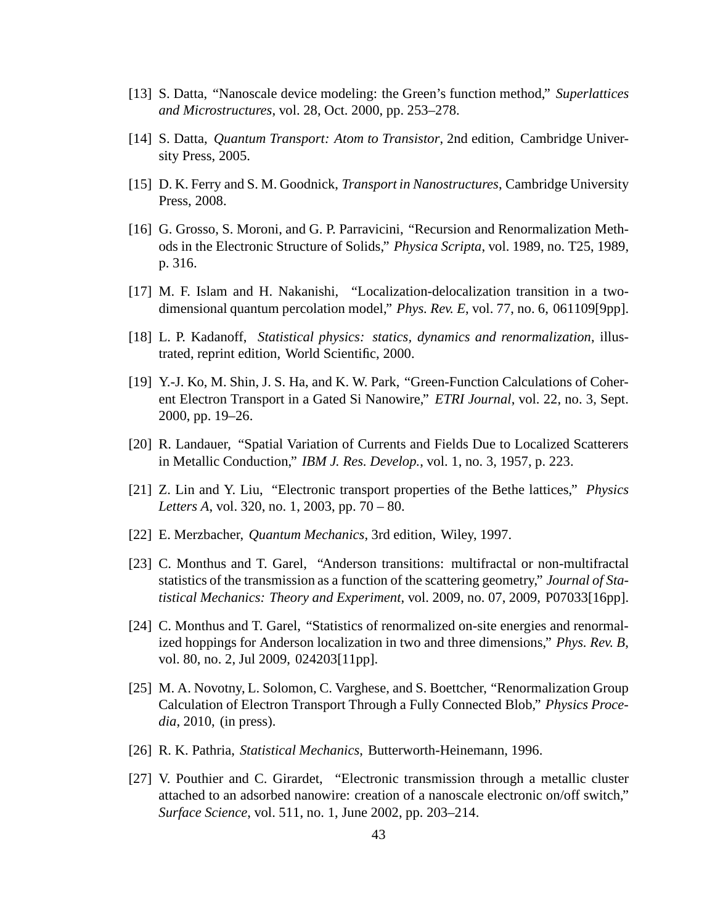- [13] S. Datta, "Nanoscale device modeling: the Green's function method," *Superlattices and Microstructures*, vol. 28, Oct. 2000, pp. 253–278.
- [14] S. Datta, *Quantum Transport: Atom to Transistor*, 2nd edition, Cambridge University Press, 2005.
- [15] D. K. Ferry and S. M. Goodnick, *Transport in Nanostructures*, Cambridge University Press, 2008.
- [16] G. Grosso, S. Moroni, and G. P. Parravicini, "Recursion and Renormalization Methods in the Electronic Structure of Solids," *Physica Scripta*, vol. 1989, no. T25, 1989, p. 316.
- [17] M. F. Islam and H. Nakanishi, "Localization-delocalization transition in a twodimensional quantum percolation model," *Phys. Rev. E*, vol. 77, no. 6, 061109[9pp].
- [18] L. P. Kadanoff, *Statistical physics: statics, dynamics and renormalization*, illustrated, reprint edition, World Scientific, 2000.
- [19] Y.-J. Ko, M. Shin, J. S. Ha, and K. W. Park, "Green-Function Calculations of Coherent Electron Transport in a Gated Si Nanowire," *ETRI Journal*, vol. 22, no. 3, Sept. 2000, pp. 19–26.
- [20] R. Landauer, "Spatial Variation of Currents and Fields Due to Localized Scatterers in Metallic Conduction," *IBM J. Res. Develop.*, vol. 1, no. 3, 1957, p. 223.
- [21] Z. Lin and Y. Liu, "Electronic transport properties of the Bethe lattices," *Physics Letters A*, vol. 320, no. 1, 2003, pp. 70 – 80.
- [22] E. Merzbacher, *Quantum Mechanics*, 3rd edition, Wiley, 1997.
- [23] C. Monthus and T. Garel, "Anderson transitions: multifractal or non-multifractal statistics of the transmission as a function of the scattering geometry," *Journal of Statistical Mechanics: Theory and Experiment*, vol. 2009, no. 07, 2009, P07033[16pp].
- [24] C. Monthus and T. Garel, "Statistics of renormalized on-site energies and renormalized hoppings for Anderson localization in two and three dimensions," *Phys. Rev. B*, vol. 80, no. 2, Jul 2009, 024203[11pp].
- [25] M. A. Novotny, L. Solomon, C. Varghese, and S. Boettcher, "Renormalization Group Calculation of Electron Transport Through a Fully Connected Blob," *Physics Procedia*, 2010, (in press).
- [26] R. K. Pathria, *Statistical Mechanics*, Butterworth-Heinemann, 1996.
- [27] V. Pouthier and C. Girardet, "Electronic transmission through a metallic cluster attached to an adsorbed nanowire: creation of a nanoscale electronic on/off switch," *Surface Science*, vol. 511, no. 1, June 2002, pp. 203–214.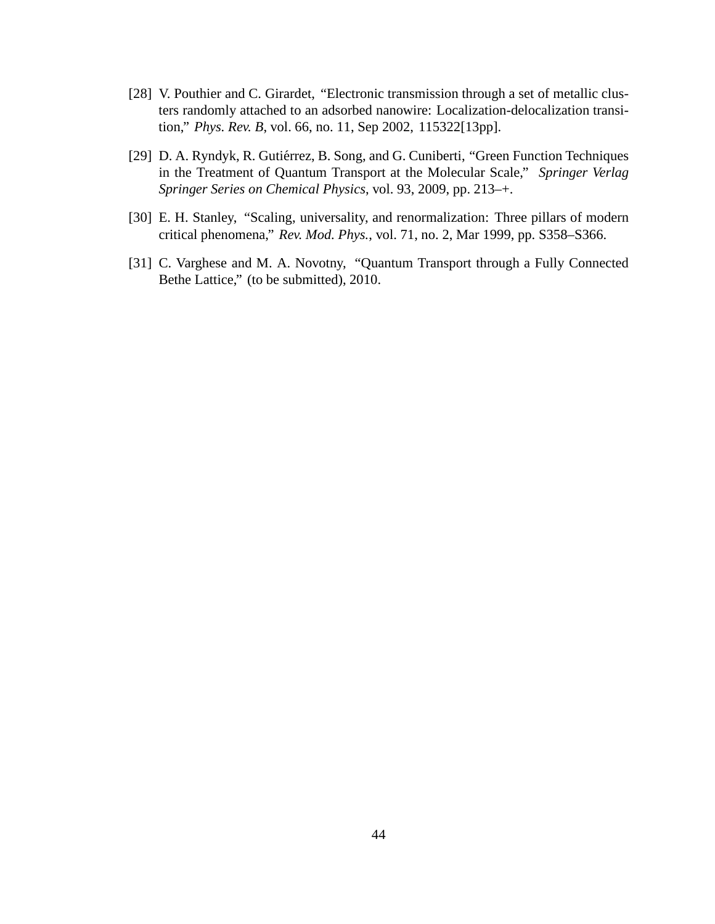- [28] V. Pouthier and C. Girardet, "Electronic transmission through a set of metallic clusters randomly attached to an adsorbed nanowire: Localization-delocalization transition," *Phys. Rev. B*, vol. 66, no. 11, Sep 2002, 115322[13pp].
- [29] D. A. Ryndyk, R. Gutiérrez, B. Song, and G. Cuniberti, "Green Function Techniques in the Treatment of Quantum Transport at the Molecular Scale," *Springer Verlag Springer Series on Chemical Physics*, vol. 93, 2009, pp. 213–+.
- [30] E. H. Stanley, "Scaling, universality, and renormalization: Three pillars of modern critical phenomena," *Rev. Mod. Phys.*, vol. 71, no. 2, Mar 1999, pp. S358–S366.
- [31] C. Varghese and M. A. Novotny, "Quantum Transport through a Fully Connected Bethe Lattice," (to be submitted), 2010.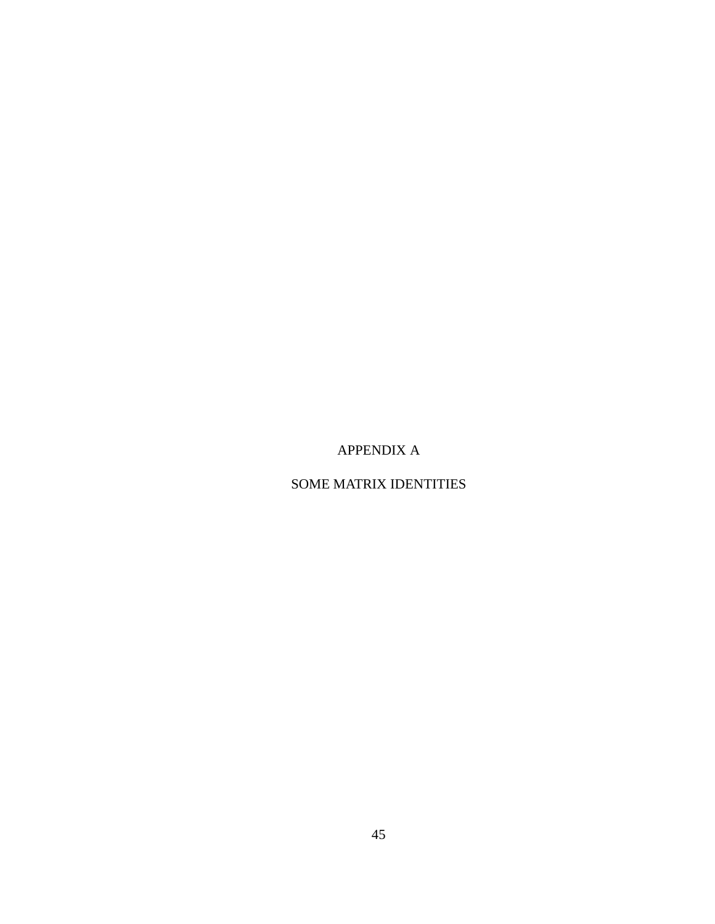# APPENDIX A

# SOME MATRIX IDENTITIES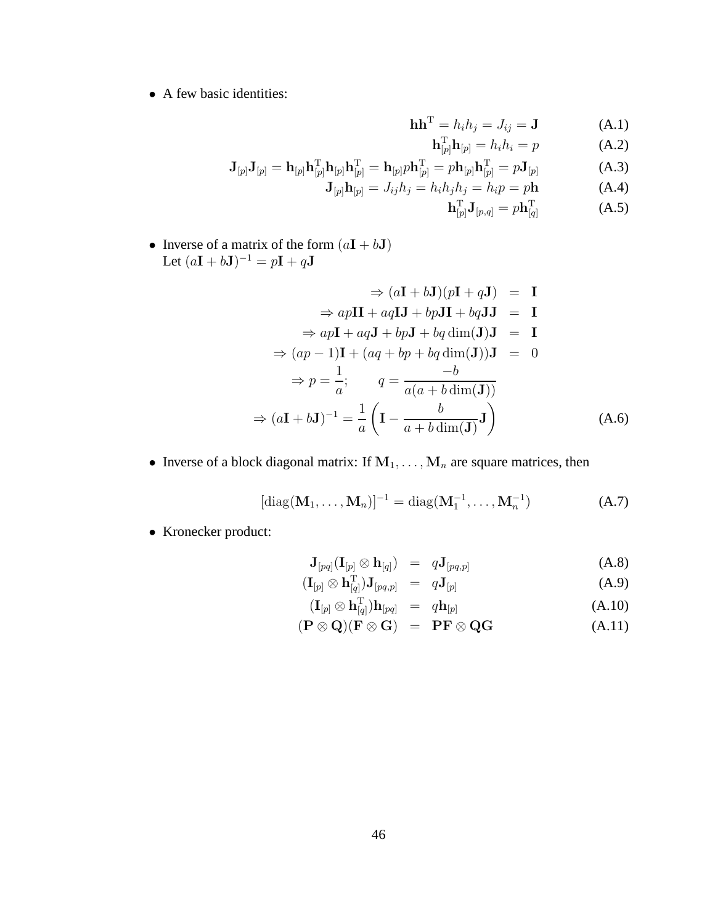• A few basic identities:

$$
\mathbf{h}\mathbf{h}^{\mathrm{T}} = h_i h_j = J_{ij} = \mathbf{J} \tag{A.1}
$$

$$
\mathbf{h}_{[p]}^{\mathrm{T}} \mathbf{h}_{[p]} = h_i h_i = p \tag{A.2}
$$

$$
\mathbf{J}_{[p]}\mathbf{J}_{[p]} = \mathbf{h}_{[p]}\mathbf{h}_{[p]}^{\mathrm{T}}\mathbf{h}_{[p]}\mathbf{h}_{[p]}^{\mathrm{T}} = \mathbf{h}_{[p]}p\mathbf{h}_{[p]}^{\mathrm{T}} = p\mathbf{h}_{[p]}\mathbf{h}_{[p]}^{\mathrm{T}} = p\mathbf{J}_{[p]} \tag{A.3}
$$

$$
\mathbf{J}_{[p]}\mathbf{h}_{[p]} = J_{ij}h_j = h_i h_j h_j = h_i p = p\mathbf{h}
$$
 (A.4)

$$
\mathbf{h}_{[p]}^{\mathrm{T}} \mathbf{J}_{[p,q]} = p \mathbf{h}_{[q]}^{\mathrm{T}} \tag{A.5}
$$

• Inverse of a matrix of the form  $(a\mathbf{I} + b\mathbf{J})$ Let  $(a\mathbf{I} + b\mathbf{J})^{-1} = p\mathbf{I} + q\mathbf{J}$ 

$$
\Rightarrow (a\mathbf{I} + b\mathbf{J})(p\mathbf{I} + q\mathbf{J}) = \mathbf{I}
$$
  
\n
$$
\Rightarrow ap\mathbf{II} + aq\mathbf{I}\mathbf{J} + bp\mathbf{J}\mathbf{I} + bq\mathbf{J}\mathbf{J} = \mathbf{I}
$$
  
\n
$$
\Rightarrow ap\mathbf{I} + aq\mathbf{J} + bp\mathbf{J} + bq\dim(\mathbf{J})\mathbf{J} = \mathbf{I}
$$
  
\n
$$
\Rightarrow (ap - 1)\mathbf{I} + (aq + bp + bq\dim(\mathbf{J}))\mathbf{J} = 0
$$
  
\n
$$
\Rightarrow p = \frac{1}{a}; \qquad q = \frac{-b}{a(a + b\dim(\mathbf{J}))}
$$
  
\n
$$
\Rightarrow (a\mathbf{I} + b\mathbf{J})^{-1} = \frac{1}{a} \left( \mathbf{I} - \frac{b}{a + b\dim(\mathbf{J})} \mathbf{J} \right)
$$
(A.6)

• Inverse of a block diagonal matrix: If  $M_1, \ldots, M_n$  are square matrices, then

$$
[\text{diag}(\mathbf{M}_1, \dots, \mathbf{M}_n)]^{-1} = \text{diag}(\mathbf{M}_1^{-1}, \dots, \mathbf{M}_n^{-1})
$$
 (A.7)

• Kronecker product:

$$
\mathbf{J}_{[pq]}(\mathbf{I}_{[p]} \otimes \mathbf{h}_{[q]}) = q \mathbf{J}_{[pq,p]} \tag{A.8}
$$

$$
(\mathbf{I}_{[p]} \otimes \mathbf{h}_{[q]}^{\mathrm{T}}) \mathbf{J}_{[pq,p]} = q \mathbf{J}_{[p]} \tag{A.9}
$$

$$
(\mathbf{I}_{[p]} \otimes \mathbf{h}_{[q]}^{\mathrm{T}})\mathbf{h}_{[pq]} = q\mathbf{h}_{[p]} \tag{A.10}
$$

$$
(\mathbf{P} \otimes \mathbf{Q})(\mathbf{F} \otimes \mathbf{G}) = \mathbf{P}\mathbf{F} \otimes \mathbf{Q}\mathbf{G}
$$
 (A.11)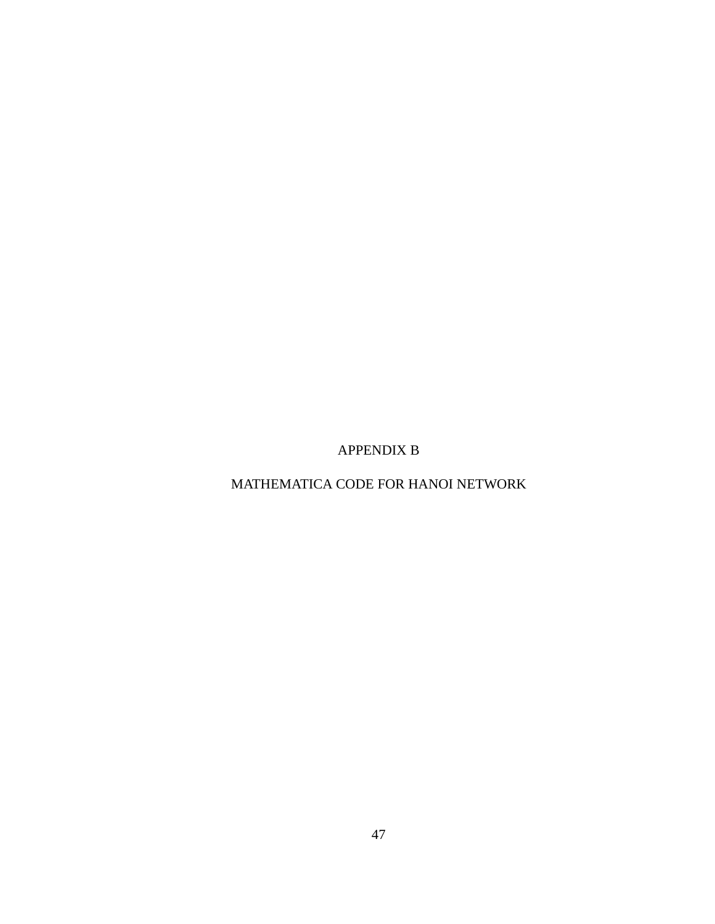APPENDIX B

MATHEMATICA CODE FOR HANOI NETWORK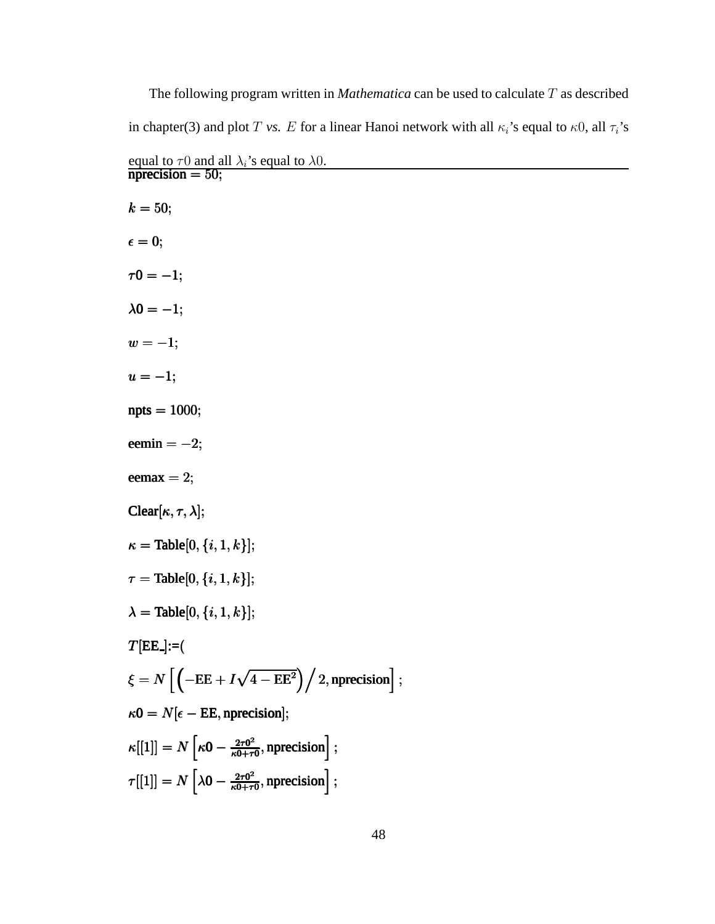| The following program written in <i>Mathematica</i> can be used to calculate $T$ as described                          |
|------------------------------------------------------------------------------------------------------------------------|
| in chapter(3) and plot T vs. E for a linear Hanoi network with all $\kappa_i$ 's equal to $\kappa_0$ , all $\tau_i$ 's |
| equal to $\tau$ 0 and all $\lambda_i$ 's equal to $\lambda$ 0.<br><b>nprecision = 50;</b>                              |
| $k = 50;$                                                                                                              |
| $\epsilon = 0;$                                                                                                        |
| $\tau 0 = -1;$                                                                                                         |
| $\lambda 0 = -1;$                                                                                                      |
| $w=-1;$                                                                                                                |
| $u=-1;$                                                                                                                |
| $npts = 1000;$                                                                                                         |
| eemin $=-2;$                                                                                                           |
| $\mathrm{eemax} = 2;$                                                                                                  |
| Clear $[\kappa, \tau, \lambda];$                                                                                       |
| $\kappa =$ Table[0, { <i>i</i> , 1, <i>k</i> }];                                                                       |
| $\tau =$ Table[0, { <i>i</i> , 1, <i>k</i> }];                                                                         |
| $\lambda =$ Table[0, { <i>i</i> , 1, <i>k</i> }];                                                                      |
| $T[EE] := ($                                                                                                           |
| $\xi = N \left[ \left( -EE + I\sqrt{4 - EE^2} \right) \right/ 2, \text{uprecision} \right];$                           |
| $\kappa 0 = N[\epsilon - \text{EE}, \text{nprecision}];$                                                               |
| $\kappa[[1]] = N \left[ \kappa 0 - \frac{2\tau 0^2}{\kappa 0 + \tau 0}, \text{inprecision} \right];$                   |
| $\tau[[1]] = N \left[ \lambda 0 - \frac{2\tau 0^2}{\kappa 0 + \tau 0}, \text{nprecision} \right];$                     |
| 48                                                                                                                     |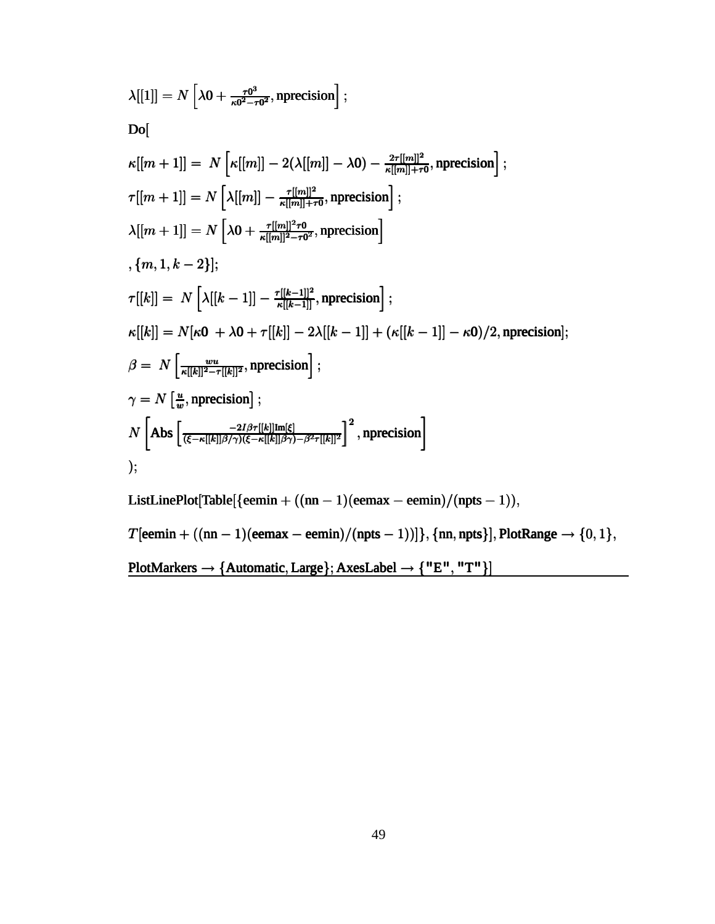$$
\lambda[[1]] = N \left[ \lambda 0 + \frac{\tau 0^3}{\kappa 0^2 - \tau 0^2}, \text{inprecision} \right];
$$
  
\nDo[  
\n
$$
\kappa[[m + 1]] = N \left[ \kappa[[m]] - 2(\lambda[[m]] - \lambda 0) - \frac{2\tau[[m]]^2}{\kappa[[m]] + \tau 0}, \text{inprecision} \right];
$$
  
\n
$$
\tau[[m + 1]] = N \left[ \lambda[[m]] - \frac{\tau[[m]]^2 \tau 0}{\kappa[[m]] + \tau 0}, \text{inprecision} \right];
$$
  
\n
$$
\lambda[[m + 1]] = N \left[ \lambda 0 + \frac{\tau[[m]]^2 \tau 0}{\kappa[[m]]^2 - \tau 0^2}, \text{inprecision} \right]
$$
  
\n
$$
\{m, 1, k - 2\}];
$$
  
\n
$$
\tau[[k]] = N \left[ \lambda[[k - 1]] - \frac{\tau[[k - 1]]^2}{\kappa[[k - 1]]}, \text{inprecision} \right];
$$
  
\n
$$
\kappa[[k]] = N[\kappa 0 + \lambda 0 + \tau[[k]] - 2\lambda[[k - 1]] + (\kappa[[k - 1]] - \kappa 0)/2, \text{inprecision}];
$$
  
\n
$$
\beta = N \left[ \frac{w u}{\kappa[[k]]^2 - \tau[[k]]^2}, \text{inprecision} \right];
$$
  
\n
$$
\gamma = N \left[ \frac{w}{w}, \text{inprecision} \right];
$$
  
\n
$$
N \left[ \text{Abs} \left[ \frac{-2l\beta\tau[[k]]\text{Im}[\xi]}{(\xi - \kappa[[k]]\beta/\gamma)(\xi - \kappa[[k]]\beta) - \beta^2 \tau[[k]]^2} \right]^2, \text{inprecision} \right]
$$
  
\n
$$
\text{ListLinePlot[Table}{\{eemin + ((nn - 1)(eemax - eemin)/(npts - 1))\}, \{nn, npts\}], \text{PlotRange} \rightarrow \{0, 1\},
$$
  
\n
$$
T[eemin + ((nn - 1)(eemax - eemin)/(npts - 1))]\}, \{nn, npts\}, \text{PlotRange} \rightarrow \{0, 1\},
$$

 $PlotMarkers \rightarrow \{Automatic, Large\}; Axelabel \rightarrow \{ "E", "T" \}]$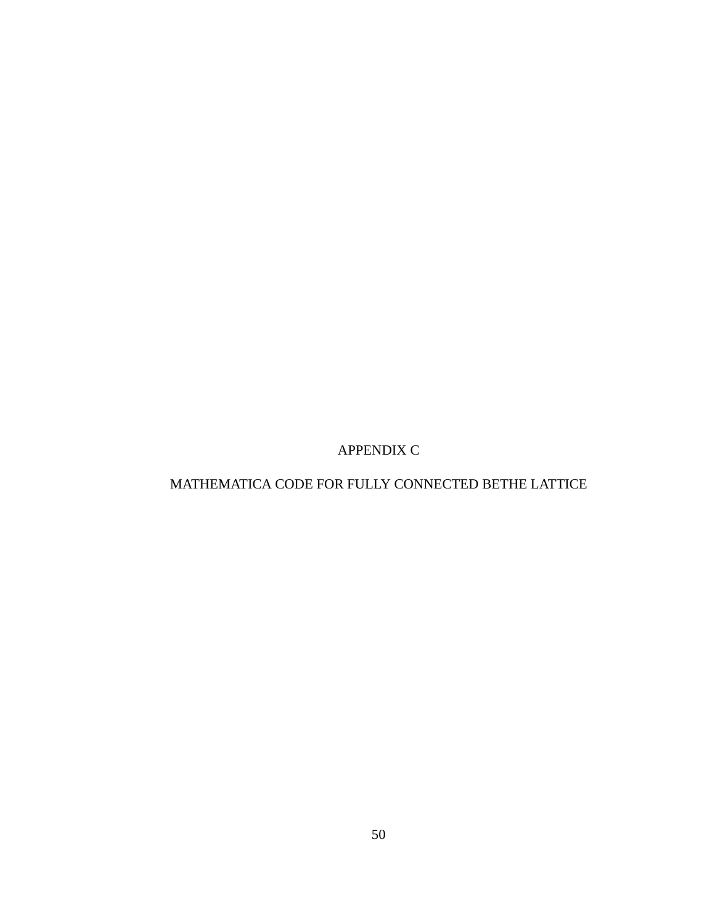APPENDIX C

# MATHEMATICA CODE FOR FULLY CONNECTED BETHE LATTICE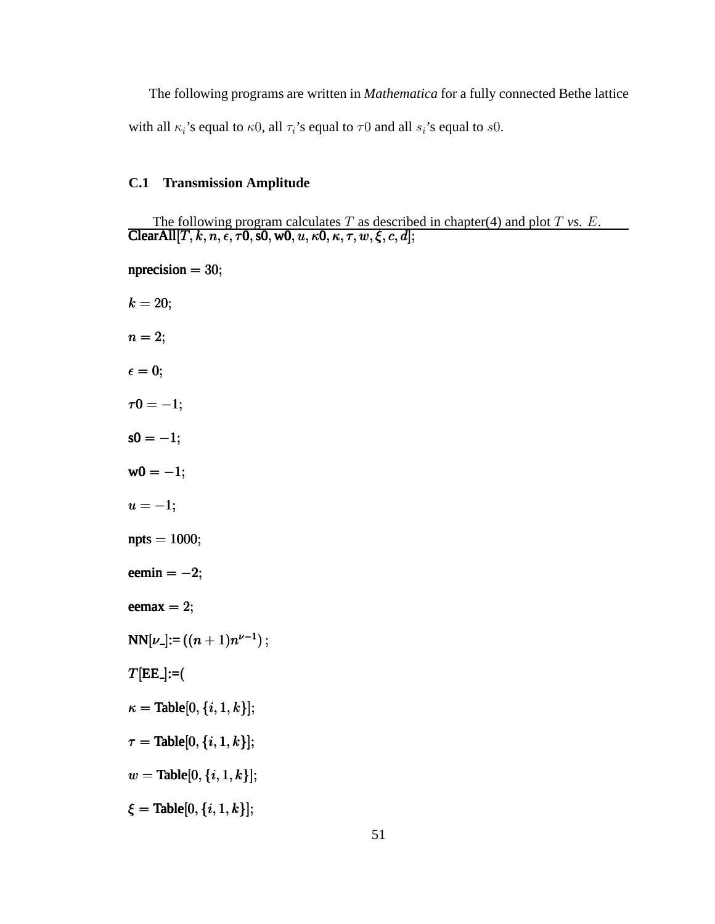The following programs are written in *Mathematica* for a fully connected Bethe lattice with all  $\kappa_i$ 's equal to  $\kappa_0$ , all  $\tau_i$ 's equal to  $\tau_0$  and all  $s_i$ 's equal to  $s_0$ .

#### **C.1 Transmission Amplitude**

The following program calculates  $T$  as described in chapter(4) and plot  $T$  *vs.*  $E$ . ClearAll  $[T, k, n, \epsilon, \tau 0, s0, w0, u, \kappa 0, \kappa, \tau, w, \xi, c, d]$ ;

 $nprecision = 30;$  $k = 20;$  $n = 2;$  $\epsilon = 0;$  $\tau 0 = -1;$  $s0 = -1;$  $w0 = -1;$  $u = -1;$  $npts = 1000;$ eemin =  $-2$ ; eemax  $= 2$ ;  $NN[\nu] := ((n+1)n^{\nu-1})$ ;  $T[EE] := ($  $\kappa =$ Table[0, {*i*, 1, *k*}];  $\tau =$ Table[0, {*i*, 1, *k*}];  $w = \text{Table}[0, \{i, 1, k\}];$  $\xi =$ Table[0, {*i*, 1, *k*}];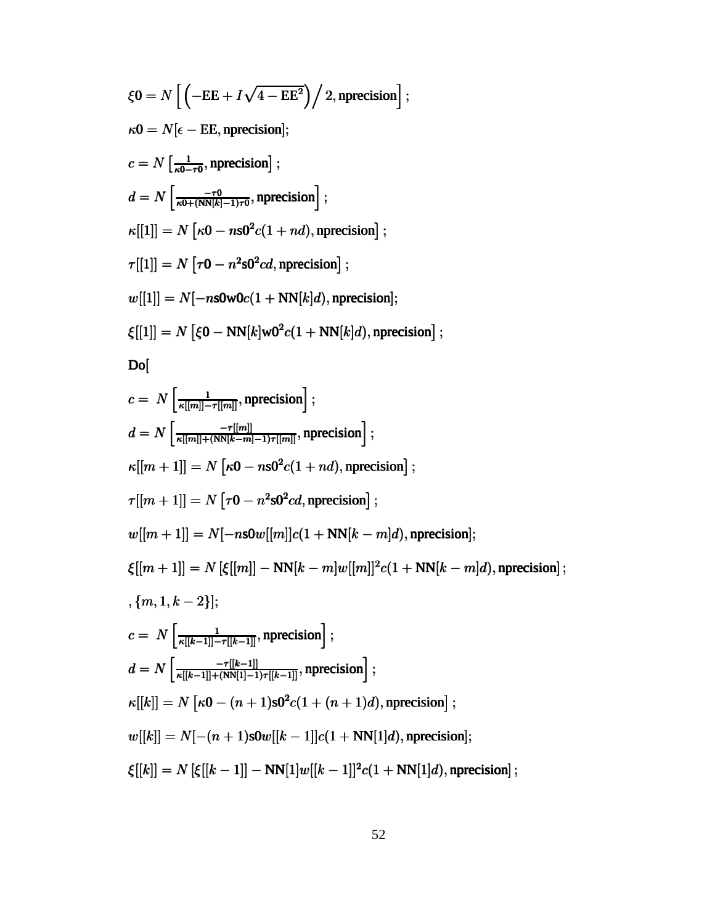$$
\xi 0 = N \left[ \left( -EE + I\sqrt{4 - EE^2} \right) / 2, \text{uprecision} \right];
$$
  
\n
$$
\kappa 0 = N \left[ \frac{1}{\kappa 0 - \tau 0}, \text{uprecision} \right];
$$
  
\n
$$
c = N \left[ \frac{1}{\kappa 0 + (\text{NN}[k] - 1)\tau 0}, \text{uprecision} \right];
$$
  
\n
$$
d = N \left[ \frac{-\tau 0}{\kappa 0 + (\text{NN}[k] - 1)\tau 0}, \text{uprecision} \right];
$$
  
\n
$$
\kappa[[1]] = N \left[ \tau 0 - n^2 s 0^2 c d, \text{uprecision} \right];
$$
  
\n
$$
w[[1]] = N \left[ \tau 0 - n^2 s 0^2 c d, \text{uprecision} \right];
$$
  
\n
$$
\xi[[1]] = N \left[ \xi 0 - \text{NN}[k]w 0^2 c (1 + \text{NN}[k]d), \text{uprecision} \right];
$$
  
\n
$$
\xi[[1]] = N \left[ \xi 0 - \text{NN}[k]w 0^2 c (1 + \text{NN}[k]d), \text{uprecision} \right];
$$
  
\n
$$
d = N \left[ \frac{-\tau[m]}{\kappa[[m]] - \tau[[m]]}, \text{uprecision} \right];
$$
  
\n
$$
\kappa[[m + 1]] = N \left[ \tau 0 - n s 0^2 c (1 + nd), \text{uprecision} \right];
$$
  
\n
$$
\kappa[[m + 1]] = N \left[ \tau 0 - n^2 s 0^2 c d, \text{uprecision} \right];
$$
  
\n
$$
\xi[[m + 1]] = N \left[ \tau 0 - n^2 s 0^2 c d, \text{uprecision} \right];
$$
  
\n
$$
\xi[[m + 1]] = N \left[ \xi[[m]] - \text{NN}[k - m]w[[m]]^2 c (1 + \text{NN}[k - m]d), \text{uprecision} \right];
$$
  
\n
$$
\xi[[m + 1]] = N \left[ \kappa[[m - 1]] - \text{NN}[k - m]w[[m]]^2 c (1 + \text{NN}[k - m]d), \text{uprecision} \
$$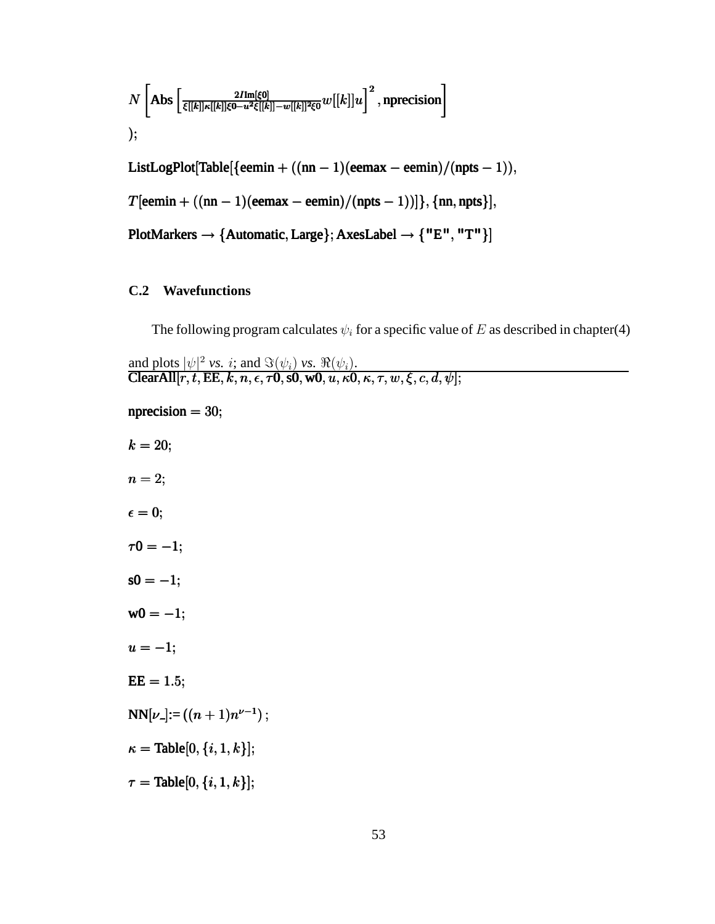$$
N\left[Abs\left[\frac{2I\mathrm{Im}[\xi0]}{\xi[[k]]\kappa[[k]]\xi0-u^2\xi[[k]]-w[[k]]^2\xi0}w[[k]]u\right]^2, \text{nprecision}\right]
$$
\n
$$
);
$$
\n
$$
ListLogPlot[Table[\{\text{eemin} + ((nn-1)(\text{eemax} - \text{eemin})/(npts-1)),
$$
\n
$$
T[\text{eemin} + ((nn-1)(\text{eemax} - \text{eemin})/(npts-1))]\}, \{nn, npts\}],
$$
\n
$$
PlotMarkers \rightarrow \{Automatic, Large\}; AxesLabel \rightarrow \{ "E", "T" \}]
$$

#### **C.2 Wavefunctions**

The following program calculates  $\psi_i$  for a specific value of E as described in chapter(4)

and plots  $|\psi|^2$  *vs. i*; and  $\Im(\psi_i)$  *vs.*  $\Re(\psi_i)$ . ClearAll  $[r, t, \text{EE}, k, n, \epsilon, \tau 0, s0, w0, u, \kappa 0, \kappa, \tau, w, \xi, c, d, \psi];$ 

```
nprecision = 30;k = 20;n = 2;\epsilon = 0;\tau 0 = -1;s0 = -1;w0 = -1;u = -1;EE = 1.5;NN[\nu] := ((n+1)n^{\nu-1});
\kappa = Table[0, {i, 1, k}];
\tau = \text{Table}[0, \{i, 1, k\}];
```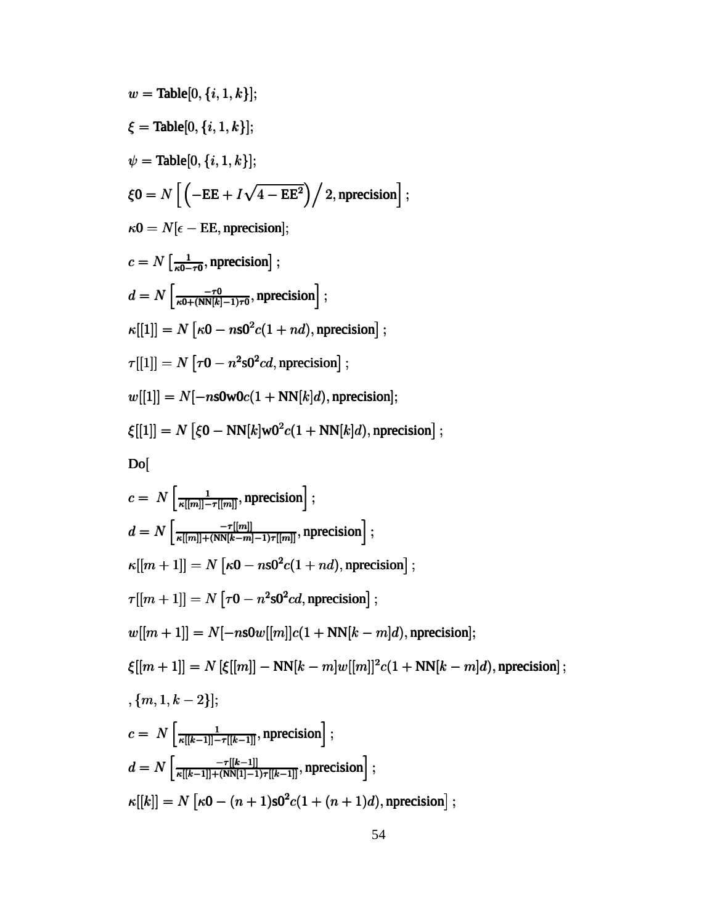$$
w = \text{Table}[0, \{i, 1, k\}];
$$
\n
$$
\xi = \text{Table}[0, \{i, 1, k\}];
$$
\n
$$
\psi = \text{Table}[0, \{i, 1, k\}];
$$
\n
$$
\xi 0 = N \left[ \left( -EE + I\sqrt{4 - EE^2} \right) / 2, \text{uprecision} \right];
$$
\n
$$
\kappa 0 = N [\epsilon - EE, \text{uprecision}];
$$
\n
$$
c = N \left[ \frac{1}{\kappa 0 - \tau 0}, \text{uprecision} \right];
$$
\n
$$
d = N \left[ \frac{-1}{\kappa 0 + \kappa N[k] - 1)\tau 0}, \text{uprecision} \right];
$$
\n
$$
\kappa[[1]] = N [r0 - n s0^2 c(1 + nd), \text{uprecision}];
$$
\n
$$
\tau[[1]] = N [r0 - n^2 s0^2 cd, \text{uprecision}];
$$
\n
$$
w[[1]] = N[-n s0 \text{w0}c(1 + NN[k]d), \text{uprecision}];
$$
\n
$$
\xi[[1]] = N [\xi 0 - NN[k] \text{w0}^2 c(1 + NN[k]d), \text{uprecision}];
$$
\n
$$
\text{Do}[
$$
\n
$$
c = N \left[ \frac{1}{\kappa[[m]] - \tau[[m]]}, \text{uprecision} \right];
$$
\n
$$
d = N \left[ \frac{1}{\kappa[[m]] - \tau[[m]]}, \text{uprecision} \right];
$$
\n
$$
\kappa[[m + 1]] = N [r0 - n s0^2 c(1 + nd), \text{uprecision}];
$$
\n
$$
w[[m + 1]] = N [-n s0w[[m]] c(1 + NN[k - m]d), \text{uprecision}];
$$
\n
$$
\xi[[m + 1]] = N [-n s0w[[m]] c(1 + NN[k - m]d), \text{uprecision}];
$$
\n
$$
\xi[[m + 1]] = N [-n s0w[[m]] c(1 + NN[k - m]d), \text{uprecision}];
$$
\n
$$
\xi[[m + 1]] = N [\kappa 0 - (n + 1) s0^2 c(1 + (n + 1) d), \text{uprecision}
$$